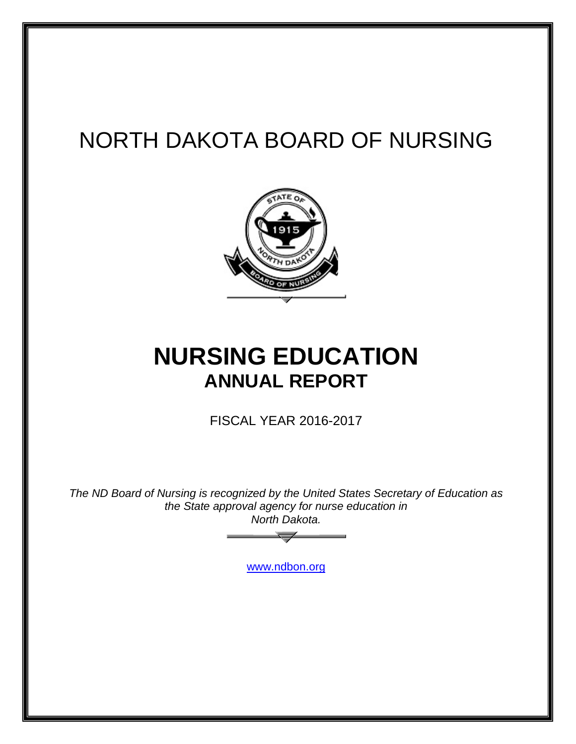# NORTH DAKOTA BOARD OF NURSING



# **NURSING EDUCATION ANNUAL REPORT**

FISCAL YEAR 2016-2017

*The ND Board of Nursing is recognized by the United States Secretary of Education as the State approval agency for nurse education in North Dakota.*

[www.ndbon.org](http://www.ndbon.org/)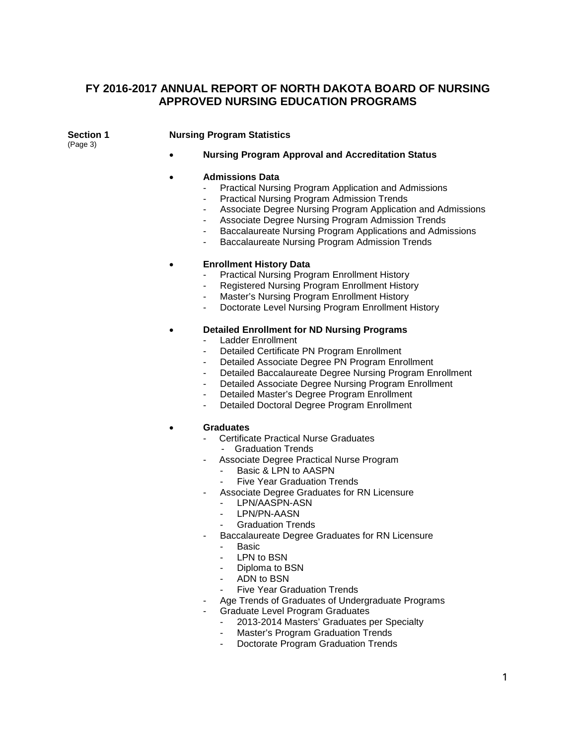## **FY 2016-2017 ANNUAL REPORT OF NORTH DAKOTA BOARD OF NURSING APPROVED NURSING EDUCATION PROGRAMS**

(Page 3)

## **Section 1 Nursing Program Statistics**

• **Nursing Program Approval and Accreditation Status**

#### • **Admissions Data**

- Practical Nursing Program Application and Admissions
- Practical Nursing Program Admission Trends
- Associate Degree Nursing Program Application and Admissions
- Associate Degree Nursing Program Admission Trends
- Baccalaureate Nursing Program Applications and Admissions
- Baccalaureate Nursing Program Admission Trends

### • **Enrollment History Data**

- Practical Nursing Program Enrollment History
- Registered Nursing Program Enrollment History
- Master's Nursing Program Enrollment History
- Doctorate Level Nursing Program Enrollment History

### • **Detailed Enrollment for ND Nursing Programs**

- Ladder Enrollment
- Detailed Certificate PN Program Enrollment
- Detailed Associate Degree PN Program Enrollment
- Detailed Baccalaureate Degree Nursing Program Enrollment
- Detailed Associate Degree Nursing Program Enrollment
- Detailed Master's Degree Program Enrollment
- Detailed Doctoral Degree Program Enrollment

#### • **Graduates**

- Certificate Practical Nurse Graduates
	- Graduation Trends
- Associate Degree Practical Nurse Program
	- Basic & LPN to AASPN
	- **Five Year Graduation Trends**
	- Associate Degree Graduates for RN Licensure
		- LPN/AASPN-ASN
		- LPN/PN-AASN
		- Graduation Trends
- Baccalaureate Degree Graduates for RN Licensure
	- Basic
	- LPN to BSN
	- Diploma to BSN
	- ADN to BSN
	- Five Year Graduation Trends
- Age Trends of Graduates of Undergraduate Programs
- Graduate Level Program Graduates
	- 2013-2014 Masters' Graduates per Specialty
	- Master's Program Graduation Trends
	- Doctorate Program Graduation Trends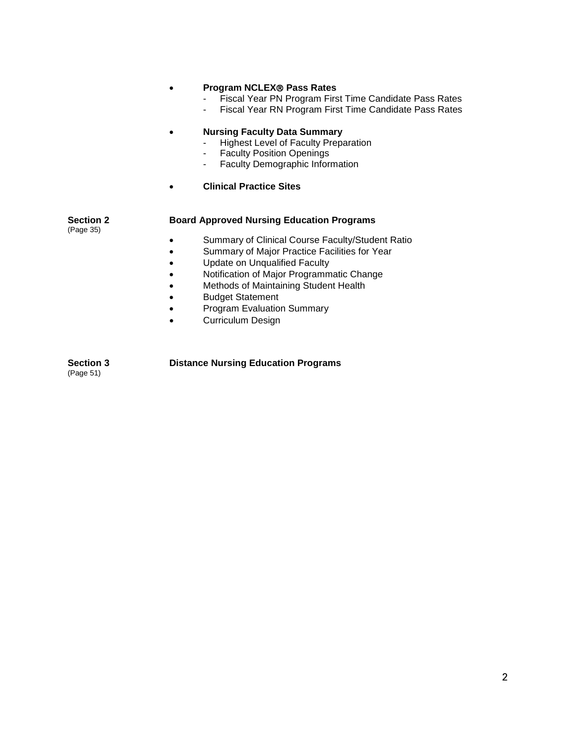## • **Program NCLEX Pass Rates**

- Fiscal Year PN Program First Time Candidate Pass Rates
- Fiscal Year RN Program First Time Candidate Pass Rates

#### • **Nursing Faculty Data Summary**

- Highest Level of Faculty Preparation<br>- Faculty Position Openings
- **Faculty Position Openings**
- Faculty Demographic Information
- **Clinical Practice Sites**

## **Section 2 Board Approved Nursing Education Programs**

(Page 35)

- Summary of Clinical Course Faculty/Student Ratio
- Summary of Major Practice Facilities for Year
- Update on Unqualified Faculty
- Notification of Major Programmatic Change
- Methods of Maintaining Student Health
- Budget Statement
- Program Evaluation Summary
- Curriculum Design

**Section 3 Distance Nursing Education Programs** (Page 51)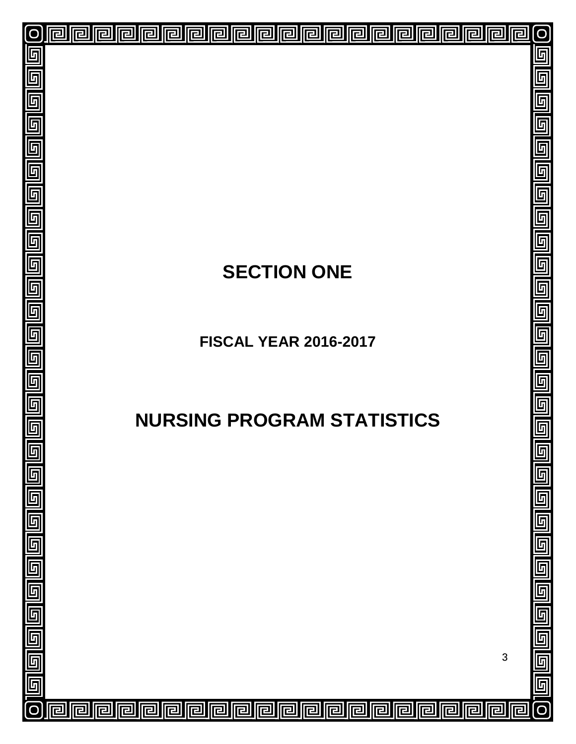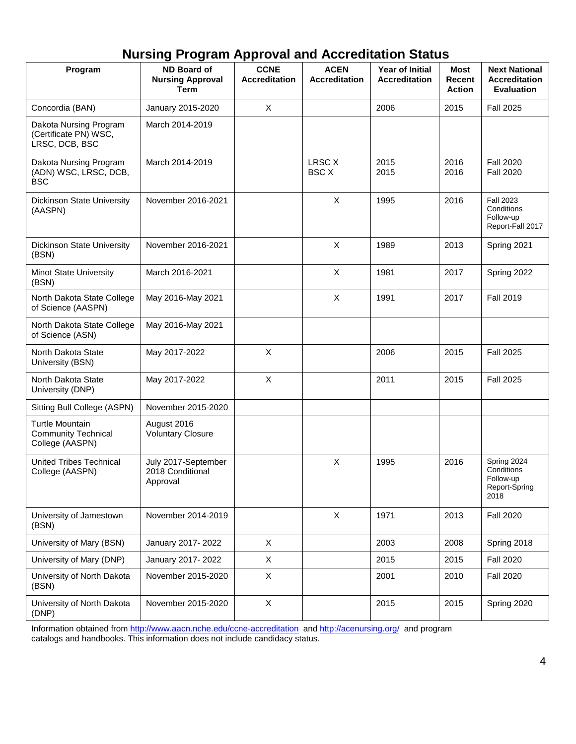## **Nursing Program Approval and Accreditation Status**

| Program                                                           | <b>ND Board of</b><br><b>Nursing Approval</b>       | <b>CCNE</b><br><b>Accreditation</b> | <b>ACEN</b><br><b>Accreditation</b> | Year of Initial<br><b>Accreditation</b> | Most<br>Recent | <b>Next National</b><br><b>Accreditation</b>                    |
|-------------------------------------------------------------------|-----------------------------------------------------|-------------------------------------|-------------------------------------|-----------------------------------------|----------------|-----------------------------------------------------------------|
|                                                                   | <b>Term</b>                                         |                                     |                                     |                                         | <b>Action</b>  | <b>Evaluation</b>                                               |
| Concordia (BAN)                                                   | January 2015-2020                                   | $\times$                            |                                     | 2006                                    | 2015           | <b>Fall 2025</b>                                                |
| Dakota Nursing Program<br>(Certificate PN) WSC,<br>LRSC, DCB, BSC | March 2014-2019                                     |                                     |                                     |                                         |                |                                                                 |
| Dakota Nursing Program<br>(ADN) WSC, LRSC, DCB,<br><b>BSC</b>     | March 2014-2019                                     |                                     | <b>LRSC X</b><br><b>BSC X</b>       | 2015<br>2015                            | 2016<br>2016   | <b>Fall 2020</b><br><b>Fall 2020</b>                            |
| Dickinson State University<br>(AASPN)                             | November 2016-2021                                  |                                     | X                                   | 1995                                    | 2016           | <b>Fall 2023</b><br>Conditions<br>Follow-up<br>Report-Fall 2017 |
| Dickinson State University<br>(BSN)                               | November 2016-2021                                  |                                     | $\mathsf{X}$                        | 1989                                    | 2013           | Spring 2021                                                     |
| <b>Minot State University</b><br>(BSN)                            | March 2016-2021                                     |                                     | $\mathsf{X}$                        | 1981                                    | 2017           | Spring 2022                                                     |
| North Dakota State College<br>of Science (AASPN)                  | May 2016-May 2021                                   |                                     | $\mathsf X$                         | 1991                                    | 2017           | <b>Fall 2019</b>                                                |
| North Dakota State College<br>of Science (ASN)                    | May 2016-May 2021                                   |                                     |                                     |                                         |                |                                                                 |
| North Dakota State<br>University (BSN)                            | May 2017-2022                                       | X                                   |                                     | 2006                                    | 2015           | <b>Fall 2025</b>                                                |
| North Dakota State<br>University (DNP)                            | May 2017-2022                                       | $\mathsf{X}$                        |                                     | 2011                                    | 2015           | <b>Fall 2025</b>                                                |
| Sitting Bull College (ASPN)                                       | November 2015-2020                                  |                                     |                                     |                                         |                |                                                                 |
| Turtle Mountain<br><b>Community Technical</b><br>College (AASPN)  | August 2016<br><b>Voluntary Closure</b>             |                                     |                                     |                                         |                |                                                                 |
| <b>United Tribes Technical</b><br>College (AASPN)                 | July 2017-September<br>2018 Conditional<br>Approval |                                     | X                                   | 1995                                    | 2016           | Spring 2024<br>Conditions<br>Follow-up<br>Report-Spring<br>2018 |
| University of Jamestown<br>(BSN)                                  | November 2014-2019                                  |                                     | $\mathsf{X}$                        | 1971                                    | 2013           | <b>Fall 2020</b>                                                |
| University of Mary (BSN)                                          | January 2017-2022                                   | $\mathsf{X}$                        |                                     | 2003                                    | 2008           | Spring 2018                                                     |
| University of Mary (DNP)                                          | January 2017-2022                                   | X                                   |                                     | 2015                                    | 2015           | <b>Fall 2020</b>                                                |
| University of North Dakota<br>(BSN)                               | November 2015-2020                                  | X                                   |                                     | 2001                                    | 2010           | <b>Fall 2020</b>                                                |
| University of North Dakota<br>(DNP)                               | November 2015-2020                                  | X                                   |                                     | 2015                                    | 2015           | Spring 2020                                                     |

Information obtained fro[m http://www.aacn.nche.edu/ccne-accreditation](http://www.aacn.nche.edu/ccne-accreditation) and<http://acenursing.org/>and program catalogs and handbooks. This information does not include candidacy status.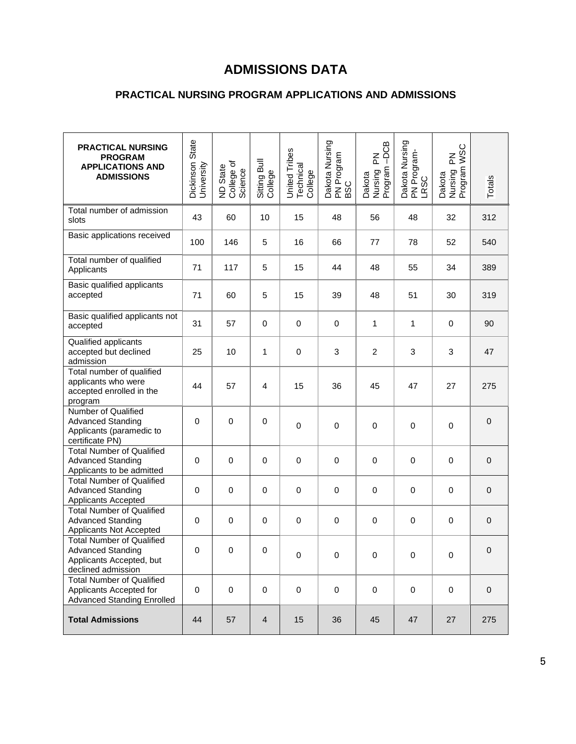## **ADMISSIONS DATA**

## **PRACTICAL NURSING PROGRAM APPLICATIONS AND ADMISSIONS**

| <b>PRACTICAL NURSING</b><br><b>PROGRAM</b><br><b>APPLICATIONS AND</b><br><b>ADMISSIONS</b>                     | Dickinson State<br>University | ND State<br>College of<br>Science | Sitting Bull<br>College | United Tribes<br>Technical<br>College | Dakota Nursing<br>PN Program<br>BSC | $-DCB$<br>집<br>Dakota<br>Nursing I<br>Program | Dakota Nursing<br>PN Program-<br>LRSC | <b>WSC</b><br>준<br>Dakota<br>Nursing F<br>Program \ | Totals           |
|----------------------------------------------------------------------------------------------------------------|-------------------------------|-----------------------------------|-------------------------|---------------------------------------|-------------------------------------|-----------------------------------------------|---------------------------------------|-----------------------------------------------------|------------------|
| Total number of admission<br>slots                                                                             | 43                            | 60                                | 10                      | 15                                    | 48                                  | 56                                            | 48                                    | 32                                                  | 312              |
| Basic applications received                                                                                    | 100                           | 146                               | 5                       | 16                                    | 66                                  | 77                                            | 78                                    | 52                                                  | 540              |
| Total number of qualified<br>Applicants                                                                        | 71                            | 117                               | 5                       | 15                                    | 44                                  | 48                                            | 55                                    | 34                                                  | 389              |
| Basic qualified applicants<br>accepted                                                                         | 71                            | 60                                | 5                       | 15                                    | 39                                  | 48                                            | 51                                    | 30                                                  | 319              |
| Basic qualified applicants not<br>accepted                                                                     | 31                            | 57                                | 0                       | 0                                     | $\mathbf 0$                         | 1                                             | 1                                     | $\mathbf 0$                                         | 90               |
| Qualified applicants<br>accepted but declined<br>admission                                                     | 25                            | 10                                | $\mathbf{1}$            | $\mathbf 0$                           | 3                                   | $\overline{c}$                                | 3                                     | 3                                                   | 47               |
| Total number of qualified<br>applicants who were<br>accepted enrolled in the<br>program                        | 44                            | 57                                | $\overline{4}$          | 15                                    | 36                                  | 45                                            | 47                                    | 27                                                  | 275              |
| Number of Qualified<br><b>Advanced Standing</b><br>Applicants (paramedic to<br>certificate PN)                 | $\mathbf 0$                   | $\pmb{0}$                         | 0                       | 0                                     | 0                                   | 0                                             | $\mathbf 0$                           | $\mathbf 0$                                         | $\mathbf 0$      |
| <b>Total Number of Qualified</b><br><b>Advanced Standing</b><br>Applicants to be admitted                      | 0                             | $\mathbf 0$                       | $\mathbf 0$             | $\mathbf 0$                           | $\mathbf 0$                         | 0                                             | $\mathbf 0$                           | $\mathbf 0$                                         | $\mathbf 0$      |
| <b>Total Number of Qualified</b><br><b>Advanced Standing</b><br>Applicants Accepted                            | 0                             | $\mathbf 0$                       | 0                       | $\mathbf 0$                           | 0                                   | 0                                             | 0                                     | 0                                                   | $\boldsymbol{0}$ |
| <b>Total Number of Qualified</b><br><b>Advanced Standing</b><br>Applicants Not Accepted                        | $\mathbf 0$                   | 0                                 | $\mathbf 0$             | $\pmb{0}$                             | 0                                   | 0                                             | 0                                     | $\mathbf 0$                                         | $\mbox{O}$       |
| <b>Total Number of Qualified</b><br><b>Advanced Standing</b><br>Applicants Accepted, but<br>declined admission | 0                             | 0                                 | 0                       | 0                                     | 0                                   | 0                                             | 0                                     | 0                                                   | $\Omega$         |
| <b>Total Number of Qualified</b><br>Applicants Accepted for<br><b>Advanced Standing Enrolled</b>               | 0                             | 0                                 | 0                       | $\pmb{0}$                             | $\mathbf 0$                         | $\pmb{0}$                                     | $\mathbf 0$                           | $\pmb{0}$                                           | $\boldsymbol{0}$ |
| <b>Total Admissions</b>                                                                                        | 44                            | 57                                | 4                       | 15                                    | 36                                  | 45                                            | 47                                    | 27                                                  | 275              |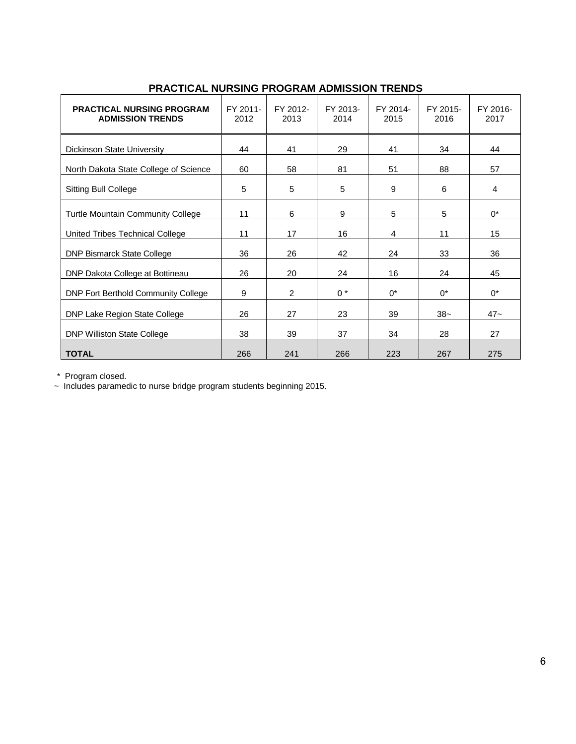| <b>PRACTICAL NURSING PROGRAM</b><br><b>ADMISSION TRENDS</b> | FY 2011-<br>2012 | FY 2012-<br>2013 | FY 2013-<br>2014 | FY 2014-<br>2015 | FY 2015-<br>2016 | FY 2016-<br>2017 |
|-------------------------------------------------------------|------------------|------------------|------------------|------------------|------------------|------------------|
| Dickinson State University                                  | 44               | 41               | 29               | 41               | 34               | 44               |
| North Dakota State College of Science                       | 60               | 58               | 81               | 51               | 88               | 57               |
| <b>Sitting Bull College</b>                                 | 5                | 5                | 5                | 9                | 6                | 4                |
| <b>Turtle Mountain Community College</b>                    | 11               | 6                | 9                | 5                | 5                | $0^*$            |
| United Tribes Technical College                             | 11               | 17               | 16               | 4                | 11               | 15               |
| <b>DNP Bismarck State College</b>                           | 36               | 26               | 42               | 24               | 33               | 36               |
| DNP Dakota College at Bottineau                             | 26               | 20               | 24               | 16               | 24               | 45               |
| <b>DNP Fort Berthold Community College</b>                  | 9                | $\overline{2}$   | $0^*$            | $0^*$            | $0^*$            | $0^*$            |
| DNP Lake Region State College                               | 26               | 27               | 23               | 39               | $38-$            | $47 -$           |
| <b>DNP Williston State College</b>                          | 38               | 39               | 37               | 34               | 28               | 27               |
| <b>TOTAL</b>                                                | 266              | 241              | 266              | 223              | 267              | 275              |

## **PRACTICAL NURSING PROGRAM ADMISSION TRENDS**

\* Program closed.

~ Includes paramedic to nurse bridge program students beginning 2015.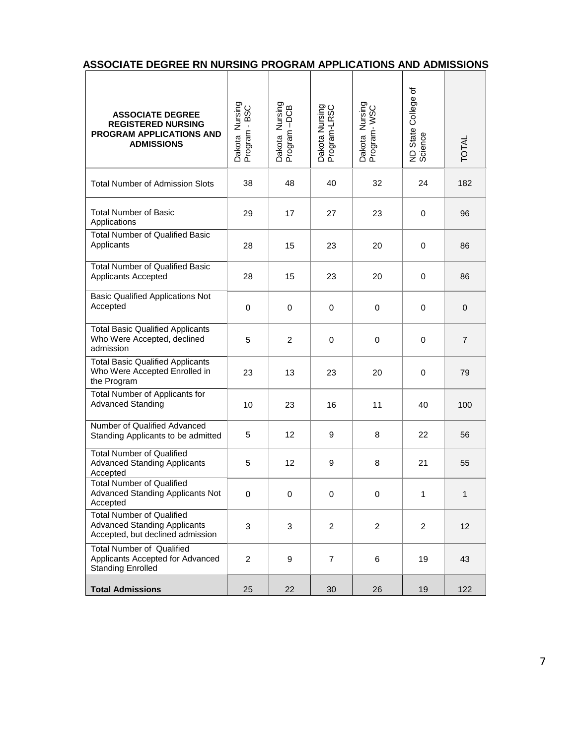| <b>ASSOCIATE DEGREE</b><br><b>REGISTERED NURSING</b><br>PROGRAM APPLICATIONS AND<br><b>ADMISSIONS</b>       | Dakota Nursing<br>Program - BSC | Dakota Nursing<br>Program -DCB | Dakota Nursing<br>Program-LRSC | Dakota Nursing<br>Program- WSC | College of<br>State (<br>ND State<br>Science | <b>TOTAL</b>   |
|-------------------------------------------------------------------------------------------------------------|---------------------------------|--------------------------------|--------------------------------|--------------------------------|----------------------------------------------|----------------|
| <b>Total Number of Admission Slots</b>                                                                      | 38                              | 48                             | 40                             | 32                             | 24                                           | 182            |
| Total Number of Basic<br>Applications                                                                       | 29                              | 17                             | 27                             | 23                             | 0                                            | 96             |
| <b>Total Number of Qualified Basic</b><br>Applicants                                                        | 28                              | 15                             | 23                             | 20                             | $\mathbf 0$                                  | 86             |
| <b>Total Number of Qualified Basic</b><br>Applicants Accepted                                               | 28                              | 15                             | 23                             | 20                             | 0                                            | 86             |
| <b>Basic Qualified Applications Not</b><br>Accepted                                                         | 0                               | $\mathbf 0$                    | $\mathbf 0$                    | $\mathbf 0$                    | $\mathbf 0$                                  | $\mathbf{0}$   |
| <b>Total Basic Qualified Applicants</b><br>Who Were Accepted, declined<br>admission                         | 5                               | $\overline{c}$                 | 0                              | 0                              | 0                                            | $\overline{7}$ |
| <b>Total Basic Qualified Applicants</b><br>Who Were Accepted Enrolled in<br>the Program                     | 23                              | 13                             | 23                             | 20                             | 0                                            | 79             |
| Total Number of Applicants for<br><b>Advanced Standing</b>                                                  | 10                              | 23                             | 16                             | 11                             | 40                                           | 100            |
| Number of Qualified Advanced<br>Standing Applicants to be admitted                                          | 5                               | 12                             | 9                              | 8                              | 22                                           | 56             |
| <b>Total Number of Qualified</b><br><b>Advanced Standing Applicants</b><br>Accepted                         | 5                               | 12                             | 9                              | 8                              | 21                                           | 55             |
| <b>Total Number of Qualified</b><br>Advanced Standing Applicants Not<br>Accepted                            | 0                               | 0                              | 0                              | 0                              |                                              |                |
| <b>Total Number of Qualified</b><br><b>Advanced Standing Applicants</b><br>Accepted, but declined admission | 3                               | 3                              | $\overline{2}$                 | $\overline{2}$                 | $\overline{2}$                               | 12             |
| <b>Total Number of Qualified</b><br>Applicants Accepted for Advanced<br><b>Standing Enrolled</b>            | $\overline{2}$                  | 9                              | $\overline{7}$                 | 6                              | 19                                           | 43             |
| <b>Total Admissions</b>                                                                                     | 25                              | 22                             | 30                             | 26                             | 19                                           | 122            |

## **ASSOCIATE DEGREE RN NURSING PROGRAM APPLICATIONS AND ADMISSIONS**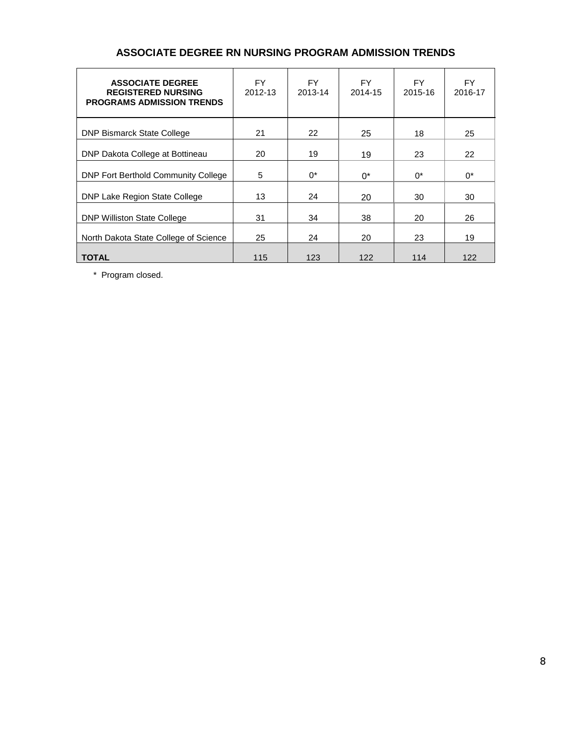## **ASSOCIATE DEGREE RN NURSING PROGRAM ADMISSION TRENDS**

| <b>ASSOCIATE DEGREE</b><br><b>REGISTERED NURSING</b><br><b>PROGRAMS ADMISSION TRENDS</b> | FY.<br>2012-13 | FY.<br>2013-14 | FY.<br>2014-15 | FY.<br>2015-16 | FY.<br>2016-17 |
|------------------------------------------------------------------------------------------|----------------|----------------|----------------|----------------|----------------|
| <b>DNP Bismarck State College</b>                                                        | 21             | 22             | 25             | 18             | 25             |
| DNP Dakota College at Bottineau                                                          | 20             | 19             | 19             | 23             | 22             |
| <b>DNP Fort Berthold Community College</b>                                               | 5              | $0^*$          | $0^*$          | $0^*$          | $0^*$          |
| DNP Lake Region State College                                                            | 13             | 24             | 20             | 30             | 30             |
| <b>DNP Williston State College</b>                                                       | 31             | 34             | 38             | 20             | 26             |
| North Dakota State College of Science                                                    | 25             | 24             | 20             | 23             | 19             |
| <b>TOTAL</b>                                                                             | 115            | 123            | 122            | 114            | 122            |

\* Program closed.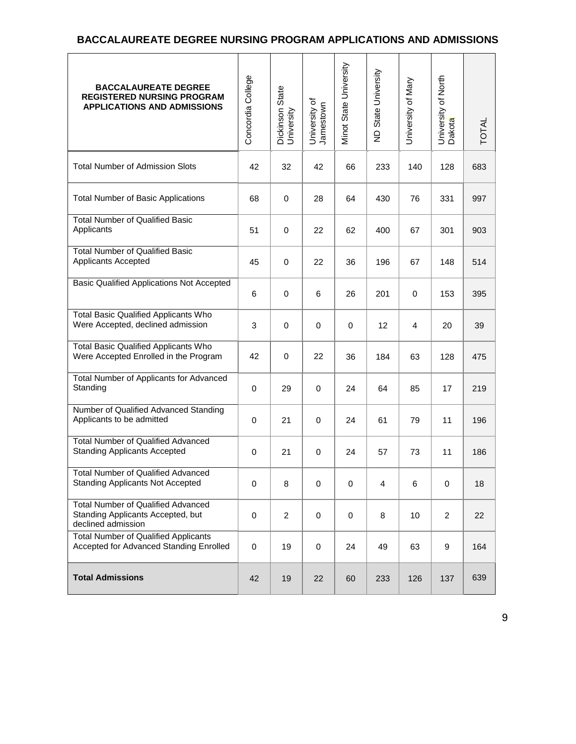## **BACCALAUREATE DEGREE NURSING PROGRAM APPLICATIONS AND ADMISSIONS**

| <b>BACCALAUREATE DEGREE</b><br><b>REGISTERED NURSING PROGRAM</b><br><b>APPLICATIONS AND ADMISSIONS</b> | Concordia College | <b>Dickinson State</b><br>University | University of<br>Jamestown | Minot State University | ND State University | University of Mary | University of North<br>Dakota | <b>TOTAL</b> |
|--------------------------------------------------------------------------------------------------------|-------------------|--------------------------------------|----------------------------|------------------------|---------------------|--------------------|-------------------------------|--------------|
| <b>Total Number of Admission Slots</b>                                                                 | 42                | 32                                   | 42                         | 66                     | 233                 | 140                | 128                           | 683          |
| <b>Total Number of Basic Applications</b>                                                              | 68                | 0                                    | 28                         | 64                     | 430                 | 76                 | 331                           | 997          |
| <b>Total Number of Qualified Basic</b><br>Applicants                                                   | 51                | 0                                    | 22                         | 62                     | 400                 | 67                 | 301                           | 903          |
| <b>Total Number of Qualified Basic</b><br>Applicants Accepted                                          | 45                | 0                                    | 22                         | 36                     | 196                 | 67                 | 148                           | 514          |
| <b>Basic Qualified Applications Not Accepted</b>                                                       | 6                 | 0                                    | 6                          | 26                     | 201                 | $\mathbf 0$        | 153                           | 395          |
| <b>Total Basic Qualified Applicants Who</b><br>Were Accepted, declined admission                       | 3                 | 0                                    | $\mathbf 0$                | 0                      | 12                  | 4                  | 20                            | 39           |
| <b>Total Basic Qualified Applicants Who</b><br>Were Accepted Enrolled in the Program                   | 42                | 0                                    | 22                         | 36                     | 184                 | 63                 | 128                           | 475          |
| Total Number of Applicants for Advanced<br>Standing                                                    | 0                 | 29                                   | $\pmb{0}$                  | 24                     | 64                  | 85                 | 17                            | 219          |
| Number of Qualified Advanced Standing<br>Applicants to be admitted                                     | 0                 | 21                                   | $\pmb{0}$                  | 24                     | 61                  | 79                 | 11                            | 196          |
| <b>Total Number of Qualified Advanced</b><br><b>Standing Applicants Accepted</b>                       | $\mathbf 0$       | 21                                   | $\mathbf 0$                | 24                     | 57                  | 73                 | 11                            | 186          |
| Total Number of Qualified Advanced<br><b>Standing Applicants Not Accepted</b>                          | 0                 | 8                                    | 0                          | 0                      | $\overline{4}$      | 6                  | 0                             | 18           |
| <b>Total Number of Qualified Advanced</b><br>Standing Applicants Accepted, but<br>declined admission   | 0                 | $\overline{c}$                       | $\mathbf 0$                | $\mathbf 0$            | 8                   | 10                 | $\overline{2}$                | 22           |
| <b>Total Number of Qualified Applicants</b><br>Accepted for Advanced Standing Enrolled                 | 0                 | 19                                   | $\mathbf 0$                | 24                     | 49                  | 63                 | 9                             | 164          |
| <b>Total Admissions</b>                                                                                | 42                | 19                                   | 22                         | 60                     | 233                 | 126                | 137                           | 639          |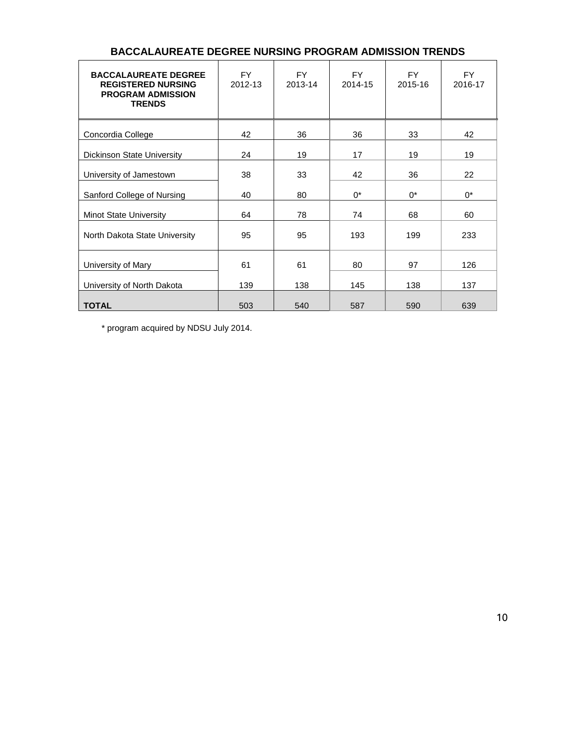| <b>BACCALAUREATE DEGREE</b><br><b>REGISTERED NURSING</b><br><b>PROGRAM ADMISSION</b><br><b>TRENDS</b> | <b>FY</b><br>2012-13 | <b>FY</b><br>2013-14 | <b>FY</b><br>2014-15 | <b>FY</b><br>2015-16 | <b>FY</b><br>2016-17 |
|-------------------------------------------------------------------------------------------------------|----------------------|----------------------|----------------------|----------------------|----------------------|
| Concordia College                                                                                     | 42                   | 36                   | 36                   | 33                   | 42                   |
| <b>Dickinson State University</b>                                                                     | 24                   | 19                   | 17                   | 19                   | 19                   |
| University of Jamestown                                                                               | 38                   | 33                   | 42                   | 36                   | 22                   |
| Sanford College of Nursing                                                                            | 40                   | 80                   | $0^*$                | $0^*$                | $0^*$                |
| <b>Minot State University</b>                                                                         | 64                   | 78                   | 74                   | 68                   | 60                   |
| North Dakota State University                                                                         | 95                   | 95                   | 193                  | 199                  | 233                  |
| University of Mary                                                                                    | 61                   | 61                   | 80                   | 97                   | 126                  |
| University of North Dakota                                                                            | 139                  | 138                  | 145                  | 138                  | 137                  |
| <b>TOTAL</b>                                                                                          | 503                  | 540                  | 587                  | 590                  | 639                  |

## **BACCALAUREATE DEGREE NURSING PROGRAM ADMISSION TRENDS**

\* program acquired by NDSU July 2014.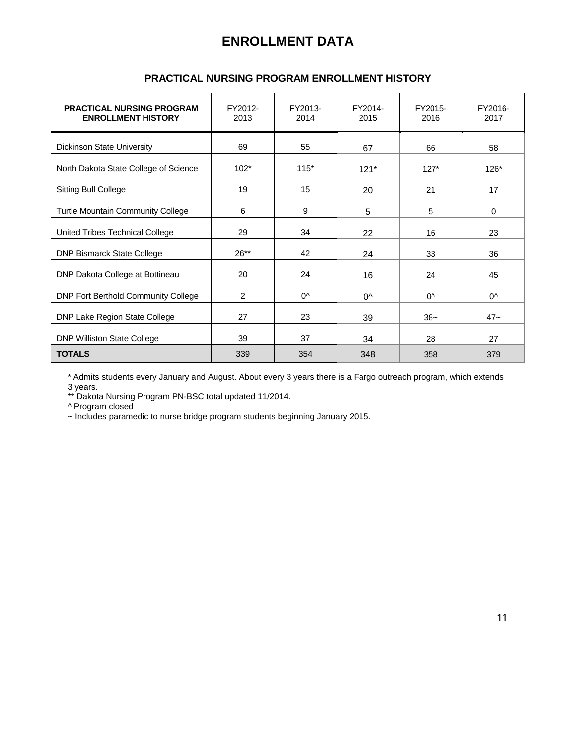## **ENROLLMENT DATA**

| <b>PRACTICAL NURSING PROGRAM</b><br><b>ENROLLMENT HISTORY</b> | FY2012-<br>2013 | FY2013-<br>2014 | FY2014-<br>2015 | FY2015-<br>2016 | FY2016-<br>2017 |
|---------------------------------------------------------------|-----------------|-----------------|-----------------|-----------------|-----------------|
| <b>Dickinson State University</b>                             | 69              | 55              | 67              | 66              | 58              |
| North Dakota State College of Science                         | $102*$          | $115*$          | $121*$          | $127*$          | 126*            |
| <b>Sitting Bull College</b>                                   | 19              | 15              | 20              | 21              | 17              |
| <b>Turtle Mountain Community College</b>                      | 6               | 9               | 5               | 5               | $\mathbf 0$     |
| United Tribes Technical College                               | 29              | 34              | 22              | 16              | 23              |
| <b>DNP Bismarck State College</b>                             | $26**$          | 42              | 24              | 33              | 36              |
| DNP Dakota College at Bottineau                               | 20              | 24              | 16              | 24              | 45              |
| DNP Fort Berthold Community College                           | 2               | $^{0^{\prime}}$ | $0^{\wedge}$    | 0^              | 0^              |
| DNP Lake Region State College                                 | 27              | 23              | 39              | $38-$           | $47 -$          |
| <b>DNP Williston State College</b>                            | 39              | 37              | 34              | 28              | 27              |
| <b>TOTALS</b>                                                 | 339             | 354             | 348             | 358             | 379             |

## **PRACTICAL NURSING PROGRAM ENROLLMENT HISTORY**

\* Admits students every January and August. About every 3 years there is a Fargo outreach program, which extends 3 years.

\*\* Dakota Nursing Program PN-BSC total updated 11/2014.

^ Program closed

~ Includes paramedic to nurse bridge program students beginning January 2015.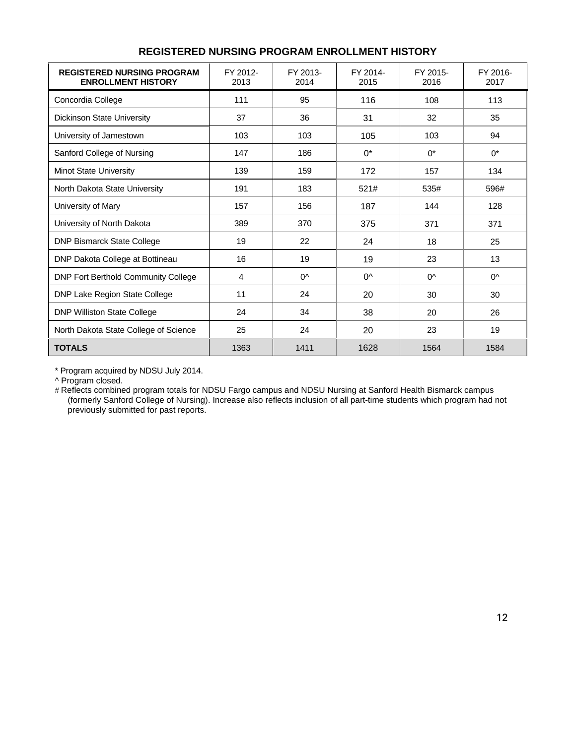| <b>REGISTERED NURSING PROGRAM</b><br><b>ENROLLMENT HISTORY</b> | FY 2012-<br>2013 | FY 2013-<br>2014 | FY 2014-<br>2015 | FY 2015-<br>2016 | FY 2016-<br>2017 |
|----------------------------------------------------------------|------------------|------------------|------------------|------------------|------------------|
| Concordia College                                              | 111              | 95               | 116              | 108              | 113              |
| <b>Dickinson State University</b>                              | 37               | 36               | 31               | 32               | 35               |
| University of Jamestown                                        | 103              | 103              | 105              | 103              | 94               |
| Sanford College of Nursing                                     | 147              | 186              | $0^*$            | $0^*$            | $0^*$            |
| Minot State University                                         | 139              | 159              | 172              | 157              | 134              |
| North Dakota State University                                  | 191              | 183              | 521#             | 535#             | 596#             |
| University of Mary                                             | 157              | 156              | 187              | 144              | 128              |
| University of North Dakota                                     | 389              | 370              | 375              | 371              | 371              |
| <b>DNP Bismarck State College</b>                              | 19               | 22               | 24               | 18               | 25               |
| DNP Dakota College at Bottineau                                | 16               | 19               | 19               | 23               | 13               |
| <b>DNP Fort Berthold Community College</b>                     | 4                | $0^{\wedge}$     | $0^{\wedge}$     | $0^{\wedge}$     | $0^{\wedge}$     |
| DNP Lake Region State College                                  | 11               | 24               | 20               | 30               | 30               |
| <b>DNP Williston State College</b>                             | 24               | 34               | 38               | 20               | 26               |
| North Dakota State College of Science                          | 25               | 24               | 20               | 23               | 19               |
| <b>TOTALS</b>                                                  | 1363             | 1411             | 1628             | 1564             | 1584             |

## **REGISTERED NURSING PROGRAM ENROLLMENT HISTORY**

\* Program acquired by NDSU July 2014.

^ Program closed.

# Reflects combined program totals for NDSU Fargo campus and NDSU Nursing at Sanford Health Bismarck campus (formerly Sanford College of Nursing). Increase also reflects inclusion of all part-time students which program had not previously submitted for past reports.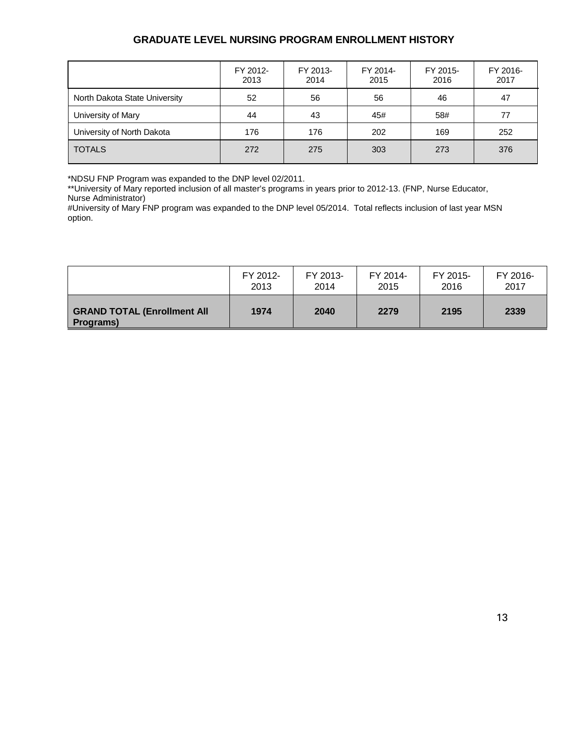## **GRADUATE LEVEL NURSING PROGRAM ENROLLMENT HISTORY**

|                               | FY 2012-<br>2013 | FY 2013-<br>2014 | FY 2014-<br>2015 | FY 2015-<br>2016 | FY 2016-<br>2017 |
|-------------------------------|------------------|------------------|------------------|------------------|------------------|
| North Dakota State University | 52               | 56               | 56               | 46               | 47               |
| University of Mary            | 44               | 43               | 45#              | 58#              | 77               |
| University of North Dakota    | 176              | 176              | 202              | 169              | 252              |
| <b>TOTALS</b>                 | 272              | 275              | 303              | 273              | 376              |

\*NDSU FNP Program was expanded to the DNP level 02/2011.

\*\*University of Mary reported inclusion of all master's programs in years prior to 2012-13. (FNP, Nurse Educator, Nurse Administrator)

#University of Mary FNP program was expanded to the DNP level 05/2014. Total reflects inclusion of last year MSN option.

|                                                         | FY 2012- | FY 2013- | FY 2014- | FY 2015- | FY 2016- |
|---------------------------------------------------------|----------|----------|----------|----------|----------|
|                                                         | 2013     | 2014     | 2015     | 2016     | 2017     |
| <b>GRAND TOTAL (Enrollment All</b><br><b>Programs</b> ) | 1974     | 2040     | 2279     | 2195     | 2339     |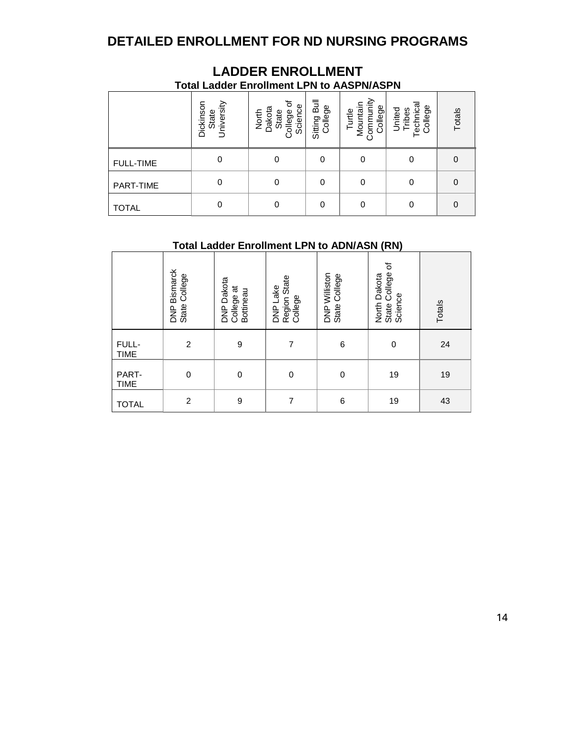## **DETAILED ENROLLMENT FOR ND NURSING PROGRAMS**

| <b>Total Ladder Enrollment LPN to AASPN/ASPN</b> |                                  |                                                     |                         |                                            |                                            |          |  |  |  |
|--------------------------------------------------|----------------------------------|-----------------------------------------------------|-------------------------|--------------------------------------------|--------------------------------------------|----------|--|--|--|
|                                                  | State<br>University<br>Dickinson | ঌ<br>Science<br>North<br>Dakota<br>College<br>State | Sitting Bull<br>College | Turtle<br>Mountain<br>Community<br>College | College<br>United<br>Tribes<br>echnic<br>⊢ | Totals   |  |  |  |
| <b>FULL-TIME</b>                                 | 0                                |                                                     | 0                       | 0                                          | 0                                          | $\Omega$ |  |  |  |
| <b>PART-TIME</b>                                 | 0                                | 0                                                   | 0                       | 0                                          | 0                                          | 0        |  |  |  |
| <b>TOTAL</b>                                     | 0                                |                                                     | 0                       | 0                                          | 0                                          | $\Omega$ |  |  |  |

# **LADDER ENROLLMENT**

## **Total Ladder Enrollment LPN to ADN/ASN (RN)**

|                      | DNP Bismarck<br>State College | <b>DNP Dakota</b><br>College at<br>Bottineau | Region State<br>College<br>DNP Lake | DNP Williston<br>State College | $\mathcal{L}$<br>State College<br>North Dakota<br>Science | Totals |
|----------------------|-------------------------------|----------------------------------------------|-------------------------------------|--------------------------------|-----------------------------------------------------------|--------|
| FULL-<br><b>TIME</b> | $\overline{2}$                | 9                                            | 7                                   | 6                              | $\mathbf 0$                                               | 24     |
| PART-<br><b>TIME</b> | $\mathbf 0$                   | 0                                            | $\mathbf 0$                         | $\pmb{0}$                      | 19                                                        | 19     |
| <b>TOTAL</b>         | $\overline{c}$                | 9                                            | 7                                   | 6                              | 19                                                        | 43     |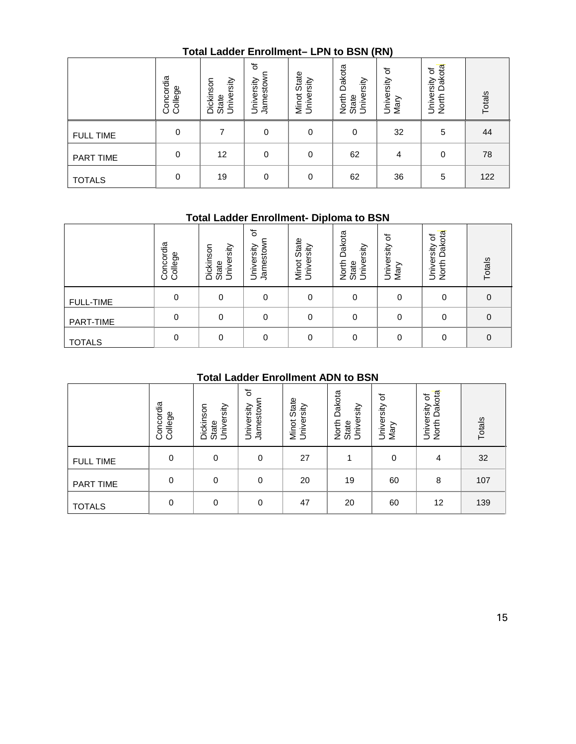## **Total Ladder Enrollment– LPN to BSN (RN)**

|                  | Concordia<br>College | University<br>Dickinson<br>State | ৳<br>Jamestown<br>University | State<br>Minot Stat<br>University | Dakota<br>University<br>North<br>State | ৳<br>University<br>Mary | Dakota<br>University of<br>North I | Totals |
|------------------|----------------------|----------------------------------|------------------------------|-----------------------------------|----------------------------------------|-------------------------|------------------------------------|--------|
| <b>FULL TIME</b> | 0                    |                                  | 0                            | 0                                 | 0                                      | 32                      | 5                                  | 44     |
| PART TIME        | 0                    | 12                               | 0                            | 0                                 | 62                                     | 4                       | $\mathbf 0$                        | 78     |
| <b>TOTALS</b>    | 0                    | 19                               | 0                            | 0                                 | 62                                     | 36                      | 5                                  | 122    |

## **Total Ladder Enrollment- Diploma to BSN**

|                  | oncordia<br>College<br>Ō | Dickinson<br>Iniversity<br>State<br>Ξ | ৳<br>Jamestow<br>ersity<br>≤<br>ڪ | State<br>rsity<br>Φ<br>Minot<br>Š | Dakota<br>Iniversity<br>North<br>State<br>⊃ | ৳<br>University<br>∽<br>Mar | Dakota<br>৳<br>University<br>North | Totals   |
|------------------|--------------------------|---------------------------------------|-----------------------------------|-----------------------------------|---------------------------------------------|-----------------------------|------------------------------------|----------|
| <b>FULL-TIME</b> | 0                        |                                       | 0                                 | 0                                 | 0                                           | 0                           | 0                                  | 0        |
| PART-TIME        | 0                        | 0                                     | 0                                 | 0                                 | 0                                           | 0                           | 0                                  | $\Omega$ |
| <b>TOTALS</b>    | 0                        | 0                                     | 0                                 | 0                                 | 0                                           | 0                           | 0                                  | $\Omega$ |

## **Total Ladder Enrollment ADN to BSN**

|                  | Concordia<br>College | Dickinson<br>University<br>State | đ<br>Jamestown<br>University              | Minot State<br>University | Dakota<br>University<br>North I<br>State | University of<br>Mary | North Dakota<br>University of | Totals      |
|------------------|----------------------|----------------------------------|-------------------------------------------|---------------------------|------------------------------------------|-----------------------|-------------------------------|-------------|
| <b>FULL-TIME</b> | $\pmb{0}$            | $\pmb{0}$                        | $\pmb{0}$                                 | $\pmb{0}$                 | $\mathbf 0$                              | $\pmb{0}$             | $\pmb{0}$                     | $\mathbf 0$ |
| PART-TIME        | 0                    | $\boldsymbol{0}$                 | $\pmb{0}$                                 | $\pmb{0}$                 | $\pmb{0}$                                | $\mathbf 0$           | $\pmb{0}$                     | $\mathbf 0$ |
| <b>TOTALS</b>    | $\pmb{0}$            | 0                                | $\pmb{0}$                                 | $\mathbf 0$               | $\pmb{0}$                                | 0                     | 0                             | $\mathbf 0$ |
|                  |                      |                                  | <b>Total Ladder Enrollment ADN to BSN</b> |                           |                                          |                       |                               |             |
|                  | Concordia<br>College | Dickinson<br>University<br>State | ৳<br>Jamestown<br>University              | Minot State<br>University | North Dakota<br>University<br>State      | University of<br>Mary | North Dakota<br>University of | Totals      |
| <b>FULL TIME</b> | $\pmb{0}$            | $\pmb{0}$                        | $\pmb{0}$                                 | 27                        | $\mathbf{1}$                             | $\pmb{0}$             | 4                             | 32          |
| PART TIME        | $\pmb{0}$            | $\pmb{0}$                        | $\pmb{0}$                                 | 20                        | 19                                       | 60                    | 8                             | 107         |
| <b>TOTALS</b>    | $\pmb{0}$            | $\mathbf 0$                      | $\pmb{0}$                                 | 47                        | 20                                       | 60                    | 12                            | 139         |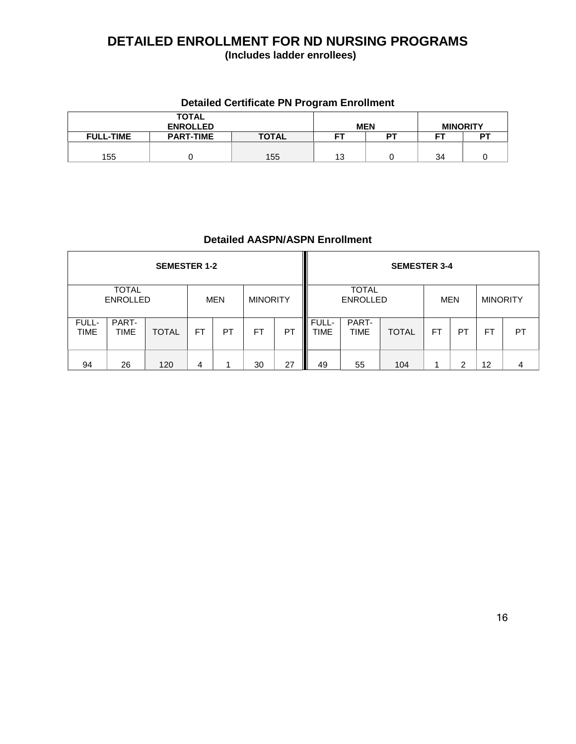# **DETAILED ENROLLMENT FOR ND NURSING PROGRAMS**

**(Includes ladder enrollees)**

## **Detailed Certificate PN Program Enrollment**

|                  | <b>TOTAL</b><br><b>ENROLLED</b> |              |    | <b>MEN</b> | <b>MINORITY</b> |    |
|------------------|---------------------------------|--------------|----|------------|-----------------|----|
| <b>FULL-TIME</b> | <b>PART-TIME</b>                | <b>TOTAL</b> | FT | DТ         | cт              | DТ |
|                  |                                 |              |    |            |                 |    |
| 155              |                                 | 155          | 13 |            | 34              |    |

## **Detailed AASPN/ASPN Enrollment**

|                      |                                 | <b>SEMESTER 1-2</b> |           |            |                 |    |                      |                                 | <b>SEMESTER 3-4</b> |    |           |                 |    |
|----------------------|---------------------------------|---------------------|-----------|------------|-----------------|----|----------------------|---------------------------------|---------------------|----|-----------|-----------------|----|
|                      | <b>TOTAL</b><br><b>ENROLLED</b> |                     |           | <b>MEN</b> | <b>MINORITY</b> |    |                      | <b>TOTAL</b><br><b>ENROLLED</b> |                     |    | MEN       | <b>MINORITY</b> |    |
| FULL-<br><b>TIME</b> | PART-<br><b>TIME</b>            | <b>TOTAL</b>        | <b>FT</b> | PT         | <b>FT</b>       | PT | FULL-<br><b>TIME</b> | PART-<br><b>TIME</b>            | <b>TOTAL</b>        | FT | <b>PT</b> | <b>FT</b>       | PT |
| 94                   | 26                              | 120                 | 4         |            | 30              | 27 | 49                   | 55                              | 104                 |    | ⌒         | 12              |    |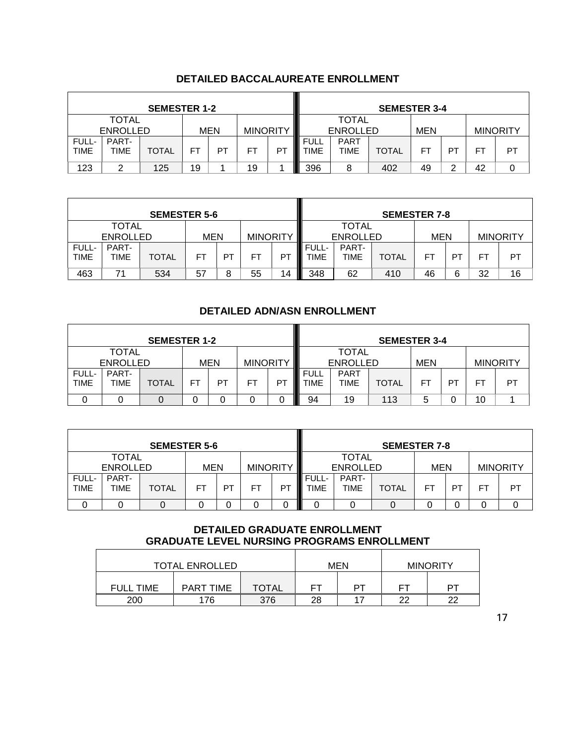|                      |                                 | <b>SEMESTER 1-2</b> |    |     |                 |    |                     |                                 | <b>SEMESTER 3-4</b> |            |        |     |                 |
|----------------------|---------------------------------|---------------------|----|-----|-----------------|----|---------------------|---------------------------------|---------------------|------------|--------|-----|-----------------|
|                      | <b>TOTAL</b><br><b>ENROLLED</b> |                     |    | MEN | <b>MINORITY</b> |    |                     | <b>TOTAL</b><br><b>ENROLLED</b> |                     | <b>MEN</b> |        |     | <b>MINORITY</b> |
| FULL-<br><b>TIME</b> | PART-<br><b>TIME</b>            | <b>TOTAL</b>        | FΤ | PT  | FT              | P1 | <b>FULL</b><br>TIME | <b>PART</b><br><b>TIME</b>      | <b>TOTAL</b>        | FT         | PT     | FT. | PT              |
| 123                  | ⌒                               | 125                 | 19 |     | 19              |    | 396                 | 8                               | 402                 | 49         | っ<br>∸ | 42  |                 |

## **DETAILED BACCALAUREATE ENROLLMENT**

|                      |                                 | <b>SEMESTER 5-6</b> |            |    |                 |    |                               |                                 | <b>SEMESTER 7-8</b> |            |    |    |                 |
|----------------------|---------------------------------|---------------------|------------|----|-----------------|----|-------------------------------|---------------------------------|---------------------|------------|----|----|-----------------|
|                      | <b>TOTAL</b><br><b>ENROLLED</b> |                     | <b>MEN</b> |    | <b>MINORITY</b> |    |                               | <b>TOTAL</b><br><b>ENROLLED</b> |                     | <b>MEN</b> |    |    | <b>MINORITY</b> |
| FULL-<br><b>TIME</b> | PART-<br>TIME                   | <b>TOTAL</b>        | <b>FT</b>  | PT | FT              | PI | <b>III</b> FULL-<br>TIME<br>Ш | PART-<br>TIME                   | TOTAL               | FT         | PT | FТ | PT              |
| 463                  | 71                              | 534                 | 57         | 8  | 55              | 14 | Ш<br>348                      | 62                              | 410                 | 46         | 6  | 32 | 16              |

## **DETAILED ADN/ASN ENROLLMENT**

|                      |                          | <b>SEMESTER 1-2</b> |    |            |                 |    |                     |                                 | <b>SEMESTER 3-4</b> |     |           |           |                 |
|----------------------|--------------------------|---------------------|----|------------|-----------------|----|---------------------|---------------------------------|---------------------|-----|-----------|-----------|-----------------|
|                      | TOTAL<br><b>ENROLLED</b> |                     |    | <b>MEN</b> | <b>MINORITY</b> |    |                     | <b>TOTAL</b><br><b>ENROLLED</b> |                     | MEN |           |           | <b>MINORITY</b> |
| FULL-<br><b>TIME</b> | PART-<br>TIME            | <b>TOTAL</b>        | FΤ | PT         | FT              | P7 | <b>FULL</b><br>TIME | <b>PART</b><br><b>TIME</b>      | <b>TOTAL</b>        | FT  | <b>PT</b> | <b>FT</b> | PT              |
|                      |                          |                     | 0  |            |                 |    | 94                  | 19                              | 113                 | 5   |           | 10        |                 |

|                      |                          | <b>SEMESTER 5-6</b> |            |    |                 | <b>SEMESTER 7-8</b> |                    |                                 |              |            |     |    |                 |
|----------------------|--------------------------|---------------------|------------|----|-----------------|---------------------|--------------------|---------------------------------|--------------|------------|-----|----|-----------------|
|                      | TOTAL<br><b>ENROLLED</b> |                     | <b>MEN</b> |    | <b>MINORITY</b> |                     |                    | <b>TOTAL</b><br><b>ENROLLED</b> |              | <b>MEN</b> |     |    | <b>MINORITY</b> |
| FULL-<br><b>TIME</b> | PART-<br><b>TIME</b>     | <b>TOTAL</b>        | <b>FT</b>  | PT | FT              | PT.                 | FULL-<br>I<br>TIME | PART-<br><b>TIME</b>            | <b>TOTAL</b> | FT         | −Р⊤ | н. | PT              |
|                      |                          |                     |            | O  | 0               | I                   | 0                  |                                 |              |            |     |    |                 |

## **DETAILED GRADUATE ENROLLMENT GRADUATE LEVEL NURSING PROGRAMS ENROLLMENT**

|                  | <b>TOTAL ENROLLED</b> |              |    | <b>MEN</b> |    | <b>MINORITY</b> |
|------------------|-----------------------|--------------|----|------------|----|-----------------|
| <b>FULL TIME</b> | <b>PART TIME</b>      | <b>TOTAL</b> | FТ | ÞТ         |    | ÞТ              |
| 200              | 176                   | 376          | 28 |            | つつ | つつ              |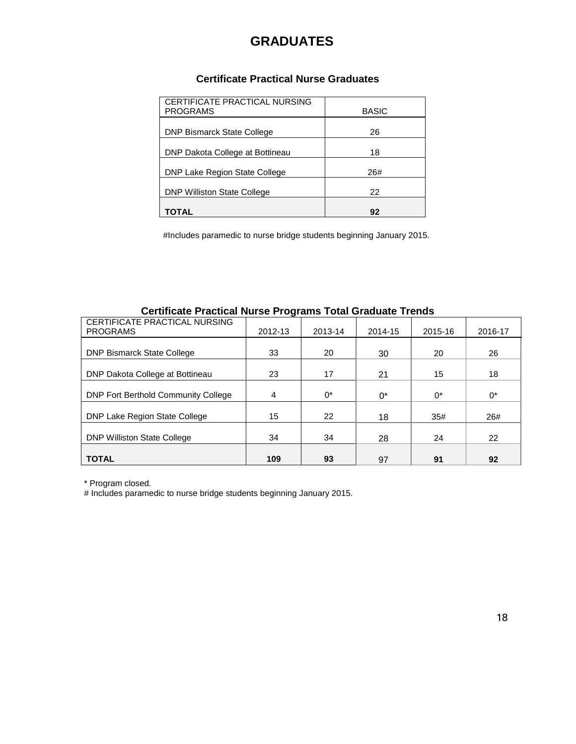## **GRADUATES**

## **Certificate Practical Nurse Graduates**

| CERTIFICATE PRACTICAL NURSING<br><b>PROGRAMS</b> | <b>BASIC</b> |
|--------------------------------------------------|--------------|
| <b>DNP Bismarck State College</b>                | 26           |
| DNP Dakota College at Bottineau                  | 18           |
| DNP Lake Region State College                    | 26#          |
| <b>DNP Williston State College</b>               | 22           |
| TOTAL                                            | 92           |

#Includes paramedic to nurse bridge students beginning January 2015.

## **Certificate Practical Nurse Programs Total Graduate Trends**

| CERTIFICATE PRACTICAL NURSING<br><b>PROGRAMS</b> | 2012-13 | 2013-14 | 2014-15 | 2015-16 | 2016-17 |
|--------------------------------------------------|---------|---------|---------|---------|---------|
| <b>DNP Bismarck State College</b>                | 33      | 20      | 30      | 20      | 26      |
| DNP Dakota College at Bottineau                  | 23      | 17      | 21      | 15      | 18      |
| <b>DNP Fort Berthold Community College</b>       | 4       | $0^*$   | 0*      | $0^*$   | $0^*$   |
| DNP Lake Region State College                    | 15      | 22      | 18      | 35#     | 26#     |
| <b>DNP Williston State College</b>               | 34      | 34      | 28      | 24      | 22      |
| <b>TOTAL</b>                                     | 109     | 93      | 97      | 91      | 92      |

\* Program closed.

# Includes paramedic to nurse bridge students beginning January 2015.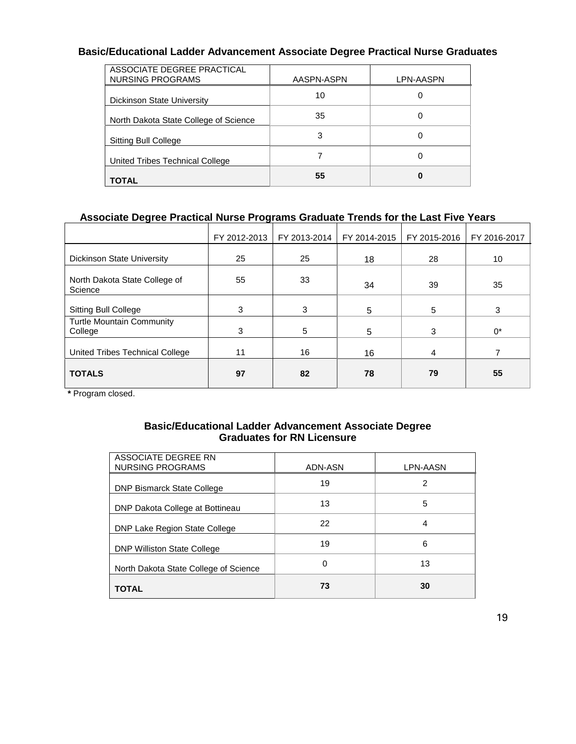## **Basic/Educational Ladder Advancement Associate Degree Practical Nurse Graduates**

| ASSOCIATE DEGREE PRACTICAL<br>NURSING PROGRAMS | AASPN-ASPN | LPN-AASPN |
|------------------------------------------------|------------|-----------|
| Dickinson State University                     | 10         |           |
| North Dakota State College of Science          | 35         | 0         |
| Sitting Bull College                           | 3          | O         |
| United Tribes Technical College                |            | 0         |
| TOTAL                                          | 55         | O         |

## **Associate Degree Practical Nurse Programs Graduate Trends for the Last Five Years**

|                                             | FY 2012-2013 | FY 2013-2014<br>FY 2014-2015 |    | FY 2015-2016 | FY 2016-2017 |
|---------------------------------------------|--------------|------------------------------|----|--------------|--------------|
| <b>Dickinson State University</b>           | 25           | 25                           | 18 | 28           | 10           |
| North Dakota State College of<br>Science    | 55           | 33                           | 34 | 39           | 35           |
| <b>Sitting Bull College</b>                 | 3            | 3                            | 5  | 5            | 3            |
| <b>Turtle Mountain Community</b><br>College | 3            | 5                            | 5  | 3            | $0^*$        |
| United Tribes Technical College             | 11           | 16                           | 16 | 4            |              |
| <b>TOTALS</b>                               | 97           | 82                           | 78 | 79           | 55           |

**\*** Program closed.

## **Basic/Educational Ladder Advancement Associate Degree Graduates for RN Licensure**

| ASSOCIATE DEGREE RN<br>NURSING PROGRAMS | ADN-ASN | LPN-AASN |
|-----------------------------------------|---------|----------|
| <b>DNP Bismarck State College</b>       | 19      | 2        |
| DNP Dakota College at Bottineau         | 13      | 5        |
| DNP Lake Region State College           | 22      | 4        |
| <b>DNP Williston State College</b>      | 19      | 6        |
| North Dakota State College of Science   | 0       | 13       |
| <b>TOTAL</b>                            | 73      | 30       |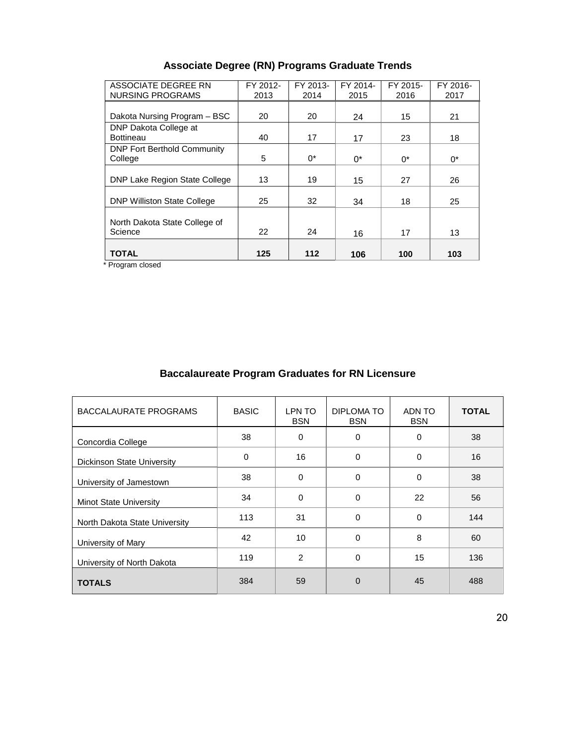|  |  |  | <b>Associate Degree (RN) Programs Graduate Trends</b> |  |  |
|--|--|--|-------------------------------------------------------|--|--|
|--|--|--|-------------------------------------------------------|--|--|

| ASSOCIATE DEGREE RN<br><b>NURSING PROGRAMS</b> | FY 2012-<br>2013 | FY 2013-<br>2014 | FY 2014-<br>2015 | FY 2015-<br>2016 | FY 2016-<br>2017 |
|------------------------------------------------|------------------|------------------|------------------|------------------|------------------|
|                                                |                  |                  |                  |                  |                  |
| Dakota Nursing Program - BSC                   | 20               | 20               | 24               | 15               | 21               |
| DNP Dakota College at                          |                  |                  |                  |                  |                  |
| <b>Bottineau</b>                               | 40               | 17               | 17               | 23               | 18               |
| <b>DNP Fort Berthold Community</b>             |                  |                  |                  |                  |                  |
| College                                        | 5                | $0^*$            | 0*               | $0^*$            | $0^*$            |
|                                                |                  |                  |                  |                  |                  |
| DNP Lake Region State College                  | 13               | 19               | 15               | 27               | 26               |
|                                                |                  |                  |                  |                  |                  |
| <b>DNP Williston State College</b>             | 25               | 32               | 34               | 18               | 25               |
| North Dakota State College of<br>Science       | 22               | 24               | 16               | 17               | 13               |
|                                                |                  |                  |                  |                  |                  |
| <b>TOTAL</b>                                   | 125              | 112              | 106              | 100              | 103              |

\* Program closed

## **Baccalaureate Program Graduates for RN Licensure**

| BACCALAURATE PROGRAMS         | <b>BASIC</b> | LPN TO<br><b>BSN</b> | DIPLOMA TO<br><b>BSN</b> | ADN TO<br><b>BSN</b> | <b>TOTAL</b> |
|-------------------------------|--------------|----------------------|--------------------------|----------------------|--------------|
| Concordia College             | 38           | $\mathbf 0$          | 0                        | 0                    | 38           |
| Dickinson State University    | 0            | 16                   | $\Omega$                 | 0                    | 16           |
| University of Jamestown       | 38           | $\Omega$             | $\Omega$                 | 0                    | 38           |
| <b>Minot State University</b> | 34           | $\Omega$             | 0                        | 22                   | 56           |
| North Dakota State University | 113          | 31                   | $\Omega$                 | 0                    | 144          |
| University of Mary            | 42           | 10                   | $\Omega$                 | 8                    | 60           |
| University of North Dakota    | 119          | $\overline{2}$       | $\Omega$                 | 15                   | 136          |
| <b>TOTALS</b>                 | 384          | 59                   | $\Omega$                 | 45                   | 488          |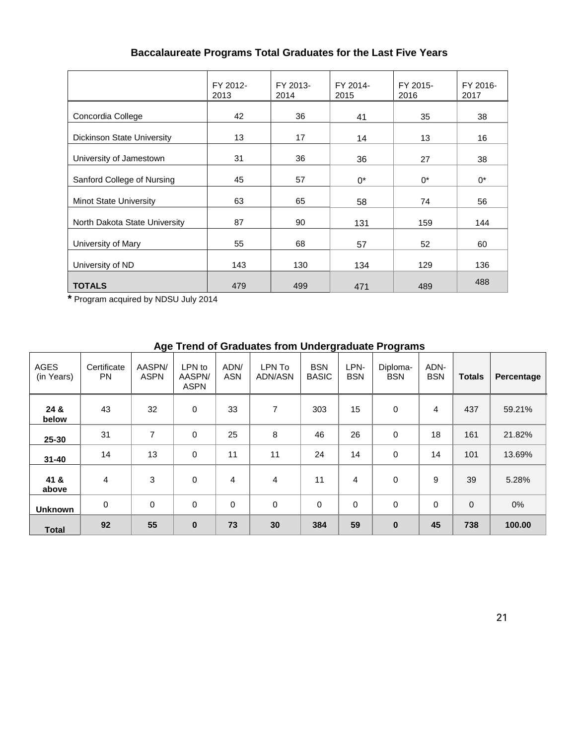## **Baccalaureate Programs Total Graduates for the Last Five Years**

|                                   | FY 2012-<br>2013 | FY 2013-<br>2014 | FY 2014-<br>2015 | FY 2015-<br>2016 | FY 2016-<br>2017 |
|-----------------------------------|------------------|------------------|------------------|------------------|------------------|
| Concordia College                 | 42               | 36               | 41               | 35               | 38               |
| <b>Dickinson State University</b> | 13               | 17               | 14               | 13               | 16               |
| University of Jamestown           | 31               | 36<br>36         |                  | 27               | 38               |
| Sanford College of Nursing        | 45               | 57               | $0^*$            | $0^*$            | $0^*$            |
| <b>Minot State University</b>     | 63               | 65               | 58               | 74               | 56               |
| North Dakota State University     | 87               | 90               | 131              | 159              | 144              |
| University of Mary                | 55               | 68               | 57               | 52               | 60               |
| University of ND                  | 143              | 130              | 134              | 129              | 136              |
| <b>TOTALS</b>                     | 479              | 499              | 471              | 489              | 488              |

**\*** Program acquired by NDSU July 2014

## **Age Trend of Graduates from Undergraduate Programs**

| <b>AGES</b><br>(in Years) | Certificate<br><b>PN</b> | AASPN/<br><b>ASPN</b> | LPN to<br>AASPN/<br><b>ASPN</b> | ADN/<br><b>ASN</b> | LPN To<br><b>ADN/ASN</b> | <b>BSN</b><br><b>BASIC</b> | LPN-<br><b>BSN</b> | Diploma-<br><b>BSN</b> | ADN-<br><b>BSN</b> | <b>Totals</b>  | Percentage |
|---------------------------|--------------------------|-----------------------|---------------------------------|--------------------|--------------------------|----------------------------|--------------------|------------------------|--------------------|----------------|------------|
| 24 &<br>below             | 43                       | 32                    | 0                               | 33                 | 7                        | 303                        | 15                 | $\mathbf 0$            | 4                  | 437            | 59.21%     |
| 25-30                     | 31                       | 7                     | 0                               | 25                 | 8                        | 46                         | 26                 | 0                      | 18                 | 161            | 21.82%     |
| $31 - 40$                 | 14                       | 13                    | 0                               | 11                 | 11                       | 24                         | 14                 | 0                      | 14                 | 101            | 13.69%     |
| 41 &<br>above             | 4                        | 3                     | 0                               | $\overline{4}$     | 4                        | 11                         | 4                  | 0                      | 9                  | 39             | 5.28%      |
| <b>Unknown</b>            | 0                        | 0                     | $\mathbf 0$                     | $\mathbf 0$        | $\mathbf 0$              | 0                          | $\mathbf 0$        | 0                      | $\Omega$           | $\overline{0}$ | $0\%$      |
| <b>Total</b>              | 92                       | 55                    | $\pmb{0}$                       | 73                 | 30                       | 384                        | 59                 | $\bf{0}$               | 45                 | 738            | 100.00     |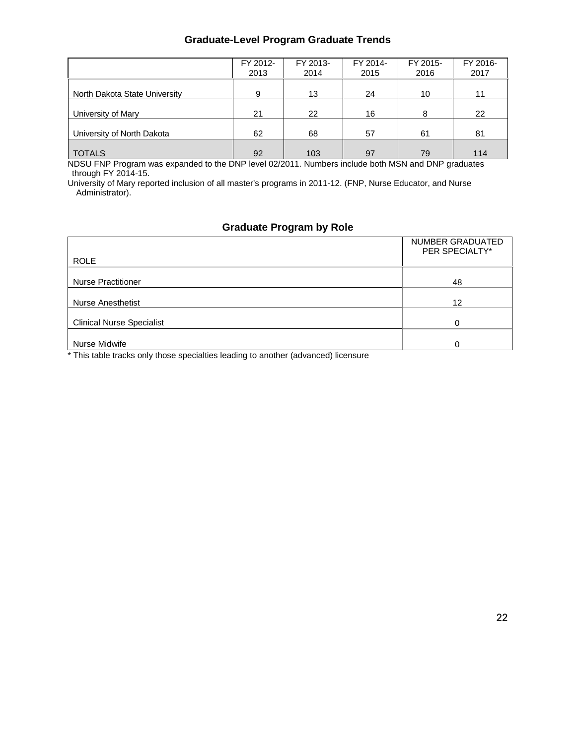## **Graduate-Level Program Graduate Trends**

|                               | FY 2012-<br>2013 | FY 2013-<br>2014 | FY 2014-<br>2015 | FY 2015-<br>2016 | FY 2016-<br>2017 |
|-------------------------------|------------------|------------------|------------------|------------------|------------------|
| North Dakota State University | 9                | 13               | 24               | 10               | 11               |
| University of Mary            | 21               | 22               | 16               | 8                | 22               |
| University of North Dakota    | 62               | 68               | 57               | 61               | 81               |
| <b>TOTALS</b>                 | 92               | 103              | 97               | 79               | 114              |

NDSU FNP Program was expanded to the DNP level 02/2011. Numbers include both MSN and DNP graduates through FY 2014-15.

University of Mary reported inclusion of all master's programs in 2011-12. (FNP, Nurse Educator, and Nurse Administrator).

## **Graduate Program by Role**

| <b>ROLE</b>                      | NUMBER GRADUATED<br>PER SPECIALTY* |
|----------------------------------|------------------------------------|
| <b>Nurse Practitioner</b>        | 48                                 |
| <b>Nurse Anesthetist</b>         | 12                                 |
| <b>Clinical Nurse Specialist</b> | 0                                  |
| Nurse Midwife                    | 0                                  |

\* This table tracks only those specialties leading to another (advanced) licensure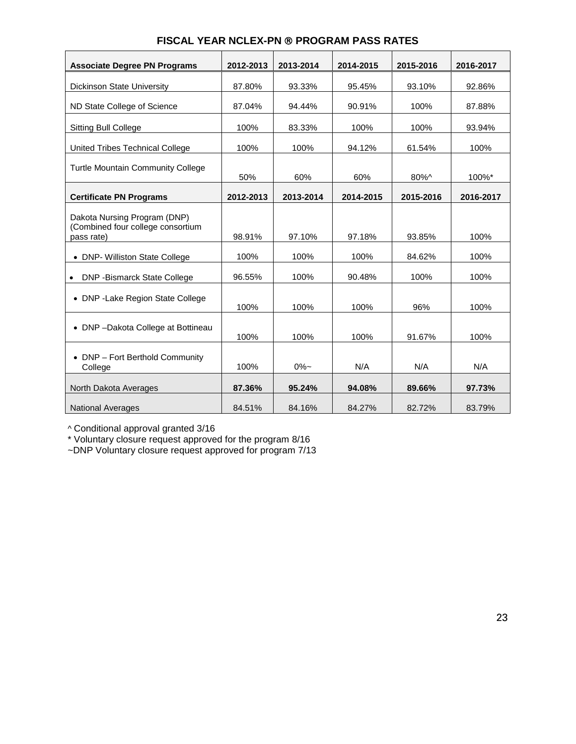| <b>Associate Degree PN Programs</b>                                             | 2012-2013 | 2013-2014 | 2014-2015 | 2015-2016 | 2016-2017 |
|---------------------------------------------------------------------------------|-----------|-----------|-----------|-----------|-----------|
| <b>Dickinson State University</b>                                               | 87.80%    | 93.33%    | 95.45%    | 93.10%    | 92.86%    |
| ND State College of Science                                                     | 87.04%    | 94.44%    | 90.91%    | 100%      | 87.88%    |
| <b>Sitting Bull College</b>                                                     | 100%      | 83.33%    | 100%      | 100%      | 93.94%    |
| United Tribes Technical College                                                 | 100%      | 100%      | 94.12%    | 61.54%    | 100%      |
| <b>Turtle Mountain Community College</b>                                        | 50%       | 60%       | 60%       | 80%^      | 100%*     |
| <b>Certificate PN Programs</b>                                                  | 2012-2013 | 2013-2014 | 2014-2015 | 2015-2016 | 2016-2017 |
| Dakota Nursing Program (DNP)<br>(Combined four college consortium<br>pass rate) | 98.91%    | 97.10%    | 97.18%    | 93.85%    | 100%      |
| • DNP- Williston State College                                                  | 100%      | 100%      | 100%      | 84.62%    | 100%      |
| <b>DNP-Bismarck State College</b>                                               | 96.55%    | 100%      | 90.48%    | 100%      | 100%      |
| • DNP - Lake Region State College                                               | 100%      | 100%      | 100%      | 96%       | 100%      |
| • DNP-Dakota College at Bottineau                                               | 100%      | 100%      | 100%      | 91.67%    | 100%      |
| • DNP - Fort Berthold Community<br>College                                      | 100%      | $0\% -$   | N/A       | N/A       | N/A       |
| North Dakota Averages                                                           | 87.36%    | 95.24%    | 94.08%    | 89.66%    | 97.73%    |
| <b>National Averages</b>                                                        | 84.51%    | 84.16%    | 84.27%    | 82.72%    | 83.79%    |

## **FISCAL YEAR NCLEX-PN ® PROGRAM PASS RATES**

^ Conditional approval granted 3/16

\* Voluntary closure request approved for the program 8/16

~DNP Voluntary closure request approved for program 7/13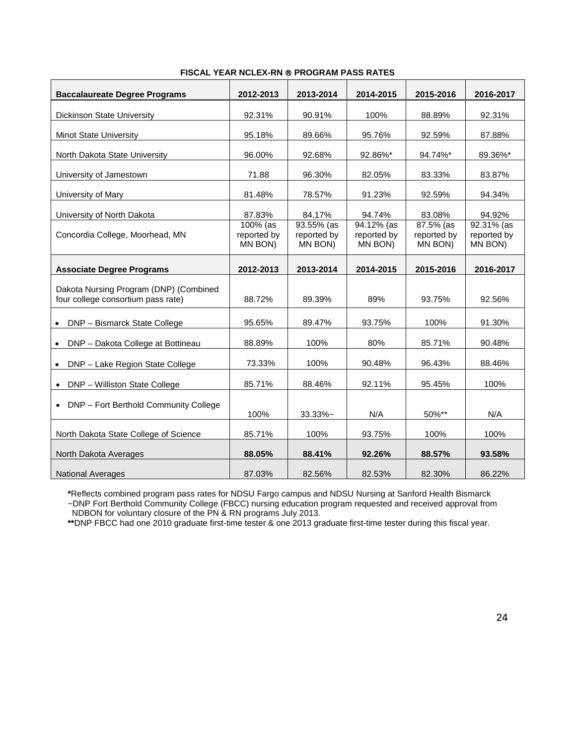| <b>Baccalaureate Degree Programs</b>                                         | 2012-2013                             | 2013-2014                            | 2014-2015                            | 2015-2016                             | 2016-2017                            |
|------------------------------------------------------------------------------|---------------------------------------|--------------------------------------|--------------------------------------|---------------------------------------|--------------------------------------|
| <b>Dickinson State University</b>                                            | 92.31%                                | 90.91%                               | 100%                                 | 88.89%                                | 92.31%                               |
| Minot State University                                                       | 95.18%                                | 89.66%                               | 95.76%                               | 92.59%                                | 87.88%                               |
| North Dakota State University                                                | 96.00%                                | 92.68%                               | 92.86%*                              | 94.74%*                               | 89.36%*                              |
| University of Jamestown                                                      | 71.88                                 | 96.30%                               | 82.05%                               | 83.33%                                | 83.87%                               |
| University of Mary                                                           | 81.48%                                | 78.57%                               | 91.23%                               | 92.59%                                | 94.34%                               |
| University of North Dakota                                                   | 87.83%                                | 84.17%                               | 94.74%                               | 83.08%                                | 94.92%                               |
| Concordia College, Moorhead, MN                                              | $100\%$ (as<br>reported by<br>MN BON) | 93.55% (as<br>reported by<br>MN BON) | 94.12% (as<br>reported by<br>MN BON) | $87.5%$ (as<br>reported by<br>MN BON) | 92.31% (as<br>reported by<br>MN BON) |
| <b>Associate Degree Programs</b>                                             | 2012-2013                             | 2013-2014                            | 2014-2015                            | 2015-2016                             | 2016-2017                            |
| Dakota Nursing Program (DNP) (Combined<br>four college consortium pass rate) | 88.72%                                | 89.39%                               | 89%                                  | 93.75%                                | 92.56%                               |
| DNP - Bismarck State College                                                 | 95.65%                                | 89.47%                               | 93.75%                               | 100%                                  | 91.30%                               |
| DNP - Dakota College at Bottineau                                            | 88.89%                                | 100%                                 | 80%                                  | 85.71%                                | 90.48%                               |
| DNP - Lake Region State College<br>$\bullet$                                 | 73.33%                                | 100%                                 | 90.48%                               | 96.43%                                | 88.46%                               |
| DNP - Williston State College                                                | 85.71%                                | 88.46%                               | 92.11%                               | 95.45%                                | 100%                                 |
| • DNP - Fort Berthold Community College                                      | 100%                                  | $33.33\%$ ~                          | N/A                                  | 50%**                                 | N/A                                  |
| North Dakota State College of Science                                        | 85.71%                                | 100%                                 | 93.75%                               | 100%                                  | 100%                                 |
| North Dakota Averages                                                        | 88.05%                                | 88.41%                               | 92.26%                               | 88.57%                                | 93.58%                               |
| <b>National Averages</b>                                                     | 87.03%                                | 82.56%                               | 82.53%                               | 82.30%                                | 86.22%                               |

#### **FISCAL YEAR NCLEX-RN PROGRAM PASS RATES**

**\***Reflects combined program pass rates for NDSU Fargo campus and NDSU Nursing at Sanford Health Bismarck ~DNP Fort Berthold Community College (FBCC) nursing education program requested and received approval from NDBON for voluntary closure of the PN & RN programs July 2013.

**\*\***DNP FBCC had one 2010 graduate first-time tester & one 2013 graduate first-time tester during this fiscal year.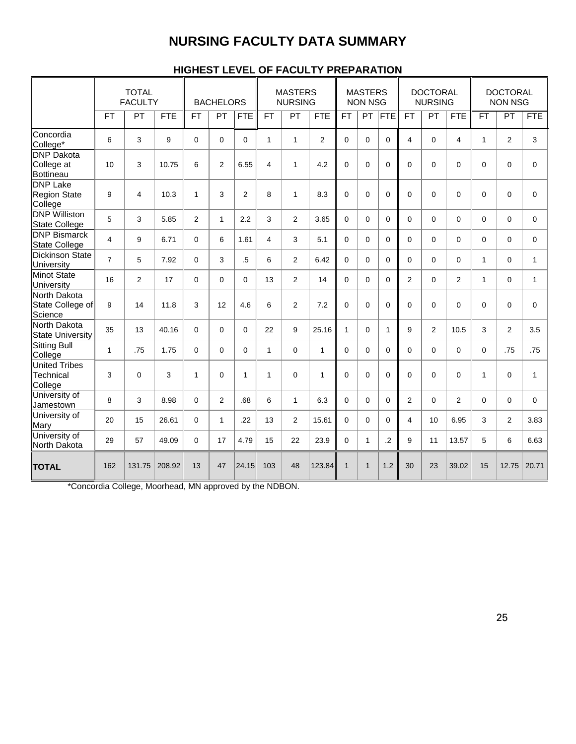## **NURSING FACULTY DATA SUMMARY**

|                                                     | <b>TOTAL</b><br><b>FACULTY</b> |             | <b>MASTERS</b><br><b>BACHELORS</b><br><b>NURSING</b> |                |              | <b>MASTERS</b><br><b>NON NSG</b> |                | <b>DOCTORAL</b><br><b>NURSING</b> |              | <b>DOCTORAL</b><br><b>NON NSG</b> |              |                |              |                |                |              |                |              |
|-----------------------------------------------------|--------------------------------|-------------|------------------------------------------------------|----------------|--------------|----------------------------------|----------------|-----------------------------------|--------------|-----------------------------------|--------------|----------------|--------------|----------------|----------------|--------------|----------------|--------------|
|                                                     | <b>FT</b>                      | PT          | <b>FTE</b>                                           | <b>FT</b>      | PT           | <b>FTE</b>                       | <b>FT</b>      | PT                                | <b>FTE</b>   | <b>FT</b>                         | PT           | <b>FTE</b>     | <b>FT</b>    | PT             | <b>FTE</b>     | <b>FT</b>    | PT             | <b>FTE</b>   |
| Concordia<br>College*                               | 6                              | 3           | 9                                                    | $\Omega$       | $\Omega$     | 0                                | $\mathbf{1}$   | $\mathbf{1}$                      | 2            | $\Omega$                          | $\Omega$     | $\Omega$       | 4            | 0              | 4              | $\mathbf{1}$ | $\overline{2}$ | 3            |
| <b>DNP</b> Dakota<br>College at<br><b>Bottineau</b> | 10                             | 3           | 10.75                                                | 6              | 2            | 6.55                             | 4              | $\mathbf{1}$                      | 4.2          | $\mathbf 0$                       | $\mathbf 0$  | $\mathbf 0$    | $\Omega$     | 0              | $\mathbf 0$    | $\Omega$     | 0              | $\mathbf 0$  |
| <b>DNP Lake</b><br><b>Region State</b><br>College   | 9                              | 4           | 10.3                                                 | $\mathbf{1}$   | 3            | $\overline{2}$                   | 8              | $\mathbf{1}$                      | 8.3          | $\Omega$                          | $\mathbf 0$  | $\Omega$       | $\Omega$     | 0              | $\Omega$       | $\Omega$     | $\Omega$       | $\mathbf 0$  |
| <b>DNP Williston</b><br><b>State College</b>        | 5                              | 3           | 5.85                                                 | $\overline{2}$ | $\mathbf{1}$ | 2.2                              | 3              | $\overline{2}$                    | 3.65         | $\Omega$                          | $\Omega$     | $\Omega$       | $\Omega$     | 0              | $\Omega$       | $\Omega$     | $\Omega$       | $\Omega$     |
| <b>DNP Bismarck</b><br><b>State College</b>         | $\overline{\mathbf{4}}$        | 9           | 6.71                                                 | $\Omega$       | 6            | 1.61                             | $\overline{4}$ | 3                                 | 5.1          | $\Omega$                          | $\mathbf 0$  | $\Omega$       | $\Omega$     | 0              | $\mathbf 0$    | $\Omega$     | $\Omega$       | $\mathbf 0$  |
| <b>Dickinson State</b><br>University                | $\overline{7}$                 | 5           | 7.92                                                 | $\Omega$       | 3            | $.5\,$                           | 6              | $\overline{2}$                    | 6.42         | $\Omega$                          | $\Omega$     | $\Omega$       | $\Omega$     | 0              | $\Omega$       | $\mathbf{1}$ | $\Omega$       | 1            |
| <b>Minot State</b><br>University                    | 16                             | 2           | 17                                                   | $\mathbf 0$    | $\Omega$     | $\mathbf 0$                      | 13             | $\overline{2}$                    | 14           | $\Omega$                          | $\mathbf 0$  | $\Omega$       | 2            | 0              | 2              | $\mathbf{1}$ | $\mathbf 0$    | $\mathbf{1}$ |
| North Dakota<br>State College of<br>Science         | 9                              | 14          | 11.8                                                 | 3              | 12           | 4.6                              | 6              | $\overline{2}$                    | 7.2          | $\mathbf 0$                       | $\mathbf 0$  | $\Omega$       | $\mathbf{0}$ | 0              | $\mathbf 0$    | $\Omega$     | $\mathbf 0$    | $\mathbf 0$  |
| North Dakota<br><b>State University</b>             | 35                             | 13          | 40.16                                                | $\Omega$       | $\Omega$     | 0                                | 22             | 9                                 | 25.16        | $\mathbf{1}$                      | $\mathbf 0$  | $\mathbf{1}$   | 9            | $\overline{2}$ | 10.5           | 3            | 2              | 3.5          |
| <b>Sitting Bull</b><br>College                      | $\mathbf{1}$                   | .75         | 1.75                                                 | $\Omega$       | $\Omega$     | $\Omega$                         | $\mathbf{1}$   | 0                                 | $\mathbf{1}$ | $\Omega$                          | $\Omega$     | $\Omega$       | $\Omega$     | $\Omega$       | $\Omega$       | $\Omega$     | .75            | .75          |
| <b>United Tribes</b><br>Technical<br>College        | 3                              | $\mathbf 0$ | 3                                                    | 1              | $\mathbf 0$  | $\mathbf{1}$                     | $\mathbf{1}$   | 0                                 | $\mathbf{1}$ | $\mathbf 0$                       | $\mathbf 0$  | $\mathbf 0$    | $\mathbf 0$  | 0              | $\mathbf 0$    | $\mathbf{1}$ | 0              | $\mathbf{1}$ |
| University of<br>Jamestown                          | 8                              | 3           | 8.98                                                 | $\Omega$       | 2            | .68                              | 6              | $\mathbf{1}$                      | 6.3          | $\Omega$                          | $\Omega$     | $\Omega$       | 2            | 0              | $\overline{2}$ | $\Omega$     | 0              | 0            |
| University of<br>Mary                               | 20                             | 15          | 26.61                                                | $\Omega$       | $\mathbf{1}$ | .22                              | 13             | $\overline{2}$                    | 15.61        | $\Omega$                          | $\Omega$     | $\Omega$       | 4            | 10             | 6.95           | 3            | 2              | 3.83         |
| University of<br>North Dakota                       | 29                             | 57          | 49.09                                                | $\mathbf 0$    | 17           | 4.79                             | 15             | 22                                | 23.9         | $\Omega$                          | $\mathbf{1}$ | $\overline{2}$ | 9            | 11             | 13.57          | 5            | 6              | 6.63         |
| <b>TOTAL</b>                                        | 162                            | 131.75      | 208.92                                               | 13             | 47           | 24.15                            | 103            | 48                                | 123.84       | $\mathbf{1}$                      | $\mathbf{1}$ | 1.2            | 30           | 23             | 39.02          | 15           | 12.75          | 20.71        |

## **HIGHEST LEVEL OF FACULTY PREPARATION**

\*Concordia College, Moorhead, MN approved by the NDBON.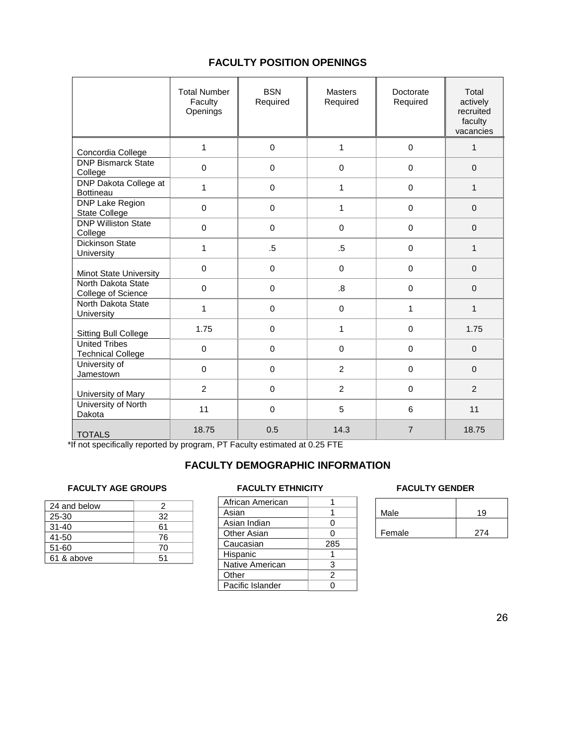## **FACULTY POSITION OPENINGS**

|                                                  | <b>Total Number</b><br>Faculty<br>Openings | <b>BSN</b><br>Required | <b>Masters</b><br>Required | Doctorate<br>Required | Total<br>actively<br>recruited<br>faculty<br>vacancies |
|--------------------------------------------------|--------------------------------------------|------------------------|----------------------------|-----------------------|--------------------------------------------------------|
| Concordia College                                | $\mathbf{1}$                               | 0                      | 1                          | $\Omega$              | $\mathbf{1}$                                           |
| <b>DNP</b> Bismarck State<br>College             | $\mathbf 0$                                | $\mathbf 0$            | $\mathbf 0$                | $\mathbf 0$           | $\Omega$                                               |
| DNP Dakota College at<br>Bottineau               | $\mathbf{1}$                               | $\mathbf 0$            | 1                          | $\mathbf 0$           | $\mathbf{1}$                                           |
| DNP Lake Region<br><b>State College</b>          | $\Omega$                                   | 0                      | 1                          | $\Omega$              | $\Omega$                                               |
| <b>DNP Williston State</b><br>College            | $\Omega$                                   | $\Omega$               | $\Omega$                   | $\Omega$              | $\Omega$                                               |
| <b>Dickinson State</b><br>University             | 1                                          | $.5\,$                 | $.5\,$                     | $\Omega$              | $\mathbf{1}$                                           |
| Minot State University                           | $\Omega$                                   | $\mathbf 0$            | $\mathbf 0$                | $\Omega$              | $\Omega$                                               |
| North Dakota State<br>College of Science         | $\mathbf 0$                                | 0                      | .8                         | $\mathbf 0$           | $\Omega$                                               |
| North Dakota State<br><b>University</b>          | 1                                          | $\mathbf 0$            | $\mathbf 0$                | 1                     | $\mathbf{1}$                                           |
| <b>Sitting Bull College</b>                      | 1.75                                       | $\mathsf 0$            | 1                          | $\mathbf 0$           | 1.75                                                   |
| <b>United Tribes</b><br><b>Technical College</b> | $\mathbf 0$                                | $\mathbf 0$            | $\mathbf 0$                | $\mathbf 0$           | $\Omega$                                               |
| University of<br>Jamestown                       | $\mathbf 0$                                | 0                      | $\overline{2}$             | $\mathbf 0$           | $\Omega$                                               |
| University of Mary                               | $\overline{2}$                             | $\mathbf 0$            | $\overline{2}$             | $\mathbf 0$           | 2                                                      |
| University of North<br>Dakota                    | 11                                         | $\Omega$               | 5                          | 6                     | 11                                                     |
| <b>TOTALS</b>                                    | 18.75                                      | 0.5                    | 14.3                       | $\overline{7}$        | 18.75                                                  |

\*If not specifically reported by program, PT Faculty estimated at 0.25 FTE

## **FACULTY DEMOGRAPHIC INFORMATION**

## FACULTY AGE GROUPS **FACULTY ETHNICITY FACULTY AGE GROUPS**

| 24 and below | 2  |
|--------------|----|
| 25-30        | 32 |
| $31 - 40$    | 61 |
| 41-50        | 76 |
| $51 - 60$    | 70 |
| 61 & above   | 51 |

| African American |     |
|------------------|-----|
| Asian            |     |
| Asian Indian     | 0   |
| Other Asian      | U   |
| Caucasian        | 285 |
| Hispanic         |     |
| Native American  | 3   |
| Other            | 2   |
| Pacific Islander | U   |
|                  |     |

| Male   | 19  |
|--------|-----|
|        |     |
| Female | 274 |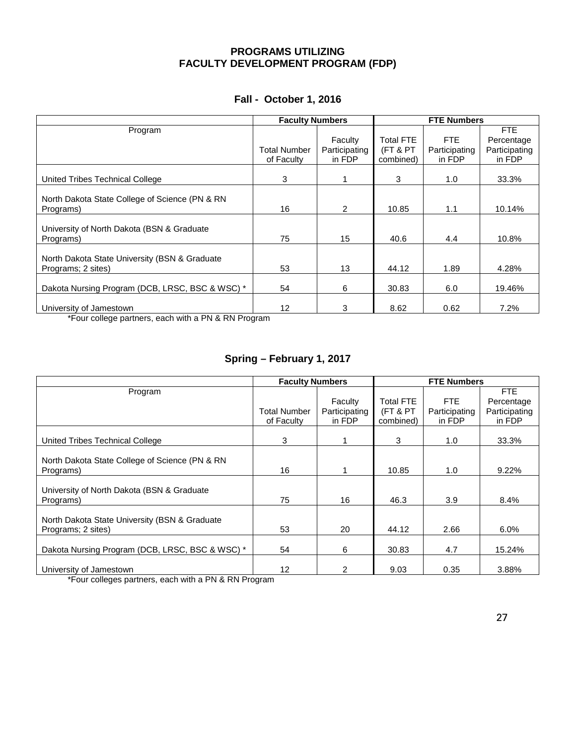## **PROGRAMS UTILIZING FACULTY DEVELOPMENT PROGRAM (FDP)**

| Program<br><b>Total FTE</b><br>FTE<br>Faculty                                                             | <b>FTE</b><br>Percentage<br>Participating |
|-----------------------------------------------------------------------------------------------------------|-------------------------------------------|
|                                                                                                           |                                           |
|                                                                                                           |                                           |
| (FT & PT<br><b>Total Number</b><br>Participating<br>Participating                                         |                                           |
| in FDP<br>combined)<br>in FDP<br>of Faculty                                                               | in FDP                                    |
|                                                                                                           |                                           |
| 3<br>3<br>1.0<br>United Tribes Technical College                                                          | 33.3%                                     |
|                                                                                                           |                                           |
| North Dakota State College of Science (PN & RN                                                            |                                           |
| 16<br>2<br>10.85<br>1.1<br>Programs)                                                                      | 10.14%                                    |
|                                                                                                           |                                           |
| University of North Dakota (BSN & Graduate                                                                |                                           |
| 75<br>15<br>Programs)<br>40.6<br>4.4                                                                      | 10.8%                                     |
|                                                                                                           |                                           |
| North Dakota State University (BSN & Graduate                                                             |                                           |
| 53<br>13<br>44.12<br>1.89<br>Programs; 2 sites)                                                           | 4.28%                                     |
|                                                                                                           |                                           |
| Dakota Nursing Program (DCB, LRSC, BSC & WSC) *<br>6<br>54<br>30.83<br>6.0                                | 19.46%                                    |
|                                                                                                           |                                           |
| 12<br>3<br>8.62<br>0.62<br>University of Jamestown<br>*Four college partners, each with a PN & RN Program | 7.2%                                      |

## **Fall - October 1, 2016**

\*Four college partners, each with a PN & RN Program

## **Spring – February 1, 2017**

|                                                                                   | <b>Faculty Numbers</b> |               | <b>FTE Numbers</b> |               |               |  |
|-----------------------------------------------------------------------------------|------------------------|---------------|--------------------|---------------|---------------|--|
| Program                                                                           |                        |               |                    |               | <b>FTE</b>    |  |
|                                                                                   |                        | Faculty       | <b>Total FTE</b>   | FTE.          | Percentage    |  |
|                                                                                   | <b>Total Number</b>    | Participating | (FT & PT           | Participating | Participating |  |
|                                                                                   | of Faculty             | in FDP        | combined)          | in FDP        | in FDP        |  |
| United Tribes Technical College                                                   | 3                      |               | 3                  | 1.0           | 33.3%         |  |
|                                                                                   |                        |               |                    |               |               |  |
| North Dakota State College of Science (PN & RN                                    |                        |               |                    |               |               |  |
| Programs)                                                                         | 16                     |               | 10.85              | 1.0           | 9.22%         |  |
|                                                                                   |                        |               |                    |               |               |  |
| University of North Dakota (BSN & Graduate                                        |                        |               |                    |               |               |  |
| Programs)                                                                         | 75                     | 16            | 46.3               | 3.9           | 8.4%          |  |
| North Dakota State University (BSN & Graduate                                     |                        |               |                    |               |               |  |
| Programs; 2 sites)                                                                | 53                     | 20            | 44.12              | 2.66          | 6.0%          |  |
|                                                                                   |                        |               |                    |               |               |  |
| Dakota Nursing Program (DCB, LRSC, BSC & WSC) *                                   | 54                     | 6             | 30.83              | 4.7           | 15.24%        |  |
|                                                                                   |                        |               |                    |               |               |  |
| University of Jamestown<br>$\mathbf{r}$ . The set of $\mathbf{r}$<br>$\mathbf{r}$ | 12                     | 2             | 9.03               | 0.35          | 3.88%         |  |

\*Four colleges partners, each with a PN & RN Program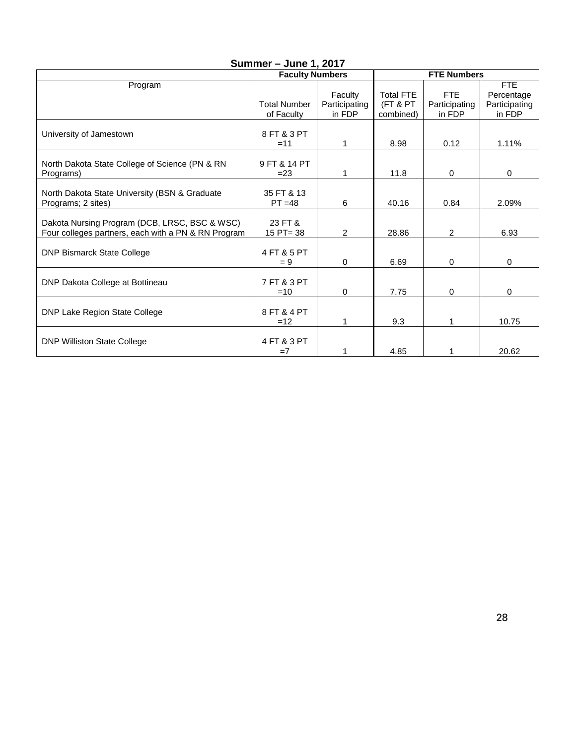| $S$ ullillier – Julie I, 2017 |                                                                                                                                                                 |                                                                                                      |                                                                                   |                                                                                                                    |  |  |  |  |  |  |
|-------------------------------|-----------------------------------------------------------------------------------------------------------------------------------------------------------------|------------------------------------------------------------------------------------------------------|-----------------------------------------------------------------------------------|--------------------------------------------------------------------------------------------------------------------|--|--|--|--|--|--|
|                               |                                                                                                                                                                 |                                                                                                      |                                                                                   |                                                                                                                    |  |  |  |  |  |  |
|                               |                                                                                                                                                                 |                                                                                                      |                                                                                   | FTE                                                                                                                |  |  |  |  |  |  |
|                               |                                                                                                                                                                 |                                                                                                      |                                                                                   | Percentage                                                                                                         |  |  |  |  |  |  |
|                               |                                                                                                                                                                 |                                                                                                      |                                                                                   | Participating                                                                                                      |  |  |  |  |  |  |
|                               |                                                                                                                                                                 |                                                                                                      |                                                                                   | in FDP                                                                                                             |  |  |  |  |  |  |
|                               |                                                                                                                                                                 |                                                                                                      |                                                                                   |                                                                                                                    |  |  |  |  |  |  |
|                               |                                                                                                                                                                 |                                                                                                      |                                                                                   | 1.11%                                                                                                              |  |  |  |  |  |  |
|                               |                                                                                                                                                                 |                                                                                                      |                                                                                   |                                                                                                                    |  |  |  |  |  |  |
| 9 FT & 14 PT                  |                                                                                                                                                                 |                                                                                                      |                                                                                   |                                                                                                                    |  |  |  |  |  |  |
| $= 23$                        |                                                                                                                                                                 | 11.8                                                                                                 | $\mathbf 0$                                                                       | 0                                                                                                                  |  |  |  |  |  |  |
|                               |                                                                                                                                                                 |                                                                                                      |                                                                                   |                                                                                                                    |  |  |  |  |  |  |
| 35 FT & 13                    |                                                                                                                                                                 |                                                                                                      |                                                                                   |                                                                                                                    |  |  |  |  |  |  |
| $PT = 48$                     | 6                                                                                                                                                               | 40.16                                                                                                | 0.84                                                                              | 2.09%                                                                                                              |  |  |  |  |  |  |
|                               |                                                                                                                                                                 |                                                                                                      |                                                                                   |                                                                                                                    |  |  |  |  |  |  |
| 23 FT &                       |                                                                                                                                                                 |                                                                                                      |                                                                                   |                                                                                                                    |  |  |  |  |  |  |
|                               |                                                                                                                                                                 |                                                                                                      |                                                                                   | 6.93                                                                                                               |  |  |  |  |  |  |
|                               |                                                                                                                                                                 |                                                                                                      |                                                                                   |                                                                                                                    |  |  |  |  |  |  |
|                               |                                                                                                                                                                 |                                                                                                      |                                                                                   |                                                                                                                    |  |  |  |  |  |  |
|                               |                                                                                                                                                                 |                                                                                                      |                                                                                   | 0                                                                                                                  |  |  |  |  |  |  |
|                               |                                                                                                                                                                 |                                                                                                      |                                                                                   |                                                                                                                    |  |  |  |  |  |  |
|                               |                                                                                                                                                                 |                                                                                                      |                                                                                   |                                                                                                                    |  |  |  |  |  |  |
|                               |                                                                                                                                                                 |                                                                                                      |                                                                                   | 0                                                                                                                  |  |  |  |  |  |  |
|                               |                                                                                                                                                                 |                                                                                                      |                                                                                   |                                                                                                                    |  |  |  |  |  |  |
|                               |                                                                                                                                                                 |                                                                                                      |                                                                                   | 10.75                                                                                                              |  |  |  |  |  |  |
|                               |                                                                                                                                                                 |                                                                                                      |                                                                                   |                                                                                                                    |  |  |  |  |  |  |
|                               |                                                                                                                                                                 |                                                                                                      |                                                                                   |                                                                                                                    |  |  |  |  |  |  |
| $=7$                          | 1                                                                                                                                                               | 4.85                                                                                                 | 1                                                                                 | 20.62                                                                                                              |  |  |  |  |  |  |
|                               | <b>Total Number</b><br>of Faculty<br>8 FT & 3 PT<br>$=11$<br>$15$ PT= 38<br>4 FT & 5 PT<br>$= 9$<br>7 FT & 3 PT<br>$=10$<br>8 FT & 4 PT<br>$=12$<br>4 FT & 3 PT | <b>Faculty Numbers</b><br>Faculty<br>Participating<br>in FDP<br>1<br>$\overline{2}$<br>$\Omega$<br>0 | <b>Total FTE</b><br>(FT & PT<br>combined)<br>8.98<br>28.86<br>6.69<br>7.75<br>9.3 | <b>FTE Numbers</b><br><b>FTE</b><br>Participating<br>in FDP<br>0.12<br>$\overline{2}$<br>$\Omega$<br>$\Omega$<br>1 |  |  |  |  |  |  |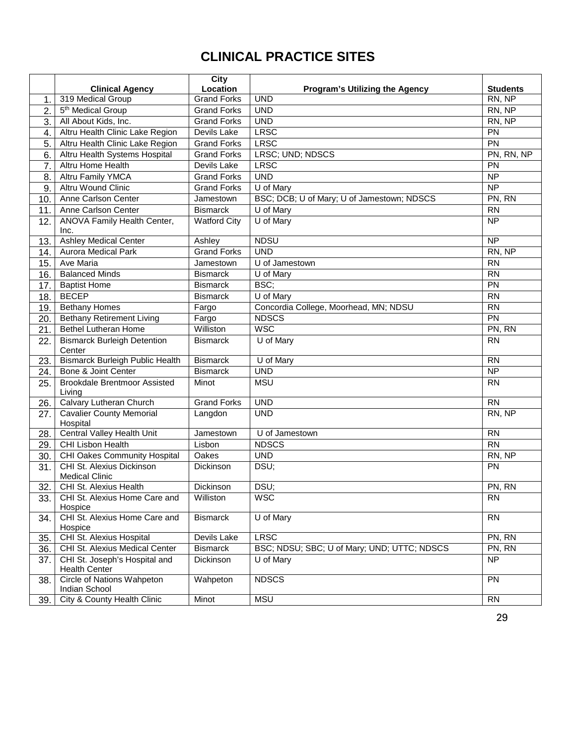## **CLINICAL PRACTICE SITES**

|     |                                                       | <b>City</b>         |                                             |                 |
|-----|-------------------------------------------------------|---------------------|---------------------------------------------|-----------------|
|     | <b>Clinical Agency</b>                                | Location            | <b>Program's Utilizing the Agency</b>       | <b>Students</b> |
| 1.  | 319 Medical Group                                     | <b>Grand Forks</b>  | <b>UND</b>                                  | RN, NP          |
| 2.  | 5 <sup>th</sup> Medical Group                         | <b>Grand Forks</b>  | <b>UND</b>                                  | RN, NP          |
| 3.  | All About Kids, Inc.                                  | <b>Grand Forks</b>  | <b>UND</b>                                  | RN, NP          |
| 4.  | Altru Health Clinic Lake Region                       | Devils Lake         | <b>LRSC</b>                                 | PN              |
| 5.  | Altru Health Clinic Lake Region                       | <b>Grand Forks</b>  | <b>LRSC</b>                                 | PN              |
| 6.  | Altru Health Systems Hospital                         | <b>Grand Forks</b>  | LRSC; UND; NDSCS                            | PN, RN, NP      |
| 7.  | Altru Home Health                                     | Devils Lake         | <b>LRSC</b>                                 | <b>PN</b>       |
| 8.  | Altru Family YMCA                                     | <b>Grand Forks</b>  | <b>UND</b>                                  | <b>NP</b>       |
| 9.  | <b>Altru Wound Clinic</b>                             | <b>Grand Forks</b>  | U of Mary                                   | $\overline{NP}$ |
| 10. | Anne Carlson Center                                   | Jamestown           | BSC; DCB; U of Mary; U of Jamestown; NDSCS  | PN, RN          |
| 11. | Anne Carlson Center                                   | <b>Bismarck</b>     | U of Mary                                   | <b>RN</b>       |
| 12. | ANOVA Family Health Center,<br>Inc.                   | <b>Watford City</b> | $\overline{U}$ of Mary                      | <b>NP</b>       |
| 13. | <b>Ashley Medical Center</b>                          | Ashley              | <b>NDSU</b>                                 | $\overline{NP}$ |
| 14. | Aurora Medical Park                                   | <b>Grand Forks</b>  | <b>UND</b>                                  | RN, NP          |
| 15. | Ave Maria                                             | Jamestown           | U of Jamestown                              | <b>RN</b>       |
| 16. | <b>Balanced Minds</b>                                 | <b>Bismarck</b>     | U of Mary                                   | <b>RN</b>       |
| 17. | <b>Baptist Home</b>                                   | <b>Bismarck</b>     | BSC;                                        | PN              |
| 18. | <b>BECEP</b>                                          | <b>Bismarck</b>     | U of Mary                                   | $\overline{RN}$ |
| 19. | <b>Bethany Homes</b>                                  | Fargo               | Concordia College, Moorhead, MN; NDSU       | <b>RN</b>       |
| 20. | <b>Bethany Retirement Living</b>                      | Fargo               | <b>NDSCS</b>                                | $\overline{PN}$ |
| 21. | <b>Bethel Lutheran Home</b>                           | Williston           | <b>WSC</b>                                  | PN, RN          |
| 22. | <b>Bismarck Burleigh Detention</b><br>Center          | <b>Bismarck</b>     | U of Mary                                   | <b>RN</b>       |
| 23. | <b>Bismarck Burleigh Public Health</b>                | <b>Bismarck</b>     | U of Mary                                   | <b>RN</b>       |
| 24. | Bone & Joint Center                                   | <b>Bismarck</b>     | <b>UND</b>                                  | NP              |
| 25. | <b>Brookdale Brentmoor Assisted</b><br>Living         | Minot               | <b>MSU</b>                                  | <b>RN</b>       |
| 26. | Calvary Lutheran Church                               | <b>Grand Forks</b>  | <b>UND</b>                                  | <b>RN</b>       |
| 27. | <b>Cavalier County Memorial</b><br>Hospital           | Langdon             | <b>UND</b>                                  | RN, NP          |
| 28. | <b>Central Valley Health Unit</b>                     | Jamestown           | U of Jamestown                              | <b>RN</b>       |
| 29. | <b>CHI Lisbon Health</b>                              | Lisbon              | <b>NDSCS</b>                                | $\overline{RN}$ |
| 30. | CHI Oakes Community Hospital                          | Oakes               | <b>UND</b>                                  | RN, NP          |
| 31. | CHI St. Alexius Dickinson<br><b>Medical Clinic</b>    | Dickinson           | DSU;                                        | PN              |
| 32. | CHI St. Alexius Health                                | Dickinson           | DSU;                                        | PN, RN          |
| 33. | CHI St. Alexius Home Care and<br>Hospice              | Williston           | WSC                                         | <b>RN</b>       |
| 34. | CHI St. Alexius Home Care and<br>Hospice              | <b>Bismarck</b>     | U of Mary                                   | $\overline{RN}$ |
| 35. | CHI St. Alexius Hospital                              | Devils Lake         | <b>LRSC</b>                                 | PN, RN          |
| 36. | CHI St. Alexius Medical Center                        | <b>Bismarck</b>     | BSC; NDSU; SBC; U of Mary; UND; UTTC; NDSCS | PN, RN          |
| 37. | CHI St. Joseph's Hospital and<br><b>Health Center</b> | Dickinson           | U of Mary                                   | <b>NP</b>       |
| 38. | Circle of Nations Wahpeton<br>Indian School           | Wahpeton            | <b>NDSCS</b>                                | <b>PN</b>       |
| 39. | City & County Health Clinic                           | Minot               | <b>MSU</b>                                  | <b>RN</b>       |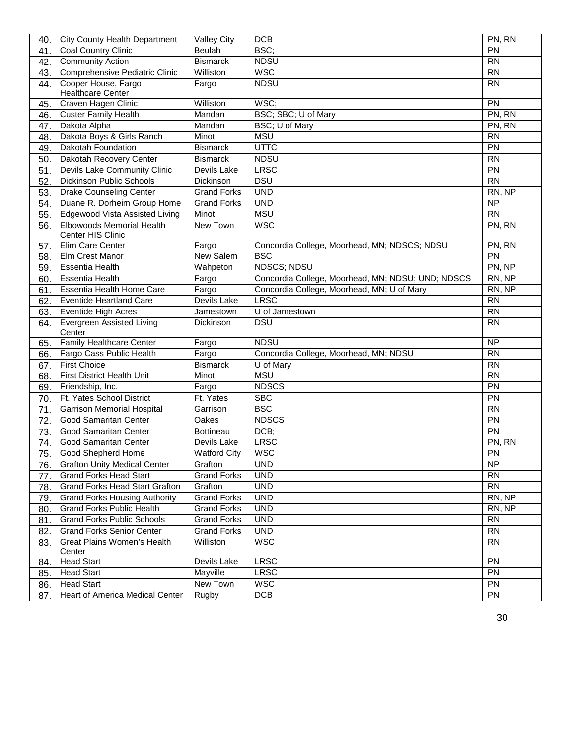| 40.        | <b>City County Health Department</b>                 | <b>Valley City</b>  | <b>DCB</b>                                        | PN, RN          |
|------------|------------------------------------------------------|---------------------|---------------------------------------------------|-----------------|
| 41.        | Coal Country Clinic                                  | Beulah              | BSC;                                              | PN              |
| 42.        | <b>Community Action</b>                              | <b>Bismarck</b>     | <b>NDSU</b>                                       | <b>RN</b>       |
| 43.        | Comprehensive Pediatric Clinic                       | Williston           | <b>WSC</b>                                        | <b>RN</b>       |
| 44.        | Cooper House, Fargo                                  | Fargo               | <b>NDSU</b>                                       | <b>RN</b>       |
|            | <b>Healthcare Center</b>                             |                     |                                                   |                 |
| 45.        | Craven Hagen Clinic                                  | Williston           | WSC;                                              | PN              |
| 46.        | <b>Custer Family Health</b>                          | Mandan              | BSC; SBC; U of Mary                               | PN, RN          |
| 47.        | Dakota Alpha                                         | Mandan              | BSC; U of Mary                                    | PN, RN          |
| 48.        | Dakota Boys & Girls Ranch                            | Minot               | <b>MSU</b>                                        | <b>RN</b>       |
| 49.        | Dakotah Foundation                                   | <b>Bismarck</b>     | <b>UTTC</b>                                       | PN              |
| 50.        | Dakotah Recovery Center                              | <b>Bismarck</b>     | <b>NDSU</b>                                       | <b>RN</b>       |
| 51.        | Devils Lake Community Clinic                         | Devils Lake         | <b>LRSC</b>                                       | PN              |
| 52.        | <b>Dickinson Public Schools</b>                      | Dickinson           | <b>DSU</b>                                        | <b>RN</b>       |
| 53.        | Drake Counseling Center                              | <b>Grand Forks</b>  | <b>UND</b>                                        | RN, NP          |
| 54.        | Duane R. Dorheim Group Home                          | <b>Grand Forks</b>  | <b>UND</b>                                        | <b>NP</b>       |
| 55.        | Edgewood Vista Assisted Living                       | Minot               | <b>MSU</b>                                        | <b>RN</b>       |
| 56.        | Elbowoods Memorial Health                            | New Town            | <b>WSC</b>                                        | PN, RN          |
|            | <b>Center HIS Clinic</b>                             |                     |                                                   |                 |
| 57.        | Elim Care Center                                     | Fargo               | Concordia College, Moorhead, MN; NDSCS; NDSU      | PN, RN          |
| 58.        | Elm Crest Manor                                      | New Salem           | <b>BSC</b>                                        | PN              |
| 59.        | <b>Essentia Health</b>                               | Wahpeton            | <b>NDSCS; NDSU</b>                                | PN, NP          |
| 60.        | <b>Essentia Health</b>                               | Fargo               | Concordia College, Moorhead, MN; NDSU; UND; NDSCS | RN, NP          |
| 61.        | Essentia Health Home Care                            | Fargo               | Concordia College, Moorhead, MN; U of Mary        | RN, NP          |
| 62.        | <b>Eventide Heartland Care</b>                       | Devils Lake         | <b>LRSC</b>                                       | <b>RN</b>       |
| 63.        | Eventide High Acres                                  | Jamestown           | U of Jamestown                                    | <b>RN</b>       |
| 64.        | <b>Evergreen Assisted Living</b>                     | Dickinson           | <b>DSU</b>                                        | <b>RN</b>       |
|            | Center                                               |                     |                                                   |                 |
| 65.        | <b>Family Healthcare Center</b>                      | Fargo               | <b>NDSU</b>                                       | <b>NP</b>       |
| 66.        | Fargo Cass Public Health                             | Fargo               | Concordia College, Moorhead, MN; NDSU             | <b>RN</b>       |
| 67.        | <b>First Choice</b>                                  | <b>Bismarck</b>     | U of Mary                                         | <b>RN</b>       |
| 68.        | First District Health Unit                           | Minot               | <b>MSU</b>                                        | <b>RN</b>       |
| 69.        | Friendship, Inc.                                     | Fargo               | <b>NDSCS</b>                                      | PN              |
| 70.        | Ft. Yates School District                            | Ft. Yates           | <b>SBC</b>                                        | PN              |
| 71.        | <b>Garrison Memorial Hospital</b>                    | Garrison            | <b>BSC</b>                                        | <b>RN</b>       |
| 72.        | Good Samaritan Center                                | Oakes               | <b>NDSCS</b>                                      | PN              |
| 73.        | <b>Good Samaritan Center</b>                         | <b>Bottineau</b>    | DCB;                                              | PN              |
| 74.        | <b>Good Samaritan Center</b>                         | Devils Lake         | <b>LRSC</b>                                       | PN, RN          |
| 75.        | Good Shepherd Home                                   | <b>Watford City</b> | WSC                                               | PN              |
| 76.        | <b>Grafton Unity Medical Center</b>                  | Grafton             | <b>UND</b><br><b>UND</b>                          | <b>NP</b>       |
| 77.        | <b>Grand Forks Head Start</b>                        |                     |                                                   | <b>RN</b>       |
| 78.        |                                                      | <b>Grand Forks</b>  |                                                   |                 |
|            | <b>Grand Forks Head Start Grafton</b>                | Grafton             | <b>UND</b>                                        | <b>RN</b>       |
| 79.        | <b>Grand Forks Housing Authority</b>                 | <b>Grand Forks</b>  | <b>UND</b>                                        | RN, NP          |
| 80.        | <b>Grand Forks Public Health</b>                     | Grand Forks         | <b>UND</b>                                        | RN, NP          |
| 81.        | <b>Grand Forks Public Schools</b>                    | <b>Grand Forks</b>  | <b>UND</b>                                        | <b>RN</b>       |
| 82.        | <b>Grand Forks Senior Center</b>                     | <b>Grand Forks</b>  | <b>UND</b>                                        | <b>RN</b>       |
| 83.        | Great Plains Women's Health<br>Center                | Williston           | <b>WSC</b>                                        | <b>RN</b>       |
| 84.        | <b>Head Start</b>                                    | Devils Lake         | <b>LRSC</b>                                       | $\overline{PN}$ |
| 85.        | <b>Head Start</b>                                    | Mayville            | <b>LRSC</b>                                       | PN              |
| 86.<br>87. | <b>Head Start</b><br>Heart of America Medical Center | New Town<br>Rugby   | <b>WSC</b><br>DCB                                 | PN<br>PN        |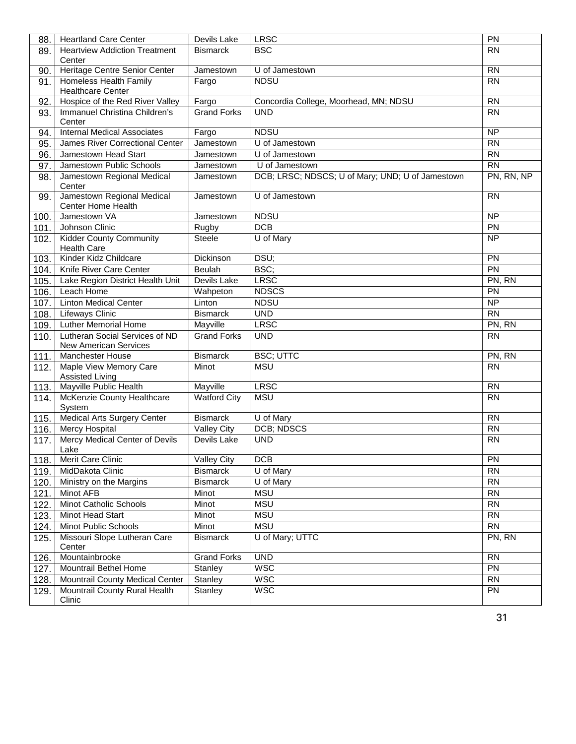| 88.  | <b>Heartland Care Center</b>                                   | Devils Lake         | <b>LRSC</b>                                      | PN              |
|------|----------------------------------------------------------------|---------------------|--------------------------------------------------|-----------------|
| 89.  | <b>Heartview Addiction Treatment</b>                           | <b>Bismarck</b>     | <b>BSC</b>                                       | <b>RN</b>       |
|      | Center                                                         |                     |                                                  |                 |
| 90.  | Heritage Centre Senior Center                                  | Jamestown           | U of Jamestown                                   | <b>RN</b>       |
| 91.  | Homeless Health Family<br><b>Healthcare Center</b>             | Fargo               | <b>NDSU</b>                                      | <b>RN</b>       |
| 92.  | Hospice of the Red River Valley                                | Fargo               | Concordia College, Moorhead, MN; NDSU            | <b>RN</b>       |
| 93.  | Immanuel Christina Children's                                  | <b>Grand Forks</b>  | <b>UND</b>                                       | <b>RN</b>       |
|      | Center                                                         |                     |                                                  |                 |
| 94.  | <b>Internal Medical Associates</b>                             | Fargo               | <b>NDSU</b>                                      | $\overline{NP}$ |
| 95.  | James River Correctional Center                                | Jamestown           | U of Jamestown                                   | <b>RN</b>       |
| 96.  | Jamestown Head Start                                           | Jamestown           | U of Jamestown                                   | <b>RN</b>       |
| 97.  | Jamestown Public Schools                                       | Jamestown           | U of Jamestown                                   | <b>RN</b>       |
| 98.  | Jamestown Regional Medical<br>Center                           | Jamestown           | DCB; LRSC; NDSCS; U of Mary; UND; U of Jamestown | PN, RN, NP      |
| 99.  | Jamestown Regional Medical<br>Center Home Health               | Jamestown           | U of Jamestown                                   | <b>RN</b>       |
| 100. | Jamestown VA                                                   | Jamestown           | <b>NDSU</b>                                      | <b>NP</b>       |
| 101. | Johnson Clinic                                                 | Rugby               | DCB                                              | PN              |
| 102. | <b>Kidder County Community</b><br><b>Health Care</b>           | <b>Steele</b>       | U of Mary                                        | <b>NP</b>       |
| 103. | Kinder Kidz Childcare                                          | <b>Dickinson</b>    | DSU;                                             | <b>PN</b>       |
| 104. | Knife River Care Center                                        | <b>Beulah</b>       | BSC;                                             | $\overline{PN}$ |
| 105. | Lake Region District Health Unit                               | Devils Lake         | <b>LRSC</b>                                      | PN, RN          |
| 106. | Leach Home                                                     | Wahpeton            | <b>NDSCS</b>                                     | PN              |
| 107. | <b>Linton Medical Center</b>                                   | Linton              | <b>NDSU</b>                                      | <b>NP</b>       |
| 108. | Lifeways Clinic                                                | <b>Bismarck</b>     | <b>UND</b>                                       | <b>RN</b>       |
| 109. | <b>Luther Memorial Home</b>                                    | Mayville            | <b>LRSC</b>                                      | PN, RN          |
| 110. | Lutheran Social Services of ND<br><b>New American Services</b> | <b>Grand Forks</b>  | <b>UND</b>                                       | <b>RN</b>       |
| 111. | <b>Manchester House</b>                                        | <b>Bismarck</b>     | <b>BSC; UTTC</b>                                 | PN, RN          |
| 112. | Maple View Memory Care<br><b>Assisted Living</b>               | Minot               | <b>MSU</b>                                       | <b>RN</b>       |
| 113. | Mayville Public Health                                         | Mayville            | <b>LRSC</b>                                      | <b>RN</b>       |
| 114. | McKenzie County Healthcare<br>System                           | <b>Watford City</b> | <b>MSU</b>                                       | <b>RN</b>       |
| 115. | <b>Medical Arts Surgery Center</b>                             | <b>Bismarck</b>     | U of Mary                                        | <b>RN</b>       |
| 116. | Mercy Hospital                                                 | <b>Valley City</b>  | DCB; NDSCS                                       | <b>RN</b>       |
| 117. | Mercy Medical Center of Devils<br>Lake                         | Devils Lake         | <b>UND</b>                                       | <b>RN</b>       |
| 118. | Merit Care Clinic                                              | <b>Valley City</b>  | <b>DCB</b>                                       | PN              |
| 119. | MidDakota Clinic                                               | <b>Bismarck</b>     | U of Mary                                        | <b>RN</b>       |
| 120. | Ministry on the Margins                                        | <b>Bismarck</b>     | U of Mary                                        | <b>RN</b>       |
| 121. | Minot AFB                                                      | Minot               | <b>MSU</b>                                       | <b>RN</b>       |
| 122. | Minot Catholic Schools                                         | Minot               | <b>MSU</b>                                       | <b>RN</b>       |
| 123. | <b>Minot Head Start</b>                                        | Minot               | <b>MSU</b>                                       | <b>RN</b>       |
| 124. | Minot Public Schools                                           | Minot               | <b>MSU</b>                                       | <b>RN</b>       |
| 125. | Missouri Slope Lutheran Care<br>Center                         | <b>Bismarck</b>     | U of Mary; UTTC                                  | PN, RN          |
| 126. | Mountainbrooke                                                 | <b>Grand Forks</b>  | <b>UND</b>                                       | <b>RN</b>       |
| 127. | Mountrail Bethel Home                                          | Stanley             | <b>WSC</b>                                       | <b>PN</b>       |
| 128. | Mountrail County Medical Center                                | Stanley             | <b>WSC</b>                                       | <b>RN</b>       |
| 129. | Mountrail County Rural Health<br>Clinic                        | Stanley             | <b>WSC</b>                                       | PN              |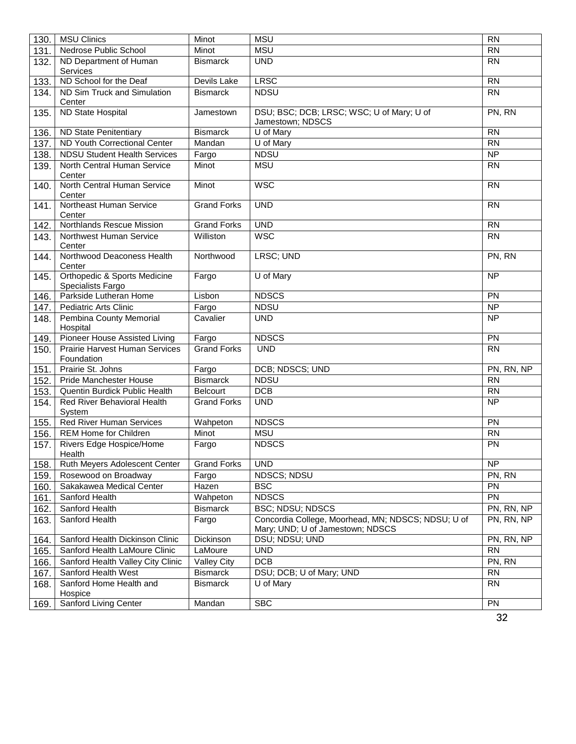| 130. | <b>MSU Clinics</b>                                           | Minot              | <b>MSU</b>                                                                             | <b>RN</b>       |
|------|--------------------------------------------------------------|--------------------|----------------------------------------------------------------------------------------|-----------------|
| 131. | Nedrose Public School                                        | Minot              | <b>MSU</b>                                                                             | <b>RN</b>       |
| 132. | ND Department of Human<br>Services                           | <b>Bismarck</b>    | <b>UND</b>                                                                             | <b>RN</b>       |
| 133. | ND School for the Deaf                                       | Devils Lake        | <b>LRSC</b>                                                                            | <b>RN</b>       |
| 134. | ND Sim Truck and Simulation<br>Center                        | <b>Bismarck</b>    | <b>NDSU</b>                                                                            | <b>RN</b>       |
| 135. | ND State Hospital                                            | Jamestown          | DSU; BSC; DCB; LRSC; WSC; U of Mary; U of<br>Jamestown; NDSCS                          | PN, RN          |
| 136. | <b>ND State Penitentiary</b>                                 | <b>Bismarck</b>    | U of Mary                                                                              | <b>RN</b>       |
| 137. | <b>ND Youth Correctional Center</b>                          | Mandan             | U of Mary                                                                              | $\overline{RN}$ |
| 138. | <b>NDSU Student Health Services</b>                          | Fargo              | <b>NDSU</b>                                                                            | $\overline{NP}$ |
| 139. | North Central Human Service<br>Center                        | Minot              | <b>MSU</b>                                                                             | <b>RN</b>       |
| 140. | North Central Human Service<br>Center                        | Minot              | <b>WSC</b>                                                                             | <b>RN</b>       |
| 141. | Northeast Human Service<br>Center                            | <b>Grand Forks</b> | <b>UND</b>                                                                             | <b>RN</b>       |
| 142. | Northlands Rescue Mission                                    | <b>Grand Forks</b> | <b>UND</b>                                                                             | <b>RN</b>       |
| 143. | Northwest Human Service<br>Center                            | Williston          | <b>WSC</b>                                                                             | <b>RN</b>       |
| 144. | Northwood Deaconess Health<br>Center                         | Northwood          | LRSC; UND                                                                              | PN, RN          |
| 145. | <b>Orthopedic &amp; Sports Medicine</b><br>Specialists Fargo | Fargo              | U of Mary                                                                              | NP              |
| 146. | Parkside Lutheran Home                                       | Lisbon             | <b>NDSCS</b>                                                                           | PN              |
| 147. | <b>Pediatric Arts Clinic</b>                                 | Fargo              | <b>NDSU</b>                                                                            | <b>NP</b>       |
| 148. | Pembina County Memorial<br>Hospital                          | Cavalier           | <b>UND</b>                                                                             | <b>NP</b>       |
| 149. | Pioneer House Assisted Living                                | Fargo              | <b>NDSCS</b>                                                                           | PN              |
| 150. | <b>Prairie Harvest Human Services</b><br>Foundation          | <b>Grand Forks</b> | <b>UND</b>                                                                             | <b>RN</b>       |
| 151. | Prairie St. Johns                                            | Fargo              | DCB; NDSCS; UND                                                                        | PN, RN, NP      |
| 152. | <b>Pride Manchester House</b>                                | <b>Bismarck</b>    | <b>NDSU</b>                                                                            | <b>RN</b>       |
| 153. | Quentin Burdick Public Health                                | <b>Belcourt</b>    | DCB                                                                                    | $\overline{RN}$ |
| 154. | Red River Behavioral Health<br>System                        | <b>Grand Forks</b> | <b>UND</b>                                                                             | $\overline{NP}$ |
| 155. | <b>Red River Human Services</b>                              | Wahpeton           | <b>NDSCS</b>                                                                           | PN              |
| 156. | REM Home for Children                                        | Minot              | <b>MSU</b>                                                                             | <b>RN</b>       |
| 157. | Rivers Edge Hospice/Home<br>Health                           | Fargo              | <b>NDSCS</b>                                                                           | PN              |
| 158. | Ruth Meyers Adolescent Center                                | <b>Grand Forks</b> | <b>UND</b>                                                                             | <b>NP</b>       |
| 159. | Rosewood on Broadway                                         | Fargo              | NDSCS; NDSU                                                                            | PN, RN          |
| 160. | Sakakawea Medical Center                                     | Hazen              | <b>BSC</b>                                                                             | PN              |
| 161. | Sanford Health                                               | Wahpeton           | <b>NDSCS</b>                                                                           | PN              |
| 162. | Sanford Health                                               | <b>Bismarck</b>    | <b>BSC; NDSU; NDSCS</b>                                                                | PN, RN, NP      |
| 163. | Sanford Health                                               | Fargo              | Concordia College, Moorhead, MN; NDSCS; NDSU; U of<br>Mary; UND; U of Jamestown; NDSCS | PN, RN, NP      |
| 164. | Sanford Health Dickinson Clinic                              | Dickinson          | DSU; NDSU; UND                                                                         | PN, RN, NP      |
| 165. | Sanford Health LaMoure Clinic                                | LaMoure            | <b>UND</b>                                                                             | <b>RN</b>       |
| 166. | Sanford Health Valley City Clinic                            | <b>Valley City</b> | DCB                                                                                    | PN, RN          |
| 167. | Sanford Health West                                          | <b>Bismarck</b>    | DSU; DCB; U of Mary; UND                                                               | <b>RN</b>       |
| 168. | Sanford Home Health and<br>Hospice                           | <b>Bismarck</b>    | U of Mary                                                                              | <b>RN</b>       |
| 169. | <b>Sanford Living Center</b>                                 | Mandan             | <b>SBC</b>                                                                             | <b>PN</b>       |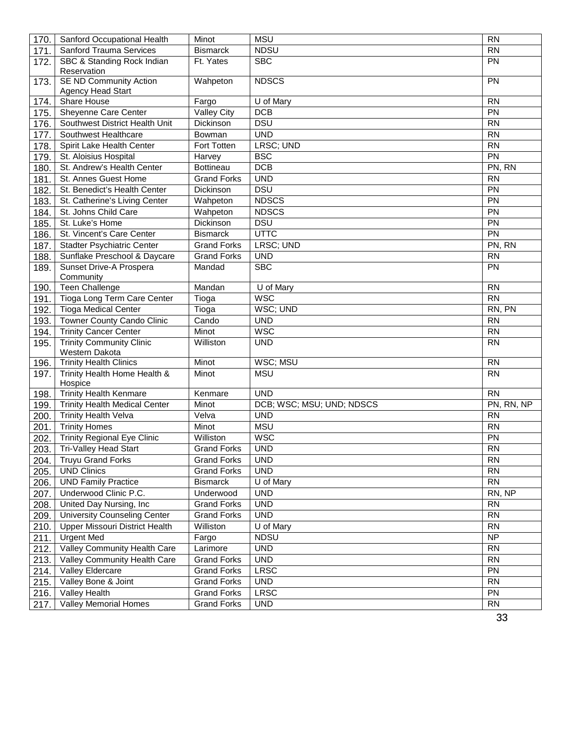| 170. | Sanford Occupational Health                        | Minot              | <b>MSU</b>                | <b>RN</b>       |
|------|----------------------------------------------------|--------------------|---------------------------|-----------------|
| 171. | <b>Sanford Trauma Services</b>                     | <b>Bismarck</b>    | <b>NDSU</b>               | <b>RN</b>       |
| 172. | SBC & Standing Rock Indian<br>Reservation          | Ft. Yates          | <b>SBC</b>                | <b>PN</b>       |
| 173. | <b>SE ND Community Action</b><br>Agency Head Start | Wahpeton           | <b>NDSCS</b>              | <b>PN</b>       |
| 174. | <b>Share House</b><br>Fargo                        |                    | U of Mary                 | <b>RN</b>       |
| 175. | Sheyenne Care Center                               | <b>Valley City</b> | <b>DCB</b>                | PN              |
| 176. | Southwest District Health Unit                     | Dickinson          | <b>DSU</b>                | $\overline{RN}$ |
| 177. | Southwest Healthcare                               | Bowman             | <b>UND</b>                | <b>RN</b>       |
| 178. | Spirit Lake Health Center                          | Fort Totten        | LRSC; UND                 | <b>RN</b>       |
| 179. | St. Aloisius Hospital                              | Harvey             | <b>BSC</b>                | $\overline{PN}$ |
| 180. | St. Andrew's Health Center                         | Bottineau          | DCB                       | PN, RN          |
| 181. | St. Annes Guest Home                               | <b>Grand Forks</b> | <b>UND</b>                | <b>RN</b>       |
| 182. | St. Benedict's Health Center                       | Dickinson          | <b>DSU</b>                | PN              |
| 183. | St. Catherine's Living Center                      | Wahpeton           | <b>NDSCS</b>              | PN              |
| 184. | St. Johns Child Care                               | Wahpeton           | <b>NDSCS</b>              | $\overline{PN}$ |
| 185. | St. Luke's Home                                    | Dickinson          | <b>DSU</b>                | PN              |
| 186. | St. Vincent's Care Center                          | <b>Bismarck</b>    | <b>UTTC</b>               | $\overline{PN}$ |
| 187. | Stadter Psychiatric Center                         | <b>Grand Forks</b> | LRSC; UND                 | PN, RN          |
| 188. | Sunflake Preschool & Daycare                       | <b>Grand Forks</b> | <b>UND</b>                | <b>RN</b>       |
| 189. | Sunset Drive-A Prospera                            | Mandad             | <b>SBC</b>                | PN              |
|      | Community                                          |                    |                           |                 |
| 190. | <b>Teen Challenge</b>                              | Mandan             | U of Mary                 | <b>RN</b>       |
| 191. | Tioga Long Term Care Center                        | Tioga              | <b>WSC</b>                | <b>RN</b>       |
| 192. | <b>Tioga Medical Center</b>                        | Tioga              | WSC; UND                  | RN, PN          |
| 193. | Towner County Cando Clinic                         | Cando              | <b>UND</b>                | <b>RN</b>       |
| 194. | <b>Trinity Cancer Center</b>                       | Minot              | <b>WSC</b>                | <b>RN</b>       |
| 195. | <b>Trinity Community Clinic</b><br>Western Dakota  | Williston          | <b>UND</b>                | <b>RN</b>       |
| 196. | <b>Trinity Health Clinics</b>                      | Minot              | WSC; MSU                  | <b>RN</b>       |
| 197. | Trinity Health Home Health &<br>Hospice            | Minot              | <b>MSU</b>                | <b>RN</b>       |
| 198. | <b>Trinity Health Kenmare</b>                      | Kenmare            | <b>UND</b>                | <b>RN</b>       |
| 199. | <b>Trinity Health Medical Center</b>               | Minot              | DCB; WSC; MSU; UND; NDSCS | PN, RN, NP      |
| 200. | <b>Trinity Health Velva</b>                        | Velva              | <b>UND</b>                | <b>RN</b>       |
| 201. | <b>Trinity Homes</b>                               | Minot              | <b>MSU</b>                | <b>RN</b>       |
| 202. | <b>Trinity Regional Eye Clinic</b>                 | Williston          | <b>WSC</b>                | PN              |
| 203. | Tri-Valley Head Start                              | <b>Grand Forks</b> | <b>UND</b>                | <b>RN</b>       |
| 204. | <b>Truyu Grand Forks</b>                           | <b>Grand Forks</b> | <b>UND</b>                | <b>RN</b>       |
| 205. | <b>UND Clinics</b>                                 | <b>Grand Forks</b> | <b>UND</b>                | <b>RN</b>       |
| 206. | <b>UND Family Practice</b>                         | <b>Bismarck</b>    | U of Mary                 | <b>RN</b>       |
| 207. | Underwood Clinic P.C.                              | Underwood          | <b>UND</b>                | RN, NP          |
| 208. | United Day Nursing, Inc                            | <b>Grand Forks</b> | <b>UND</b>                | <b>RN</b>       |
| 209. | <b>University Counseling Center</b>                | <b>Grand Forks</b> | <b>UND</b>                | <b>RN</b>       |
| 210. | Upper Missouri District Health                     | Williston          | U of Mary                 | <b>RN</b>       |
| 211. | Urgent Med                                         | Fargo              | <b>NDSU</b>               | <b>NP</b>       |
| 212. | Valley Community Health Care                       | Larimore           | <b>UND</b>                | <b>RN</b>       |
| 213. | Valley Community Health Care                       | <b>Grand Forks</b> | <b>UND</b>                | <b>RN</b>       |
| 214. | Valley Eldercare                                   | <b>Grand Forks</b> | <b>LRSC</b>               | <b>PN</b>       |
| 215. | Valley Bone & Joint                                | <b>Grand Forks</b> | <b>UND</b>                | <b>RN</b>       |
| 216. | Valley Health                                      | <b>Grand Forks</b> | <b>LRSC</b>               | <b>PN</b>       |
| 217. | Valley Memorial Homes                              | <b>Grand Forks</b> | <b>UND</b>                | <b>RN</b>       |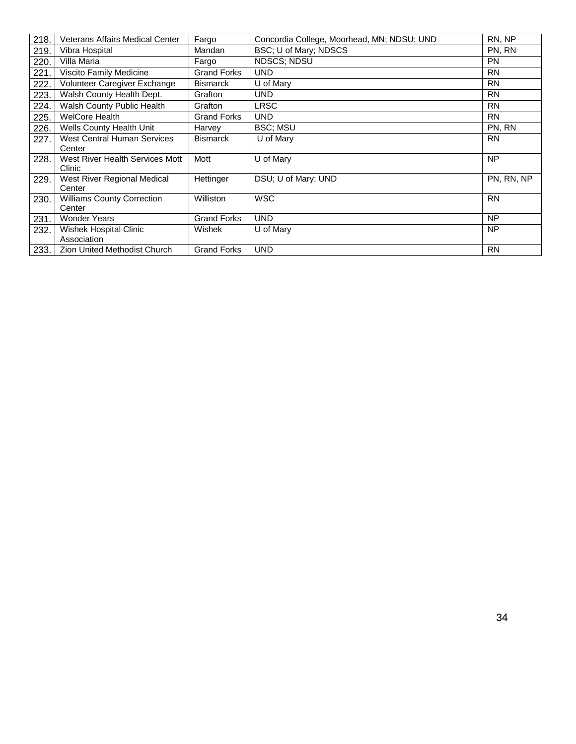| 218. | Veterans Affairs Medical Center              | Fargo              | Concordia College, Moorhead, MN; NDSU; UND | RN, NP     |
|------|----------------------------------------------|--------------------|--------------------------------------------|------------|
| 219. | Vibra Hospital                               | Mandan             | BSC; U of Mary; NDSCS                      | PN, RN     |
| 220. | Villa Maria                                  | Fargo              | <b>NDSCS; NDSU</b>                         | <b>PN</b>  |
| 221. | Viscito Family Medicine                      | <b>Grand Forks</b> | <b>UND</b>                                 | <b>RN</b>  |
| 222. | Volunteer Caregiver Exchange                 | <b>Bismarck</b>    | U of Mary                                  | <b>RN</b>  |
| 223. | Walsh County Health Dept.                    | Grafton            | <b>UND</b>                                 | <b>RN</b>  |
| 224. | Walsh County Public Health                   | Grafton            | LRSC                                       | <b>RN</b>  |
| 225. | <b>WelCore Health</b>                        | <b>Grand Forks</b> | <b>UND</b>                                 | <b>RN</b>  |
| 226. | Wells County Health Unit                     | Harvey             | <b>BSC: MSU</b>                            | PN, RN     |
| 227. | <b>West Central Human Services</b><br>Center | <b>Bismarck</b>    | U of Mary                                  | <b>RN</b>  |
| 228. | West River Health Services Mott<br>Clinic    | Mott               | U of Mary                                  | <b>NP</b>  |
| 229. | West River Regional Medical<br>Center        | Hettinger          | DSU; U of Mary; UND                        | PN, RN, NP |
| 230. | <b>Williams County Correction</b><br>Center  | Williston          | <b>WSC</b>                                 | <b>RN</b>  |
| 231. | <b>Wonder Years</b>                          | <b>Grand Forks</b> | <b>UND</b>                                 | <b>NP</b>  |
| 232. | Wishek Hospital Clinic<br>Association        | Wishek             | U of Mary                                  | <b>NP</b>  |
| 233. | Zion United Methodist Church                 | <b>Grand Forks</b> | <b>UND</b>                                 | <b>RN</b>  |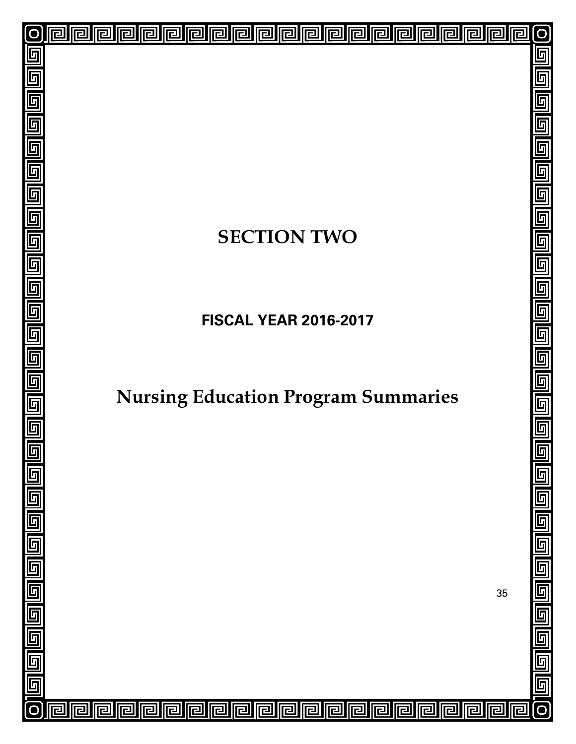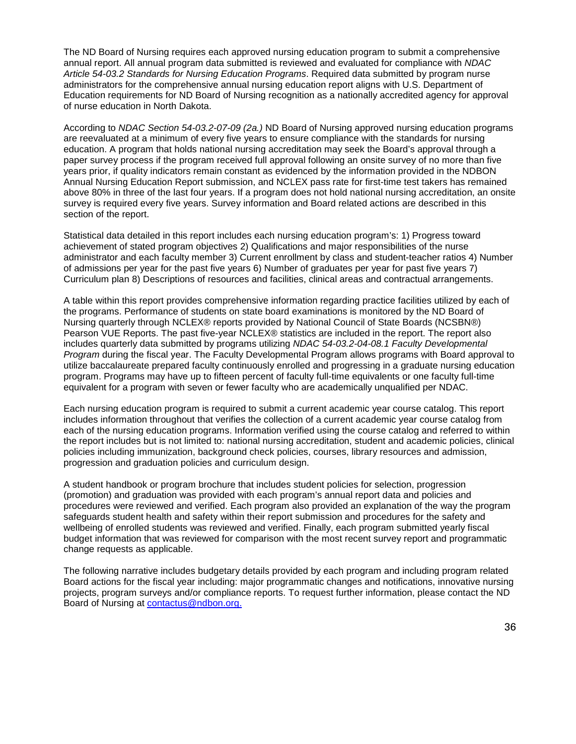The ND Board of Nursing requires each approved nursing education program to submit a comprehensive annual report. All annual program data submitted is reviewed and evaluated for compliance with *NDAC Article 54-03.2 Standards for Nursing Education Programs*. Required data submitted by program nurse administrators for the comprehensive annual nursing education report aligns with U.S. Department of Education requirements for ND Board of Nursing recognition as a nationally accredited agency for approval of nurse education in North Dakota.

According to *NDAC Section 54-03.2-07-09 (2a.)* ND Board of Nursing approved nursing education programs are reevaluated at a minimum of every five years to ensure compliance with the standards for nursing education. A program that holds national nursing accreditation may seek the Board's approval through a paper survey process if the program received full approval following an onsite survey of no more than five years prior, if quality indicators remain constant as evidenced by the information provided in the NDBON Annual Nursing Education Report submission, and NCLEX pass rate for first-time test takers has remained above 80% in three of the last four years. If a program does not hold national nursing accreditation, an onsite survey is required every five years. Survey information and Board related actions are described in this section of the report.

Statistical data detailed in this report includes each nursing education program's: 1) Progress toward achievement of stated program objectives 2) Qualifications and major responsibilities of the nurse administrator and each faculty member 3) Current enrollment by class and student-teacher ratios 4) Number of admissions per year for the past five years 6) Number of graduates per year for past five years 7) Curriculum plan 8) Descriptions of resources and facilities, clinical areas and contractual arrangements.

A table within this report provides comprehensive information regarding practice facilities utilized by each of the programs. Performance of students on state board examinations is monitored by the ND Board of Nursing quarterly through NCLEX® reports provided by National Council of State Boards (NCSBN®) Pearson VUE Reports. The past five-year NCLEX® statistics are included in the report. The report also includes quarterly data submitted by programs utilizing *NDAC 54-03.2-04-08.1 Faculty Developmental Program* during the fiscal year. The Faculty Developmental Program allows programs with Board approval to utilize baccalaureate prepared faculty continuously enrolled and progressing in a graduate nursing education program. Programs may have up to fifteen percent of faculty full-time equivalents or one faculty full-time equivalent for a program with seven or fewer faculty who are academically unqualified per NDAC.

Each nursing education program is required to submit a current academic year course catalog. This report includes information throughout that verifies the collection of a current academic year course catalog from each of the nursing education programs. Information verified using the course catalog and referred to within the report includes but is not limited to: national nursing accreditation, student and academic policies, clinical policies including immunization, background check policies, courses, library resources and admission, progression and graduation policies and curriculum design.

A student handbook or program brochure that includes student policies for selection, progression (promotion) and graduation was provided with each program's annual report data and policies and procedures were reviewed and verified. Each program also provided an explanation of the way the program safeguards student health and safety within their report submission and procedures for the safety and wellbeing of enrolled students was reviewed and verified. Finally, each program submitted yearly fiscal budget information that was reviewed for comparison with the most recent survey report and programmatic change requests as applicable.

The following narrative includes budgetary details provided by each program and including program related Board actions for the fiscal year including: major programmatic changes and notifications, innovative nursing projects, program surveys and/or compliance reports. To request further information, please contact the ND Board of Nursing at [contactus@ndbon.org.](mailto:contactus@NDBON.org)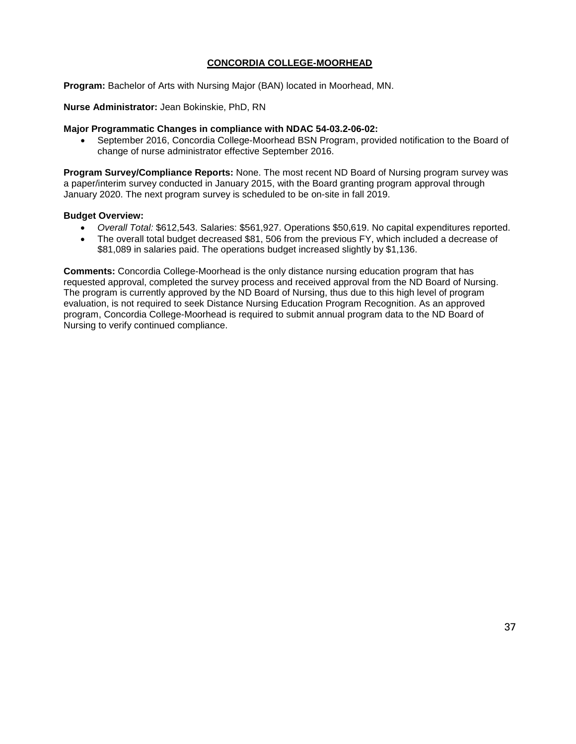## **CONCORDIA COLLEGE-MOORHEAD**

**Program:** Bachelor of Arts with Nursing Major (BAN) located in Moorhead, MN.

**Nurse Administrator:** Jean Bokinskie, PhD, RN

#### **Major Programmatic Changes in compliance with NDAC 54-03.2-06-02:**

• September 2016, Concordia College-Moorhead BSN Program, provided notification to the Board of change of nurse administrator effective September 2016.

**Program Survey/Compliance Reports:** None. The most recent ND Board of Nursing program survey was a paper/interim survey conducted in January 2015, with the Board granting program approval through January 2020. The next program survey is scheduled to be on-site in fall 2019.

#### **Budget Overview:**

- *Overall Total:* \$612,543. Salaries: \$561,927. Operations \$50,619. No capital expenditures reported.
- The overall total budget decreased \$81, 506 from the previous FY, which included a decrease of \$81,089 in salaries paid. The operations budget increased slightly by \$1,136.

**Comments:** Concordia College-Moorhead is the only distance nursing education program that has requested approval, completed the survey process and received approval from the ND Board of Nursing. The program is currently approved by the ND Board of Nursing, thus due to this high level of program evaluation, is not required to seek Distance Nursing Education Program Recognition. As an approved program, Concordia College-Moorhead is required to submit annual program data to the ND Board of Nursing to verify continued compliance.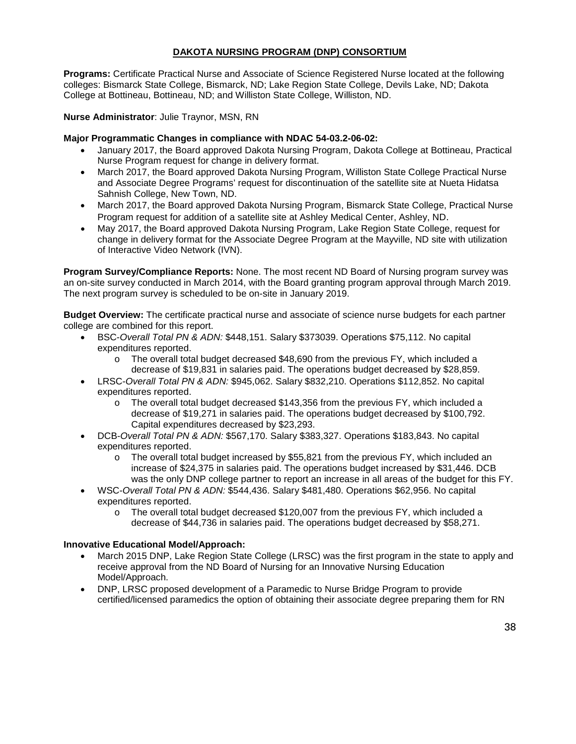## **DAKOTA NURSING PROGRAM (DNP) CONSORTIUM**

**Programs:** Certificate Practical Nurse and Associate of Science Registered Nurse located at the following colleges: Bismarck State College, Bismarck, ND; Lake Region State College, Devils Lake, ND; Dakota College at Bottineau, Bottineau, ND; and Williston State College, Williston, ND.

**Nurse Administrator**: Julie Traynor, MSN, RN

## **Major Programmatic Changes in compliance with NDAC 54-03.2-06-02:**

- January 2017, the Board approved Dakota Nursing Program, Dakota College at Bottineau, Practical Nurse Program request for change in delivery format.
- March 2017, the Board approved Dakota Nursing Program, Williston State College Practical Nurse and Associate Degree Programs' request for discontinuation of the satellite site at Nueta Hidatsa Sahnish College, New Town, ND.
- March 2017, the Board approved Dakota Nursing Program, Bismarck State College, Practical Nurse Program request for addition of a satellite site at Ashley Medical Center, Ashley, ND.
- May 2017, the Board approved Dakota Nursing Program, Lake Region State College, request for change in delivery format for the Associate Degree Program at the Mayville, ND site with utilization of Interactive Video Network (IVN).

**Program Survey/Compliance Reports:** None. The most recent ND Board of Nursing program survey was an on-site survey conducted in March 2014, with the Board granting program approval through March 2019. The next program survey is scheduled to be on-site in January 2019.

**Budget Overview:** The certificate practical nurse and associate of science nurse budgets for each partner college are combined for this report.

- BSC-*Overall Total PN & ADN:* \$448,151. Salary \$373039. Operations \$75,112. No capital expenditures reported.
	- $\circ$  The overall total budget decreased \$48,690 from the previous FY, which included a decrease of \$19,831 in salaries paid. The operations budget decreased by \$28,859.
- LRSC-*Overall Total PN & ADN:* \$945,062. Salary \$832,210. Operations \$112,852. No capital expenditures reported.
	- o The overall total budget decreased \$143,356 from the previous FY, which included a decrease of \$19,271 in salaries paid. The operations budget decreased by \$100,792. Capital expenditures decreased by \$23,293.
- DCB-*Overall Total PN & ADN:* \$567,170. Salary \$383,327. Operations \$183,843. No capital expenditures reported.
	- o The overall total budget increased by \$55,821 from the previous FY, which included an increase of \$24,375 in salaries paid. The operations budget increased by \$31,446. DCB was the only DNP college partner to report an increase in all areas of the budget for this FY.
- WSC-*Overall Total PN & ADN:* \$544,436. Salary \$481,480. Operations \$62,956. No capital expenditures reported.
	- o The overall total budget decreased \$120,007 from the previous FY, which included a decrease of \$44,736 in salaries paid. The operations budget decreased by \$58,271.

#### **Innovative Educational Model/Approach:**

- March 2015 DNP, Lake Region State College (LRSC) was the first program in the state to apply and receive approval from the ND Board of Nursing for an Innovative Nursing Education Model/Approach.
- DNP, LRSC proposed development of a Paramedic to Nurse Bridge Program to provide certified/licensed paramedics the option of obtaining their associate degree preparing them for RN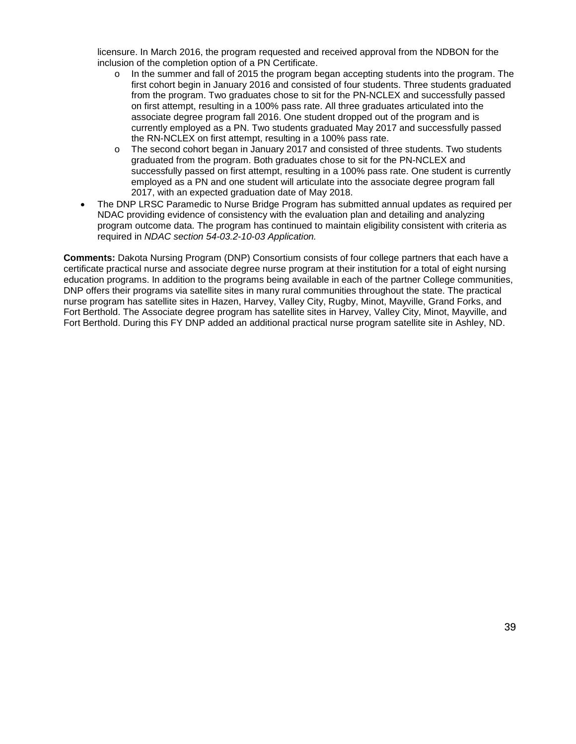licensure. In March 2016, the program requested and received approval from the NDBON for the inclusion of the completion option of a PN Certificate.

- $\circ$  In the summer and fall of 2015 the program began accepting students into the program. The first cohort begin in January 2016 and consisted of four students. Three students graduated from the program. Two graduates chose to sit for the PN-NCLEX and successfully passed on first attempt, resulting in a 100% pass rate. All three graduates articulated into the associate degree program fall 2016. One student dropped out of the program and is currently employed as a PN. Two students graduated May 2017 and successfully passed the RN-NCLEX on first attempt, resulting in a 100% pass rate.
- o The second cohort began in January 2017 and consisted of three students. Two students graduated from the program. Both graduates chose to sit for the PN-NCLEX and successfully passed on first attempt, resulting in a 100% pass rate. One student is currently employed as a PN and one student will articulate into the associate degree program fall 2017, with an expected graduation date of May 2018.
- The DNP LRSC Paramedic to Nurse Bridge Program has submitted annual updates as required per NDAC providing evidence of consistency with the evaluation plan and detailing and analyzing program outcome data. The program has continued to maintain eligibility consistent with criteria as required in *NDAC section 54-03.2-10-03 Application.*

**Comments:** Dakota Nursing Program (DNP) Consortium consists of four college partners that each have a certificate practical nurse and associate degree nurse program at their institution for a total of eight nursing education programs. In addition to the programs being available in each of the partner College communities, DNP offers their programs via satellite sites in many rural communities throughout the state. The practical nurse program has satellite sites in Hazen, Harvey, Valley City, Rugby, Minot, Mayville, Grand Forks, and Fort Berthold. The Associate degree program has satellite sites in Harvey, Valley City, Minot, Mayville, and Fort Berthold. During this FY DNP added an additional practical nurse program satellite site in Ashley, ND.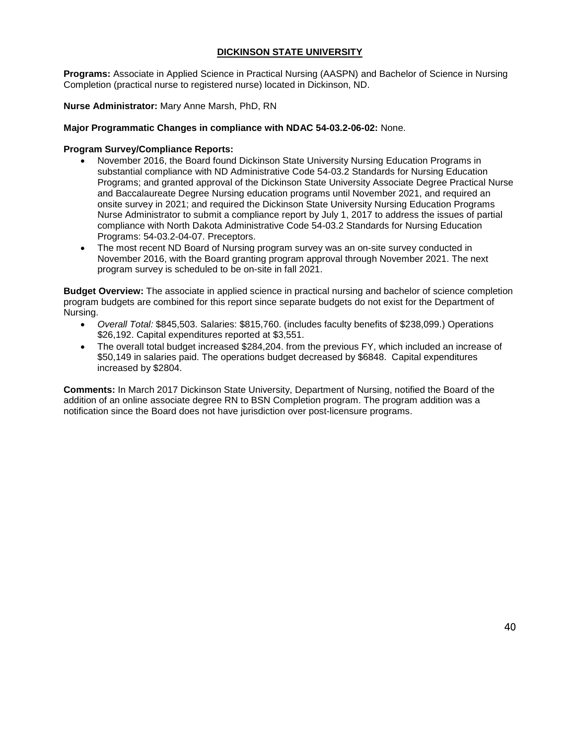## **DICKINSON STATE UNIVERSITY**

**Programs:** Associate in Applied Science in Practical Nursing (AASPN) and Bachelor of Science in Nursing Completion (practical nurse to registered nurse) located in Dickinson, ND.

**Nurse Administrator:** Mary Anne Marsh, PhD, RN

### **Major Programmatic Changes in compliance with NDAC 54-03.2-06-02:** None.

## **Program Survey/Compliance Reports:**

- November 2016, the Board found Dickinson State University Nursing Education Programs in substantial compliance with ND Administrative Code 54-03.2 Standards for Nursing Education Programs; and granted approval of the Dickinson State University Associate Degree Practical Nurse and Baccalaureate Degree Nursing education programs until November 2021, and required an onsite survey in 2021; and required the Dickinson State University Nursing Education Programs Nurse Administrator to submit a compliance report by July 1, 2017 to address the issues of partial compliance with North Dakota Administrative Code 54-03.2 Standards for Nursing Education Programs: 54-03.2-04-07. Preceptors.
- The most recent ND Board of Nursing program survey was an on-site survey conducted in November 2016, with the Board granting program approval through November 2021. The next program survey is scheduled to be on-site in fall 2021.

**Budget Overview:** The associate in applied science in practical nursing and bachelor of science completion program budgets are combined for this report since separate budgets do not exist for the Department of Nursing.

- *Overall Total:* \$845,503. Salaries: \$815,760. (includes faculty benefits of \$238,099.) Operations \$26,192. Capital expenditures reported at \$3,551.
- The overall total budget increased \$284,204. from the previous FY, which included an increase of \$50,149 in salaries paid. The operations budget decreased by \$6848. Capital expenditures increased by \$2804.

**Comments:** In March 2017 Dickinson State University, Department of Nursing, notified the Board of the addition of an online associate degree RN to BSN Completion program. The program addition was a notification since the Board does not have jurisdiction over post-licensure programs.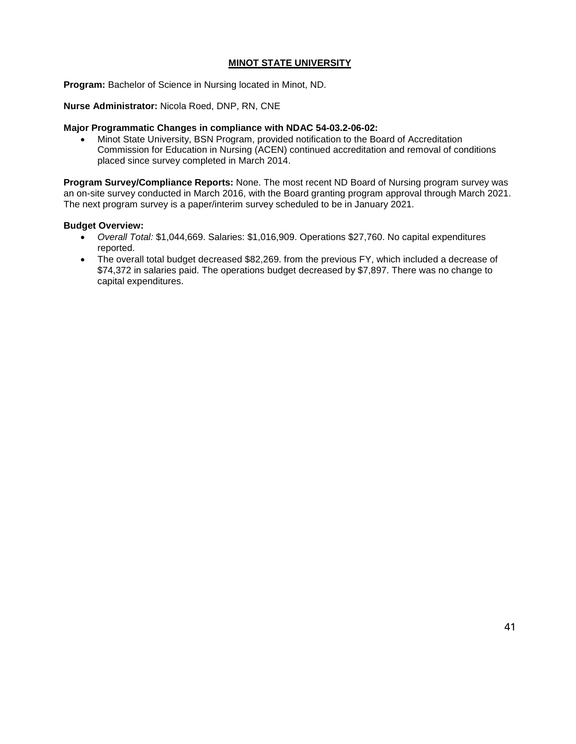#### **MINOT STATE UNIVERSITY**

**Program:** Bachelor of Science in Nursing located in Minot, ND.

**Nurse Administrator:** Nicola Roed, DNP, RN, CNE

#### **Major Programmatic Changes in compliance with NDAC 54-03.2-06-02:**

• Minot State University, BSN Program, provided notification to the Board of Accreditation Commission for Education in Nursing (ACEN) continued accreditation and removal of conditions placed since survey completed in March 2014.

**Program Survey/Compliance Reports:** None. The most recent ND Board of Nursing program survey was an on-site survey conducted in March 2016, with the Board granting program approval through March 2021. The next program survey is a paper/interim survey scheduled to be in January 2021.

#### **Budget Overview:**

- *Overall Total:* \$1,044,669. Salaries: \$1,016,909. Operations \$27,760. No capital expenditures reported.
- The overall total budget decreased \$82,269. from the previous FY, which included a decrease of \$74,372 in salaries paid. The operations budget decreased by \$7,897. There was no change to capital expenditures.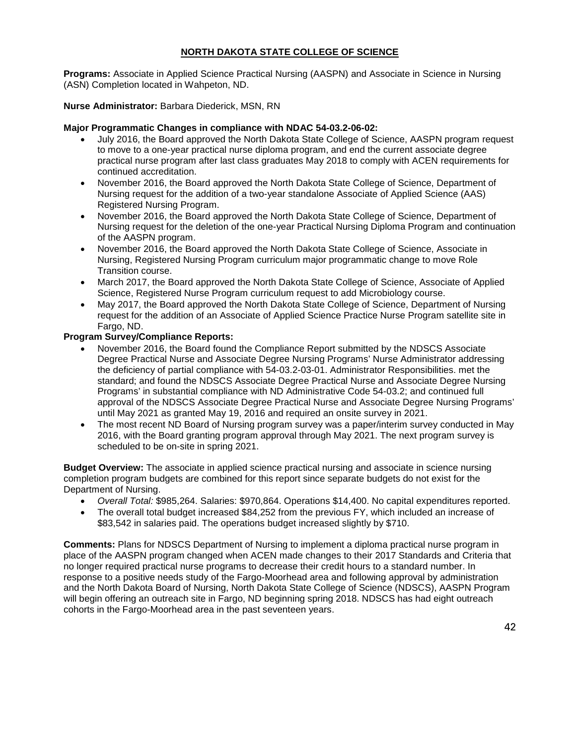## **NORTH DAKOTA STATE COLLEGE OF SCIENCE**

**Programs:** Associate in Applied Science Practical Nursing (AASPN) and Associate in Science in Nursing (ASN) Completion located in Wahpeton, ND.

## **Nurse Administrator:** Barbara Diederick, MSN, RN

## **Major Programmatic Changes in compliance with NDAC 54-03.2-06-02:**

- July 2016, the Board approved the North Dakota State College of Science, AASPN program request to move to a one-year practical nurse diploma program, and end the current associate degree practical nurse program after last class graduates May 2018 to comply with ACEN requirements for continued accreditation.
- November 2016, the Board approved the North Dakota State College of Science, Department of Nursing request for the addition of a two-year standalone Associate of Applied Science (AAS) Registered Nursing Program.
- November 2016, the Board approved the North Dakota State College of Science, Department of Nursing request for the deletion of the one-year Practical Nursing Diploma Program and continuation of the AASPN program.
- November 2016, the Board approved the North Dakota State College of Science, Associate in Nursing, Registered Nursing Program curriculum major programmatic change to move Role Transition course.
- March 2017, the Board approved the North Dakota State College of Science, Associate of Applied Science, Registered Nurse Program curriculum request to add Microbiology course.
- May 2017, the Board approved the North Dakota State College of Science, Department of Nursing request for the addition of an Associate of Applied Science Practice Nurse Program satellite site in Fargo, ND.

## **Program Survey/Compliance Reports:**

- November 2016, the Board found the Compliance Report submitted by the NDSCS Associate Degree Practical Nurse and Associate Degree Nursing Programs' Nurse Administrator addressing the deficiency of partial compliance with 54-03.2-03-01. Administrator Responsibilities. met the standard; and found the NDSCS Associate Degree Practical Nurse and Associate Degree Nursing Programs' in substantial compliance with ND Administrative Code 54-03.2; and continued full approval of the NDSCS Associate Degree Practical Nurse and Associate Degree Nursing Programs' until May 2021 as granted May 19, 2016 and required an onsite survey in 2021.
- The most recent ND Board of Nursing program survey was a paper/interim survey conducted in May 2016, with the Board granting program approval through May 2021. The next program survey is scheduled to be on-site in spring 2021.

**Budget Overview:** The associate in applied science practical nursing and associate in science nursing completion program budgets are combined for this report since separate budgets do not exist for the Department of Nursing.

- *Overall Total:* \$985,264. Salaries: \$970,864. Operations \$14,400. No capital expenditures reported.
- The overall total budget increased \$84,252 from the previous FY, which included an increase of \$83,542 in salaries paid. The operations budget increased slightly by \$710.

**Comments:** Plans for NDSCS Department of Nursing to implement a diploma practical nurse program in place of the AASPN program changed when ACEN made changes to their 2017 Standards and Criteria that no longer required practical nurse programs to decrease their credit hours to a standard number. In response to a positive needs study of the Fargo-Moorhead area and following approval by administration and the North Dakota Board of Nursing, North Dakota State College of Science (NDSCS), AASPN Program will begin offering an outreach site in Fargo, ND beginning spring 2018. NDSCS has had eight outreach cohorts in the Fargo-Moorhead area in the past seventeen years.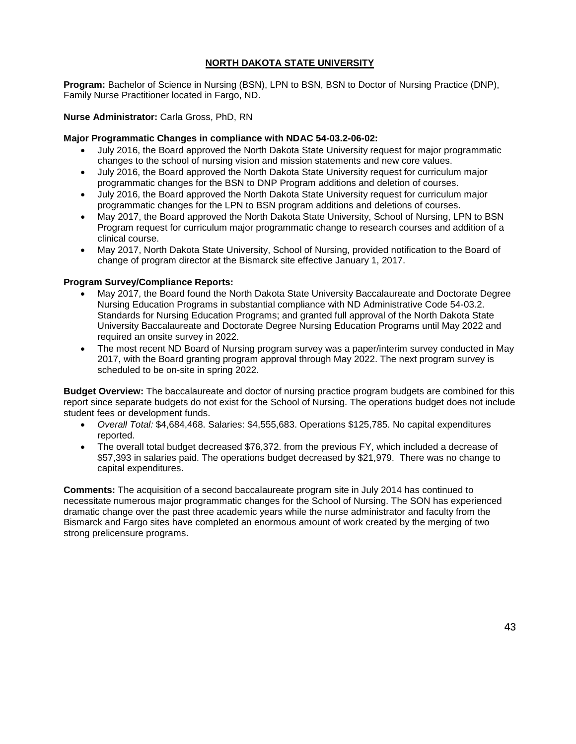## **NORTH DAKOTA STATE UNIVERSITY**

**Program:** Bachelor of Science in Nursing (BSN), LPN to BSN, BSN to Doctor of Nursing Practice (DNP), Family Nurse Practitioner located in Fargo, ND.

### **Nurse Administrator:** Carla Gross, PhD, RN

### **Major Programmatic Changes in compliance with NDAC 54-03.2-06-02:**

- July 2016, the Board approved the North Dakota State University request for major programmatic changes to the school of nursing vision and mission statements and new core values.
- July 2016, the Board approved the North Dakota State University request for curriculum major programmatic changes for the BSN to DNP Program additions and deletion of courses.
- July 2016, the Board approved the North Dakota State University request for curriculum major programmatic changes for the LPN to BSN program additions and deletions of courses.
- May 2017, the Board approved the North Dakota State University, School of Nursing, LPN to BSN Program request for curriculum major programmatic change to research courses and addition of a clinical course.
- May 2017, North Dakota State University, School of Nursing, provided notification to the Board of change of program director at the Bismarck site effective January 1, 2017.

### **Program Survey/Compliance Reports:**

- May 2017, the Board found the North Dakota State University Baccalaureate and Doctorate Degree Nursing Education Programs in substantial compliance with ND Administrative Code 54-03.2. Standards for Nursing Education Programs; and granted full approval of the North Dakota State University Baccalaureate and Doctorate Degree Nursing Education Programs until May 2022 and required an onsite survey in 2022.
- The most recent ND Board of Nursing program survey was a paper/interim survey conducted in May 2017, with the Board granting program approval through May 2022. The next program survey is scheduled to be on-site in spring 2022.

**Budget Overview:** The baccalaureate and doctor of nursing practice program budgets are combined for this report since separate budgets do not exist for the School of Nursing. The operations budget does not include student fees or development funds.

- *Overall Total:* \$4,684,468. Salaries: \$4,555,683. Operations \$125,785. No capital expenditures reported.
- The overall total budget decreased \$76,372. from the previous FY, which included a decrease of \$57,393 in salaries paid. The operations budget decreased by \$21,979. There was no change to capital expenditures.

**Comments:** The acquisition of a second baccalaureate program site in July 2014 has continued to necessitate numerous major programmatic changes for the School of Nursing. The SON has experienced dramatic change over the past three academic years while the nurse administrator and faculty from the Bismarck and Fargo sites have completed an enormous amount of work created by the merging of two strong prelicensure programs.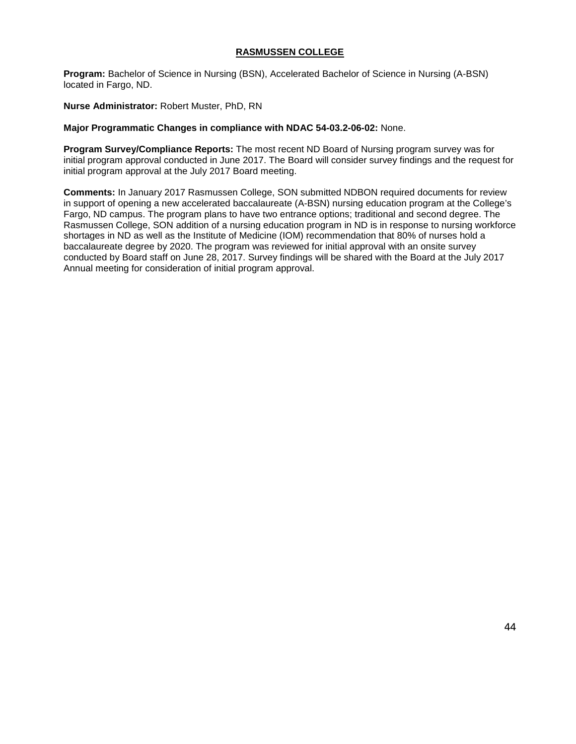### **RASMUSSEN COLLEGE**

**Program:** Bachelor of Science in Nursing (BSN), Accelerated Bachelor of Science in Nursing (A-BSN) located in Fargo, ND.

**Nurse Administrator:** Robert Muster, PhD, RN

### **Major Programmatic Changes in compliance with NDAC 54-03.2-06-02:** None.

**Program Survey/Compliance Reports:** The most recent ND Board of Nursing program survey was for initial program approval conducted in June 2017. The Board will consider survey findings and the request for initial program approval at the July 2017 Board meeting.

**Comments:** In January 2017 Rasmussen College, SON submitted NDBON required documents for review in support of opening a new accelerated baccalaureate (A-BSN) nursing education program at the College's Fargo, ND campus. The program plans to have two entrance options; traditional and second degree. The Rasmussen College, SON addition of a nursing education program in ND is in response to nursing workforce shortages in ND as well as the Institute of Medicine (IOM) recommendation that 80% of nurses hold a baccalaureate degree by 2020. The program was reviewed for initial approval with an onsite survey conducted by Board staff on June 28, 2017. Survey findings will be shared with the Board at the July 2017 Annual meeting for consideration of initial program approval.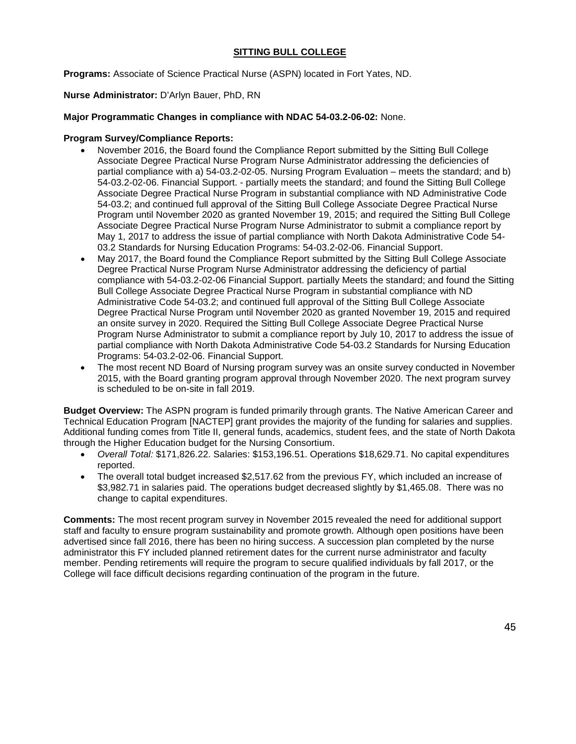## **SITTING BULL COLLEGE**

**Programs:** Associate of Science Practical Nurse (ASPN) located in Fort Yates, ND.

#### **Nurse Administrator:** D'Arlyn Bauer, PhD, RN

#### **Major Programmatic Changes in compliance with NDAC 54-03.2-06-02:** None.

#### **Program Survey/Compliance Reports:**

- November 2016, the Board found the Compliance Report submitted by the Sitting Bull College Associate Degree Practical Nurse Program Nurse Administrator addressing the deficiencies of partial compliance with a) 54-03.2-02-05. Nursing Program Evaluation – meets the standard; and b) 54-03.2-02-06. Financial Support. - partially meets the standard; and found the Sitting Bull College Associate Degree Practical Nurse Program in substantial compliance with ND Administrative Code 54-03.2; and continued full approval of the Sitting Bull College Associate Degree Practical Nurse Program until November 2020 as granted November 19, 2015; and required the Sitting Bull College Associate Degree Practical Nurse Program Nurse Administrator to submit a compliance report by May 1, 2017 to address the issue of partial compliance with North Dakota Administrative Code 54- 03.2 Standards for Nursing Education Programs: 54-03.2-02-06. Financial Support.
- May 2017, the Board found the Compliance Report submitted by the Sitting Bull College Associate Degree Practical Nurse Program Nurse Administrator addressing the deficiency of partial compliance with 54-03.2-02-06 Financial Support. partially Meets the standard; and found the Sitting Bull College Associate Degree Practical Nurse Program in substantial compliance with ND Administrative Code 54-03.2; and continued full approval of the Sitting Bull College Associate Degree Practical Nurse Program until November 2020 as granted November 19, 2015 and required an onsite survey in 2020. Required the Sitting Bull College Associate Degree Practical Nurse Program Nurse Administrator to submit a compliance report by July 10, 2017 to address the issue of partial compliance with North Dakota Administrative Code 54-03.2 Standards for Nursing Education Programs: 54-03.2-02-06. Financial Support.
- The most recent ND Board of Nursing program survey was an onsite survey conducted in November 2015, with the Board granting program approval through November 2020. The next program survey is scheduled to be on-site in fall 2019.

**Budget Overview:** The ASPN program is funded primarily through grants. The Native American Career and Technical Education Program [NACTEP] grant provides the majority of the funding for salaries and supplies. Additional funding comes from Title II, general funds, academics, student fees, and the state of North Dakota through the Higher Education budget for the Nursing Consortium.

- *Overall Total:* \$171,826.22. Salaries: \$153,196.51. Operations \$18,629.71. No capital expenditures reported.
- The overall total budget increased \$2,517.62 from the previous FY, which included an increase of \$3,982.71 in salaries paid. The operations budget decreased slightly by \$1,465.08. There was no change to capital expenditures.

**Comments:** The most recent program survey in November 2015 revealed the need for additional support staff and faculty to ensure program sustainability and promote growth. Although open positions have been advertised since fall 2016, there has been no hiring success. A succession plan completed by the nurse administrator this FY included planned retirement dates for the current nurse administrator and faculty member. Pending retirements will require the program to secure qualified individuals by fall 2017, or the College will face difficult decisions regarding continuation of the program in the future.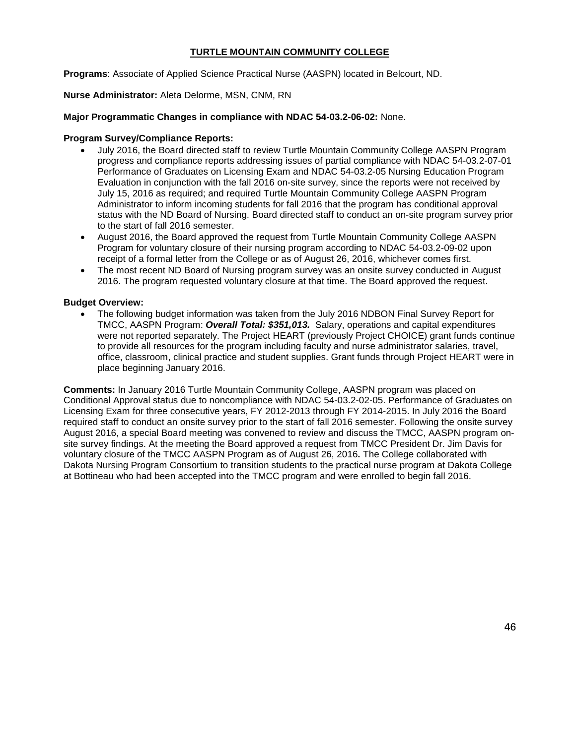### **TURTLE MOUNTAIN COMMUNITY COLLEGE**

**Programs**: Associate of Applied Science Practical Nurse (AASPN) located in Belcourt, ND.

**Nurse Administrator:** Aleta Delorme, MSN, CNM, RN

### **Major Programmatic Changes in compliance with NDAC 54-03.2-06-02:** None.

### **Program Survey/Compliance Reports:**

- July 2016, the Board directed staff to review Turtle Mountain Community College AASPN Program progress and compliance reports addressing issues of partial compliance with NDAC 54-03.2-07-01 Performance of Graduates on Licensing Exam and NDAC 54-03.2-05 Nursing Education Program Evaluation in conjunction with the fall 2016 on-site survey, since the reports were not received by July 15, 2016 as required; and required Turtle Mountain Community College AASPN Program Administrator to inform incoming students for fall 2016 that the program has conditional approval status with the ND Board of Nursing. Board directed staff to conduct an on-site program survey prior to the start of fall 2016 semester.
- August 2016, the Board approved the request from Turtle Mountain Community College AASPN Program for voluntary closure of their nursing program according to NDAC 54-03.2-09-02 upon receipt of a formal letter from the College or as of August 26, 2016, whichever comes first.
- The most recent ND Board of Nursing program survey was an onsite survey conducted in August 2016. The program requested voluntary closure at that time. The Board approved the request.

## **Budget Overview:**

• The following budget information was taken from the July 2016 NDBON Final Survey Report for TMCC, AASPN Program: *Overall Total: \$351,013.* Salary, operations and capital expenditures were not reported separately. The Project HEART (previously Project CHOICE) grant funds continue to provide all resources for the program including faculty and nurse administrator salaries, travel, office, classroom, clinical practice and student supplies. Grant funds through Project HEART were in place beginning January 2016.

**Comments:** In January 2016 Turtle Mountain Community College, AASPN program was placed on Conditional Approval status due to noncompliance with NDAC 54-03.2-02-05. Performance of Graduates on Licensing Exam for three consecutive years, FY 2012-2013 through FY 2014-2015. In July 2016 the Board required staff to conduct an onsite survey prior to the start of fall 2016 semester. Following the onsite survey August 2016, a special Board meeting was convened to review and discuss the TMCC, AASPN program onsite survey findings. At the meeting the Board approved a request from TMCC President Dr. Jim Davis for voluntary closure of the TMCC AASPN Program as of August 26, 2016**.** The College collaborated with Dakota Nursing Program Consortium to transition students to the practical nurse program at Dakota College at Bottineau who had been accepted into the TMCC program and were enrolled to begin fall 2016.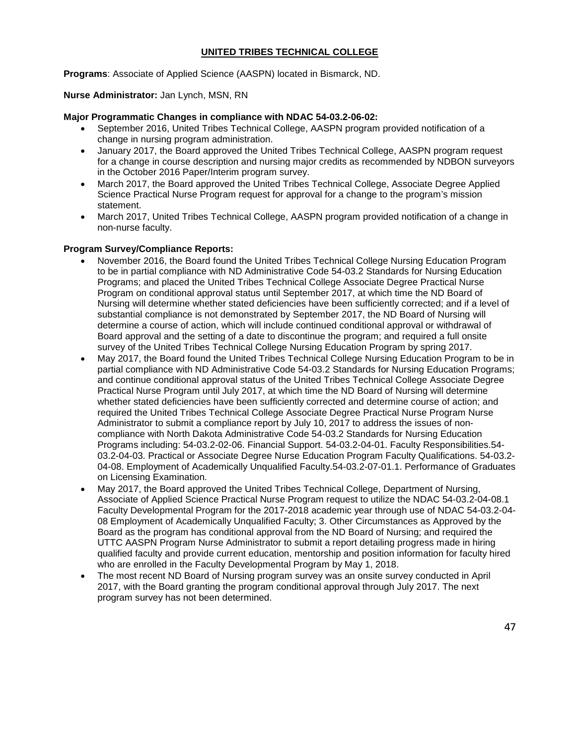## **UNITED TRIBES TECHNICAL COLLEGE**

**Programs**: Associate of Applied Science (AASPN) located in Bismarck, ND.

**Nurse Administrator:** Jan Lynch, MSN, RN

#### **Major Programmatic Changes in compliance with NDAC 54-03.2-06-02:**

- September 2016, United Tribes Technical College, AASPN program provided notification of a change in nursing program administration.
- January 2017, the Board approved the United Tribes Technical College, AASPN program request for a change in course description and nursing major credits as recommended by NDBON surveyors in the October 2016 Paper/Interim program survey.
- March 2017, the Board approved the United Tribes Technical College, Associate Degree Applied Science Practical Nurse Program request for approval for a change to the program's mission statement.
- March 2017, United Tribes Technical College, AASPN program provided notification of a change in non-nurse faculty.

#### **Program Survey/Compliance Reports:**

- November 2016, the Board found the United Tribes Technical College Nursing Education Program to be in partial compliance with ND Administrative Code 54-03.2 Standards for Nursing Education Programs; and placed the United Tribes Technical College Associate Degree Practical Nurse Program on conditional approval status until September 2017, at which time the ND Board of Nursing will determine whether stated deficiencies have been sufficiently corrected; and if a level of substantial compliance is not demonstrated by September 2017, the ND Board of Nursing will determine a course of action, which will include continued conditional approval or withdrawal of Board approval and the setting of a date to discontinue the program; and required a full onsite survey of the United Tribes Technical College Nursing Education Program by spring 2017.
- May 2017, the Board found the United Tribes Technical College Nursing Education Program to be in partial compliance with ND Administrative Code 54-03.2 Standards for Nursing Education Programs; and continue conditional approval status of the United Tribes Technical College Associate Degree Practical Nurse Program until July 2017, at which time the ND Board of Nursing will determine whether stated deficiencies have been sufficiently corrected and determine course of action; and required the United Tribes Technical College Associate Degree Practical Nurse Program Nurse Administrator to submit a compliance report by July 10, 2017 to address the issues of noncompliance with North Dakota Administrative Code 54-03.2 Standards for Nursing Education Programs including: 54-03.2-02-06. Financial Support. 54-03.2-04-01. Faculty Responsibilities.54- 03.2-04-03. Practical or Associate Degree Nurse Education Program Faculty Qualifications. 54-03.2- 04-08. Employment of Academically Unqualified Faculty.54-03.2-07-01.1. Performance of Graduates on Licensing Examination.
- May 2017, the Board approved the United Tribes Technical College, Department of Nursing, Associate of Applied Science Practical Nurse Program request to utilize the NDAC 54-03.2-04-08.1 Faculty Developmental Program for the 2017-2018 academic year through use of NDAC 54-03.2-04- 08 Employment of Academically Unqualified Faculty; 3. Other Circumstances as Approved by the Board as the program has conditional approval from the ND Board of Nursing; and required the UTTC AASPN Program Nurse Administrator to submit a report detailing progress made in hiring qualified faculty and provide current education, mentorship and position information for faculty hired who are enrolled in the Faculty Developmental Program by May 1, 2018.
- The most recent ND Board of Nursing program survey was an onsite survey conducted in April 2017, with the Board granting the program conditional approval through July 2017. The next program survey has not been determined.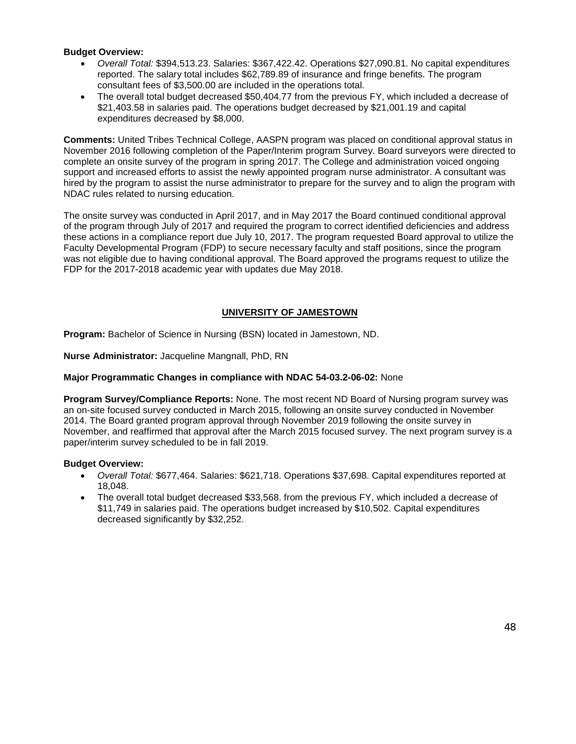## **Budget Overview:**

- *Overall Total:* \$394,513.23. Salaries: \$367,422.42. Operations \$27,090.81. No capital expenditures reported. The salary total includes \$62,789.89 of insurance and fringe benefits. The program consultant fees of \$3,500.00 are included in the operations total.
- The overall total budget decreased \$50,404.77 from the previous FY, which included a decrease of \$21,403.58 in salaries paid. The operations budget decreased by \$21,001.19 and capital expenditures decreased by \$8,000.

**Comments:** United Tribes Technical College, AASPN program was placed on conditional approval status in November 2016 following completion of the Paper/Interim program Survey. Board surveyors were directed to complete an onsite survey of the program in spring 2017. The College and administration voiced ongoing support and increased efforts to assist the newly appointed program nurse administrator. A consultant was hired by the program to assist the nurse administrator to prepare for the survey and to align the program with NDAC rules related to nursing education.

The onsite survey was conducted in April 2017, and in May 2017 the Board continued conditional approval of the program through July of 2017 and required the program to correct identified deficiencies and address these actions in a compliance report due July 10, 2017. The program requested Board approval to utilize the Faculty Developmental Program (FDP) to secure necessary faculty and staff positions, since the program was not eligible due to having conditional approval. The Board approved the programs request to utilize the FDP for the 2017-2018 academic year with updates due May 2018.

## **UNIVERSITY OF JAMESTOWN**

**Program:** Bachelor of Science in Nursing (BSN) located in Jamestown, ND.

**Nurse Administrator:** Jacqueline Mangnall, PhD, RN

## **Major Programmatic Changes in compliance with NDAC 54-03.2-06-02:** None

**Program Survey/Compliance Reports:** None. The most recent ND Board of Nursing program survey was an on-site focused survey conducted in March 2015, following an onsite survey conducted in November 2014. The Board granted program approval through November 2019 following the onsite survey in November, and reaffirmed that approval after the March 2015 focused survey. The next program survey is a paper/interim survey scheduled to be in fall 2019.

#### **Budget Overview:**

- *Overall Total:* \$677,464. Salaries: \$621,718. Operations \$37,698. Capital expenditures reported at 18,048.
- The overall total budget decreased \$33,568. from the previous FY, which included a decrease of \$11,749 in salaries paid. The operations budget increased by \$10,502. Capital expenditures decreased significantly by \$32,252.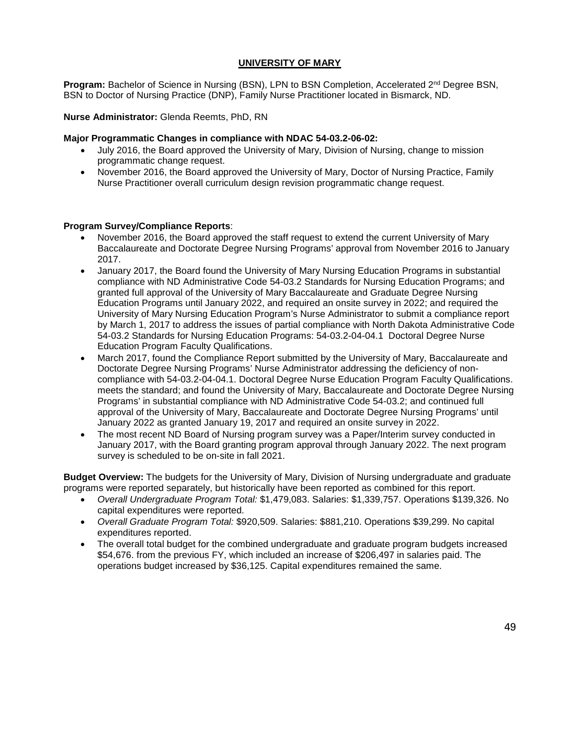## **UNIVERSITY OF MARY**

**Program:** Bachelor of Science in Nursing (BSN), LPN to BSN Completion, Accelerated 2<sup>nd</sup> Degree BSN, BSN to Doctor of Nursing Practice (DNP), Family Nurse Practitioner located in Bismarck, ND.

**Nurse Administrator:** Glenda Reemts, PhD, RN

#### **Major Programmatic Changes in compliance with NDAC 54-03.2-06-02:**

- July 2016, the Board approved the University of Mary, Division of Nursing, change to mission programmatic change request.
- November 2016, the Board approved the University of Mary, Doctor of Nursing Practice, Family Nurse Practitioner overall curriculum design revision programmatic change request.

#### **Program Survey/Compliance Reports**:

- November 2016, the Board approved the staff request to extend the current University of Mary Baccalaureate and Doctorate Degree Nursing Programs' approval from November 2016 to January 2017.
- January 2017, the Board found the University of Mary Nursing Education Programs in substantial compliance with ND Administrative Code 54-03.2 Standards for Nursing Education Programs; and granted full approval of the University of Mary Baccalaureate and Graduate Degree Nursing Education Programs until January 2022, and required an onsite survey in 2022; and required the University of Mary Nursing Education Program's Nurse Administrator to submit a compliance report by March 1, 2017 to address the issues of partial compliance with North Dakota Administrative Code 54-03.2 Standards for Nursing Education Programs: 54-03.2-04-04.1 Doctoral Degree Nurse Education Program Faculty Qualifications.
- March 2017, found the Compliance Report submitted by the University of Mary, Baccalaureate and Doctorate Degree Nursing Programs' Nurse Administrator addressing the deficiency of noncompliance with 54-03.2-04-04.1. Doctoral Degree Nurse Education Program Faculty Qualifications. meets the standard; and found the University of Mary, Baccalaureate and Doctorate Degree Nursing Programs' in substantial compliance with ND Administrative Code 54-03.2; and continued full approval of the University of Mary, Baccalaureate and Doctorate Degree Nursing Programs' until January 2022 as granted January 19, 2017 and required an onsite survey in 2022.
- The most recent ND Board of Nursing program survey was a Paper/Interim survey conducted in January 2017, with the Board granting program approval through January 2022. The next program survey is scheduled to be on-site in fall 2021.

**Budget Overview:** The budgets for the University of Mary, Division of Nursing undergraduate and graduate programs were reported separately, but historically have been reported as combined for this report.

- *Overall Undergraduate Program Total:* \$1,479,083. Salaries: \$1,339,757. Operations \$139,326. No capital expenditures were reported.
- *Overall Graduate Program Total:* \$920,509. Salaries: \$881,210. Operations \$39,299. No capital expenditures reported.
- The overall total budget for the combined undergraduate and graduate program budgets increased \$54,676. from the previous FY, which included an increase of \$206,497 in salaries paid. The operations budget increased by \$36,125. Capital expenditures remained the same.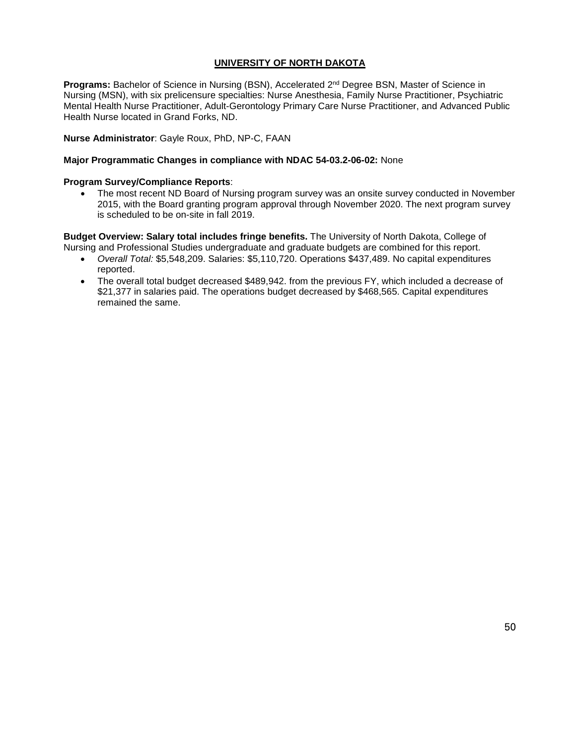## **UNIVERSITY OF NORTH DAKOTA**

**Programs:** Bachelor of Science in Nursing (BSN), Accelerated 2<sup>nd</sup> Degree BSN, Master of Science in Nursing (MSN), with six prelicensure specialties: Nurse Anesthesia, Family Nurse Practitioner, Psychiatric Mental Health Nurse Practitioner, Adult-Gerontology Primary Care Nurse Practitioner, and Advanced Public Health Nurse located in Grand Forks, ND.

**Nurse Administrator**: Gayle Roux, PhD, NP-C, FAAN

#### **Major Programmatic Changes in compliance with NDAC 54-03.2-06-02:** None

#### **Program Survey/Compliance Reports**:

• The most recent ND Board of Nursing program survey was an onsite survey conducted in November 2015, with the Board granting program approval through November 2020. The next program survey is scheduled to be on-site in fall 2019.

**Budget Overview: Salary total includes fringe benefits.** The University of North Dakota, College of Nursing and Professional Studies undergraduate and graduate budgets are combined for this report.

- *Overall Total:* \$5,548,209. Salaries: \$5,110,720. Operations \$437,489. No capital expenditures reported.
- The overall total budget decreased \$489,942. from the previous FY, which included a decrease of \$21,377 in salaries paid. The operations budget decreased by \$468,565. Capital expenditures remained the same.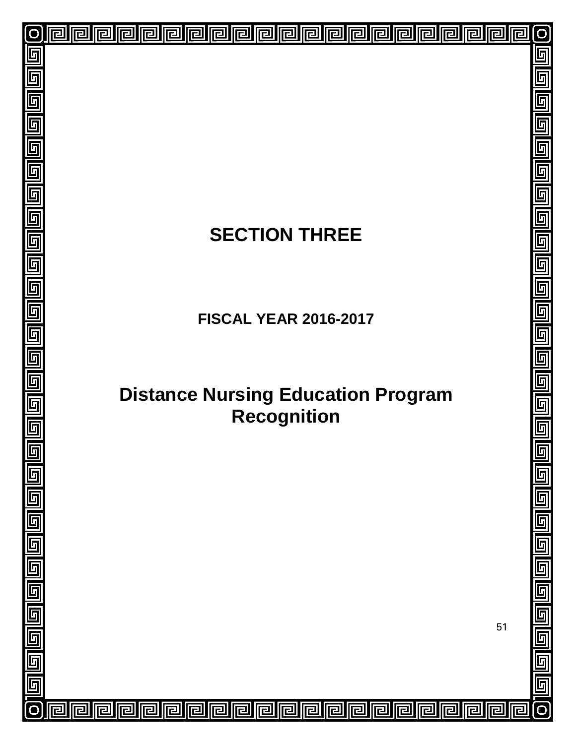| $\overline{\mathsf{O}}$                     | 回<br>回<br>回                                                                                 |        | $\overline{O}$            |
|---------------------------------------------|---------------------------------------------------------------------------------------------|--------|---------------------------|
|                                             |                                                                                             |        |                           |
| 叵                                           |                                                                                             |        |                           |
| 回                                           |                                                                                             |        |                           |
| $\Box$                                      |                                                                                             |        |                           |
| 回  回  回                                     |                                                                                             |        |                           |
|                                             |                                                                                             |        |                           |
|                                             |                                                                                             |        |                           |
|                                             | <b>SECTION THREE</b>                                                                        |        |                           |
| $\overline{\mathbb{F}}$                     |                                                                                             |        |                           |
|                                             |                                                                                             |        |                           |
|                                             |                                                                                             |        |                           |
|                                             | <b>FISCAL YEAR 2016-2017</b>                                                                |        |                           |
|                                             |                                                                                             |        |                           |
|                                             |                                                                                             |        |                           |
|                                             |                                                                                             |        |                           |
|                                             | <b>Distance Nursing Education Program</b><br><b>Recognition</b>                             |        |                           |
|                                             |                                                                                             |        | 回                         |
|                                             |                                                                                             |        | 画                         |
|                                             |                                                                                             |        |                           |
|                                             |                                                                                             |        | 回回回回                      |
|                                             |                                                                                             |        |                           |
|                                             |                                                                                             |        |                           |
|                                             |                                                                                             |        | 回回                        |
|                                             |                                                                                             |        |                           |
|                                             |                                                                                             |        | <u>ā</u>                  |
|                                             |                                                                                             | 51     | $\overline{\blacksquare}$ |
|                                             |                                                                                             |        |                           |
| واواوا والواوا واواوا واواوا واوادا والواوا |                                                                                             |        | <u>ele</u>                |
| $\overline{\mathsf{O}}$                     | 回<br>囘<br>回<br>回<br>回<br>厄<br>回<br>回<br>呾<br>囘<br>回<br>回<br>回<br>回<br>回<br>回<br>囘<br>믿<br>ᄆ | 回<br>回 | .<br>ල                    |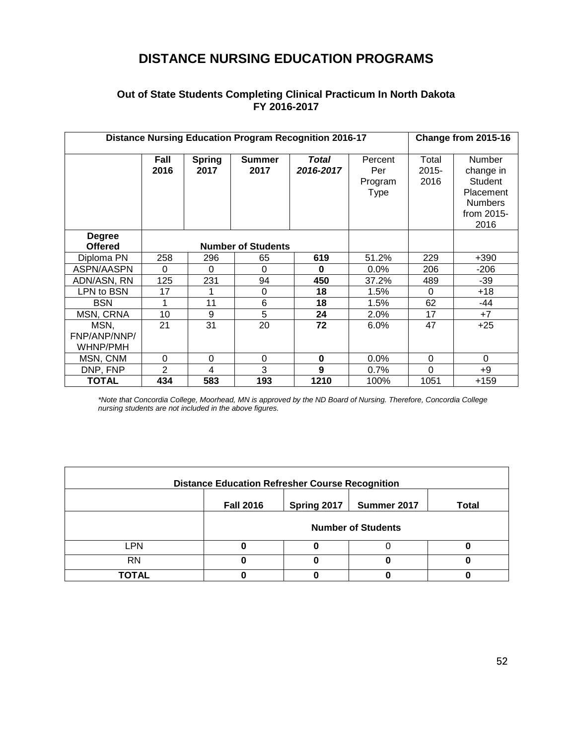## **DISTANCE NURSING EDUCATION PROGRAMS**

## **Out of State Students Completing Clinical Practicum In North Dakota FY 2016-2017**

|                                                              |                |                       | <b>Distance Nursing Education Program Recognition 2016-17</b> |                    |                                          | Change from 2015-16       |                                                                                            |
|--------------------------------------------------------------|----------------|-----------------------|---------------------------------------------------------------|--------------------|------------------------------------------|---------------------------|--------------------------------------------------------------------------------------------|
|                                                              | Fall<br>2016   | <b>Spring</b><br>2017 | <b>Summer</b><br>2017                                         | Total<br>2016-2017 | Percent<br>Per<br>Program<br><b>Type</b> | Total<br>$2015 -$<br>2016 | Number<br>change in<br><b>Student</b><br>Placement<br><b>Numbers</b><br>from 2015-<br>2016 |
| <b>Degree</b><br><b>Offered</b><br><b>Number of Students</b> |                |                       |                                                               |                    |                                          |                           |                                                                                            |
| Diploma PN                                                   | 258            | 296                   | 65                                                            | 619                | 51.2%                                    | 229                       | $+390$                                                                                     |
| ASPN/AASPN                                                   | 0              | 0                     | $\Omega$                                                      | $\bf{0}$           | $0.0\%$                                  | 206                       | $-206$                                                                                     |
| ADN/ASN, RN                                                  | 125            | 231                   | 94                                                            | 450                | 37.2%                                    | 489                       | $-39$                                                                                      |
| LPN to BSN                                                   | 17             | 1                     | 0                                                             | 18                 | 1.5%                                     | $\Omega$                  | $+18$                                                                                      |
| <b>BSN</b>                                                   | 1              | 11                    | 6                                                             | 18                 | 1.5%                                     | 62                        | -44                                                                                        |
| MSN, CRNA                                                    | 10             | 9                     | 5                                                             | 24                 | 2.0%                                     | 17                        | $+7$                                                                                       |
| MSN,<br>FNP/ANP/NNP/<br>WHNP/PMH                             | 21             | 31                    | 20                                                            | 72                 | 6.0%                                     | 47                        | $+25$                                                                                      |
| MSN, CNM                                                     | 0              | 0                     | $\mathbf 0$                                                   | 0                  | $0.0\%$                                  | 0                         | $\Omega$                                                                                   |
| DNP, FNP                                                     | $\overline{2}$ | 4                     | 3                                                             | 9                  | 0.7%                                     | $\Omega$                  | $+9$                                                                                       |
| <b>TOTAL</b>                                                 | 434            | 583                   | 193                                                           | 1210               | 100%                                     | 1051                      | $+159$                                                                                     |

*\*Note that Concordia College, Moorhead, MN is approved by the ND Board of Nursing. Therefore, Concordia College nursing students are not included in the above figures.*

| <b>Distance Education Refresher Course Recognition</b> |                                                         |   |  |  |  |  |  |
|--------------------------------------------------------|---------------------------------------------------------|---|--|--|--|--|--|
|                                                        | Spring 2017<br><b>Fall 2016</b><br>Summer 2017<br>Total |   |  |  |  |  |  |
|                                                        | <b>Number of Students</b>                               |   |  |  |  |  |  |
| LPN                                                    | O                                                       | 0 |  |  |  |  |  |
| <b>RN</b>                                              |                                                         |   |  |  |  |  |  |
| ΓΟΤΑL                                                  |                                                         |   |  |  |  |  |  |